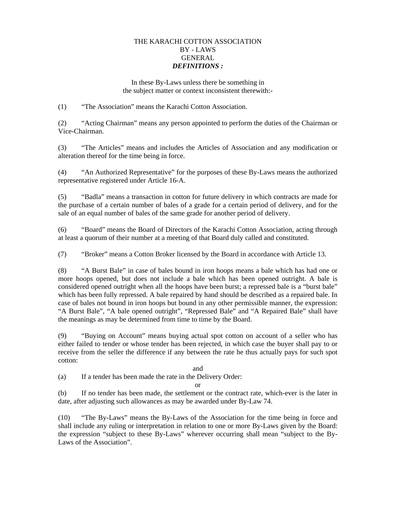# THE KARACHI COTTON ASSOCIATION BY - LAWS GENERAL *DEFINITIONS :*

In these By-Laws unless there be something in the subject matter or context inconsistent therewith:-

(1) "The Association" means the Karachi Cotton Association.

(2) "Acting Chairman" means any person appointed to perform the duties of the Chairman or Vice-Chairman.

(3) "The Articles" means and includes the Articles of Association and any modification or alteration thereof for the time being in force.

(4) "An Authorized Representative" for the purposes of these By-Laws means the authorized representative registered under Article 16-A.

(5) "Badla" means a transaction in cotton for future delivery in which contracts are made for the purchase of a certain number of bales of a grade for a certain period of delivery, and for the sale of an equal number of bales of the same grade for another period of delivery.

(6) "Board" means the Board of Directors of the Karachi Cotton Association, acting through at least a quorum of their number at a meeting of that Board duly called and constituted.

(7) "Broker" means a Cotton Broker licensed by the Board in accordance with Article 13.

(8) "A Burst Bale" in case of bales bound in iron hoops means a bale which has had one or more hoops opened, but does not include a bale which has been opened outright. A bale is considered opened outright when all the hoops have been burst; a repressed bale is a "burst bale" which has been fully repressed. A bale repaired by hand should be described as a repaired bale. In case of bales not bound in iron hoops but bound in any other permissible manner, the expression: "A Burst Bale", "A bale opened outright", "Repressed Bale" and "A Repaired Bale" shall have the meanings as may be determined from time to time by the Board.

(9) "Buying on Account" means buying actual spot cotton on account of a seller who has either failed to tender or whose tender has been rejected, in which case the buyer shall pay to or receive from the seller the difference if any between the rate he thus actually pays for such spot cotton:

# and

(a) If a tender has been made the rate in the Delivery Order:

### or

(b) If no tender has been made, the settlement or the contract rate, which-ever is the later in date, after adjusting such allowances as may be awarded under By-Law 74.

(10) "The By-Laws" means the By-Laws of the Association for the time being in force and shall include any ruling or interpretation in relation to one or more By-Laws given by the Board: the expression "subject to these By-Laws" wherever occurring shall mean "subject to the By-Laws of the Association".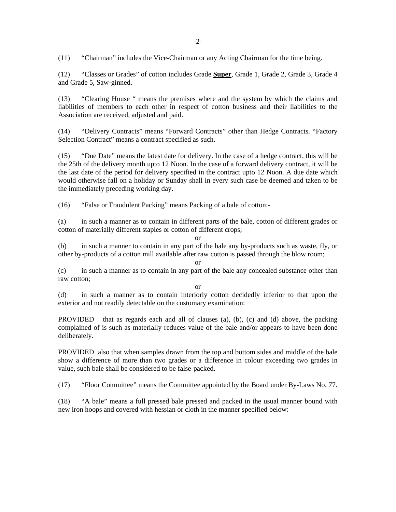(11) "Chairman" includes the Vice-Chairman or any Acting Chairman for the time being.

(12) "Classes or Grades" of cotton includes Grade **Super**, Grade 1, Grade 2, Grade 3, Grade 4 and Grade 5, Saw-ginned.

(13) "Clearing House " means the premises where and the system by which the claims and liabilities of members to each other in respect of cotton business and their liabilities to the Association are received, adjusted and paid.

(14) "Delivery Contracts" means "Forward Contracts" other than Hedge Contracts. "Factory Selection Contract" means a contract specified as such.

(15) "Due Date" means the latest date for delivery. In the case of a hedge contract, this will be the 25th of the delivery month upto 12 Noon. In the case of a forward delivery contract, it will be the last date of the period for delivery specified in the contract upto 12 Noon. A due date which would otherwise fall on a holiday or Sunday shall in every such case be deemed and taken to be the immediately preceding working day.

(16) "False or Fraudulent Packing" means Packing of a bale of cotton:-

(a) in such a manner as to contain in different parts of the bale, cotton of different grades or cotton of materially different staples or cotton of different crops;

or

(b) in such a manner to contain in any part of the bale any by-products such as waste, fly, or other by-products of a cotton mill available after raw cotton is passed through the blow room;

or (c) in such a manner as to contain in any part of the bale any concealed substance other than raw cotton;

or

(d) in such a manner as to contain interiorly cotton decidedly inferior to that upon the exterior and not readily detectable on the customary examination:

PROVIDED that as regards each and all of clauses (a), (b), (c) and (d) above, the packing complained of is such as materially reduces value of the bale and/or appears to have been done deliberately.

PROVIDED also that when samples drawn from the top and bottom sides and middle of the bale show a difference of more than two grades or a difference in colour exceeding two grades in value, such bale shall be considered to be false-packed.

(17) "Floor Committee" means the Committee appointed by the Board under By-Laws No. 77.

(18) "A bale" means a full pressed bale pressed and packed in the usual manner bound with new iron hoops and covered with hessian or cloth in the manner specified below: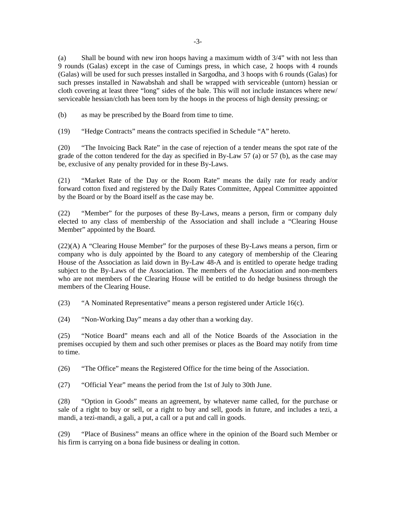(a) Shall be bound with new iron hoops having a maximum width of 3/4" with not less than 9 rounds (Galas) except in the case of Cumings press, in which case, 2 hoops with 4 rounds (Galas) will be used for such presses installed in Sargodha, and 3 hoops with 6 rounds (Galas) for such presses installed in Nawabshah and shall be wrapped with serviceable (untorn) hessian or cloth covering at least three "long" sides of the bale. This will not include instances where new/ serviceable hessian/cloth has been torn by the hoops in the process of high density pressing; or

(b) as may be prescribed by the Board from time to time.

(19) "Hedge Contracts" means the contracts specified in Schedule "A" hereto.

(20) "The Invoicing Back Rate" in the case of rejection of a tender means the spot rate of the grade of the cotton tendered for the day as specified in By-Law 57 (a) or 57 (b), as the case may be, exclusive of any penalty provided for in these By-Laws.

(21) "Market Rate of the Day or the Room Rate" means the daily rate for ready and/or forward cotton fixed and registered by the Daily Rates Committee, Appeal Committee appointed by the Board or by the Board itself as the case may be.

(22) "Member" for the purposes of these By-Laws, means a person, firm or company duly elected to any class of membership of the Association and shall include a "Clearing House Member" appointed by the Board.

(22)(A) A "Clearing House Member" for the purposes of these By-Laws means a person, firm or company who is duly appointed by the Board to any category of membership of the Clearing House of the Association as laid down in By-Law 48-A and is entitled to operate hedge trading subject to the By-Laws of the Association. The members of the Association and non-members who are not members of the Clearing House will be entitled to do hedge business through the members of the Clearing House.

(23) "A Nominated Representative" means a person registered under Article 16(c).

(24) "Non-Working Day" means a day other than a working day.

(25) "Notice Board" means each and all of the Notice Boards of the Association in the premises occupied by them and such other premises or places as the Board may notify from time to time.

(26) "The Office" means the Registered Office for the time being of the Association.

(27) "Official Year" means the period from the 1st of July to 30th June.

(28) "Option in Goods" means an agreement, by whatever name called, for the purchase or sale of a right to buy or sell, or a right to buy and sell, goods in future, and includes a tezi, a mandi, a tezi-mandi, a gali, a put, a call or a put and call in goods.

(29) "Place of Business" means an office where in the opinion of the Board such Member or his firm is carrying on a bona fide business or dealing in cotton.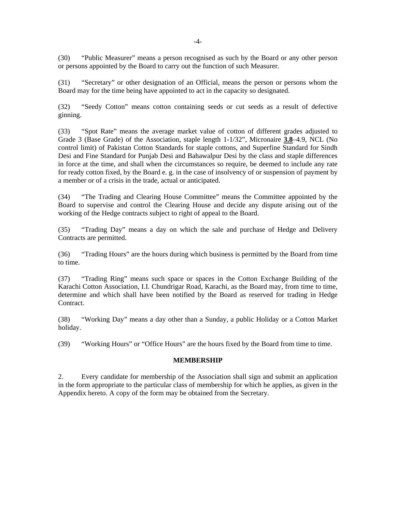(30) "Public Measurer" means a person recognised as such by the Board or any other person or persons appointed by the Board to carry out the function of such Measurer.

(31) "Secretary" or other designation of an Official, means the person or persons whom the Board may for the time being have appointed to act in the capacity so designated.

(32) "Seedy Cotton" means cotton containing seeds or cut seeds as a result of defective ginning.

(33) "Spot Rate" means the average market value of cotton of different grades adjusted to Grade 3 (Base Grade) of the Association, staple length 1-1/32", Micronaire **3.8**–4.9, NCL (No control limit) of Pakistan Cotton Standards for staple cottons, and Superfine Standard for Sindh Desi and Fine Standard for Punjab Desi and Bahawalpur Desi by the class and staple differences in force at the time, and shall when the circumstances so require, be deemed to include any rate for ready cotton fixed, by the Board e. g. in the case of insolvency of or suspension of payment by a member or of a crisis in the trade, actual or anticipated.

(34) "The Trading and Clearing House Committee" means the Committee appointed by the Board to supervise and control the Clearing House and decide any dispute arising out of the working of the Hedge contracts subject to right of appeal to the Board.

(35) "Trading Day" means a day on which the sale and purchase of Hedge and Delivery Contracts are permitted.

(36) "Trading Hours" are the hours during which business is permitted by the Board from time to time.

(37) "Trading Ring" means such space or spaces in the Cotton Exchange Building of the Karachi Cotton Association, I.I. Chundrigar Road, Karachi, as the Board may, from time to time, determine and which shall have been notified by the Board as reserved for trading in Hedge Contract.

(38) "Working Day" means a day other than a Sunday, a public Holiday or a Cotton Market holiday.

(39) "Working Hours" or "Office Hours" are the hours fixed by the Board from time to time.

### **MEMBERSHIP**

2. Every candidate for membership of the Association shall sign and submit an application in the form appropriate to the particular class of membership for which he applies, as given in the Appendix hereto. A copy of the form may be obtained from the Secretary.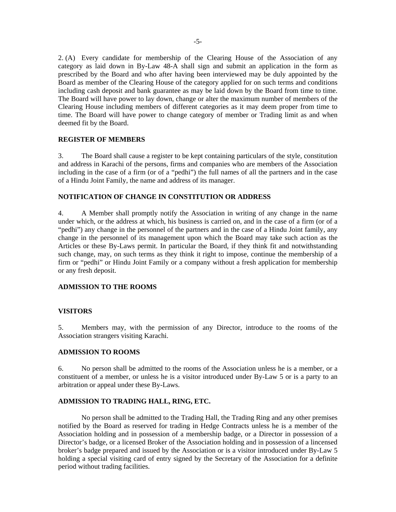2. (A) Every candidate for membership of the Clearing House of the Association of any category as laid down in By-Law 48-A shall sign and submit an application in the form as prescribed by the Board and who after having been interviewed may be duly appointed by the Board as member of the Clearing House of the category applied for on such terms and conditions including cash deposit and bank guarantee as may be laid down by the Board from time to time. The Board will have power to lay down, change or alter the maximum number of members of the Clearing House including members of different categories as it may deem proper from time to time. The Board will have power to change category of member or Trading limit as and when deemed fit by the Board.

### **REGISTER OF MEMBERS**

3. The Board shall cause a register to be kept containing particulars of the style, constitution and address in Karachi of the persons, firms and companies who are members of the Association including in the case of a firm (or of a "pedhi") the full names of all the partners and in the case of a Hindu Joint Family, the name and address of its manager.

### **NOTIFICATION OF CHANGE IN CONSTITUTION OR ADDRESS**

4. A Member shall promptly notify the Association in writing of any change in the name under which, or the address at which, his business is carried on, and in the case of a firm (or of a "pedhi") any change in the personnel of the partners and in the case of a Hindu Joint family, any change in the personnel of its management upon which the Board may take such action as the Articles or these By-Laws permit. In particular the Board, if they think fit and notwithstanding such change, may, on such terms as they think it right to impose, continue the membership of a firm or "pedhi" or Hindu Joint Family or a company without a fresh application for membership or any fresh deposit.

### **ADMISSION TO THE ROOMS**

### **VISITORS**

5. Members may, with the permission of any Director, introduce to the rooms of the Association strangers visiting Karachi.

### **ADMISSION TO ROOMS**

6. No person shall be admitted to the rooms of the Association unless he is a member, or a constituent of a member, or unless he is a visitor introduced under By-Law 5 or is a party to an arbitration or appeal under these By-Laws.

#### **ADMISSION TO TRADING HALL, RING, ETC.**

 No person shall be admitted to the Trading Hall, the Trading Ring and any other premises notified by the Board as reserved for trading in Hedge Contracts unless he is a member of the Association holding and in possession of a membership badge, or a Director in possession of a Director's badge, or a licensed Broker of the Association holding and in possession of a lincensed broker's badge prepared and issued by the Association or is a visitor introduced under By-Law 5 holding a special visiting card of entry signed by the Secretary of the Association for a definite period without trading facilities.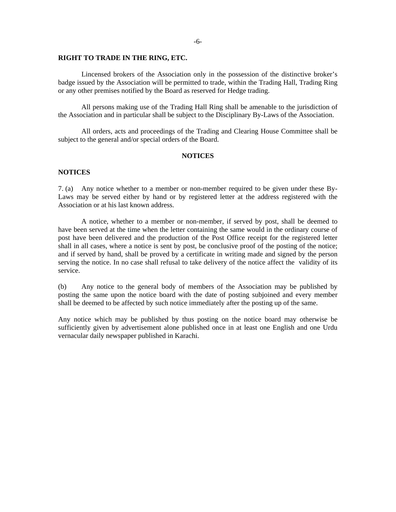#### **RIGHT TO TRADE IN THE RING, ETC.**

 Lincensed brokers of the Association only in the possession of the distinctive broker's badge issued by the Association will be permitted to trade, within the Trading Hall, Trading Ring or any other premises notified by the Board as reserved for Hedge trading.

 All persons making use of the Trading Hall Ring shall be amenable to the jurisdiction of the Association and in particular shall be subject to the Disciplinary By-Laws of the Association.

 All orders, acts and proceedings of the Trading and Clearing House Committee shall be subject to the general and/or special orders of the Board.

#### **NOTICES**

#### **NOTICES**

7. (a) Any notice whether to a member or non-member required to be given under these By-Laws may be served either by hand or by registered letter at the address registered with the Association or at his last known address.

 A notice, whether to a member or non-member, if served by post, shall be deemed to have been served at the time when the letter containing the same would in the ordinary course of post have been delivered and the production of the Post Office receipt for the registered letter shall in all cases, where a notice is sent by post, be conclusive proof of the posting of the notice; and if served by hand, shall be proved by a certificate in writing made and signed by the person serving the notice. In no case shall refusal to take delivery of the notice affect the validity of its service.

(b) Any notice to the general body of members of the Association may be published by posting the same upon the notice board with the date of posting subjoined and every member shall be deemed to be affected by such notice immediately after the posting up of the same.

Any notice which may be published by thus posting on the notice board may otherwise be sufficiently given by advertisement alone published once in at least one English and one Urdu vernacular daily newspaper published in Karachi.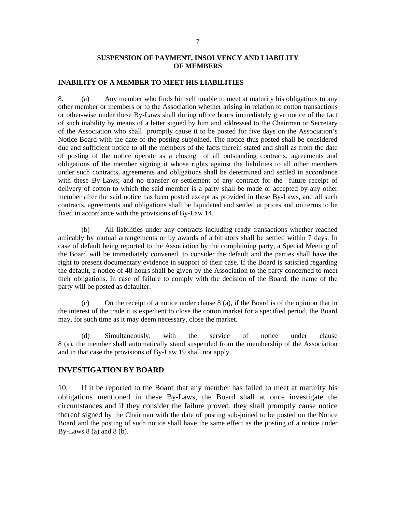### **SUSPENSION OF PAYMENT, INSOLVENCY AND LIABILITY OF MEMBERS**

### **INABILITY OF A MEMBER TO MEET HIS LIABILITIES**

8. (a) Any member who finds himself unable to meet at maturity his obligations to any other member or members or to the Association whether arising in relation to cotton transactions or other-wise under these By-Laws shall during office hours immediately give notice of the fact of such inability by means of a letter signed by him and addressed to the Chairman or Secretary of the Association who shall promptly cause it to be posted for five days on the Association's Notice Board with the date of the posting subjoined. The notice thus posted shall be considered due and sufficient notice to all the members of the facts therein stated and shall as from the date of posting of the notice operate as a closing of all outstanding contracts, agreements and obligations of the member signing it whose rights against the liabilities to all other members under such contracts, agreements and obligations shall be determined and settled in accordance with these By-Laws; and no transfer or settlement of any contract for the future receipt of delivery of cotton to which the said member is a party shall be made or accepted by any other member after the said notice has been posted except as provided in these By-Laws, and all such contracts, agreements and obligations shall be liquidated and settled at prices and on terms to be fixed in accordance with the provisions of By-Law 14.

 (b) All liabilities under any contracts including ready transactions whether reached amicably by mutual arrangements or by awards of arbitrators shall be settled within 7 days. In case of default being reported to the Association by the complaining party, a Special Meeting of the Board will be immediately convened, to consider the default and the parties shall have the right to present documentary evidence in support of their case. If the Board is satisfied regarding the default, a notice of 48 hours shall be given by the Association to the party concerned to meet their obligations. In case of failure to comply with the decision of the Board, the name of the party will be posted as defaulter.

 (c) On the receipt of a notice under clause 8 (a), if the Board is of the opinion that in the interest of the trade it is expedient to close the cotton market for a specified period, the Board may, for such time as it may deem necessary, close the market.

 (d) Simultaneously, with the service of notice under clause 8 (a), the member shall automatically stand suspended from the membership of the Association and in that case the provisions of By-Law 19 shall not apply.

### **INVESTIGATION BY BOARD**

10. If it be reported to the Board that any member has failed to meet at maturity his obligations mentioned in these By-Laws, the Board shall at once investigate the circumstances and if they consider the failure proved, they shall promptly cause notice thereof signed by the Chairman with the date of posting sub-joined to be posted on the Notice Board and the posting of such notice shall have the same effect as the posting of a notice under By-Laws  $8$  (a) and  $8$  (b).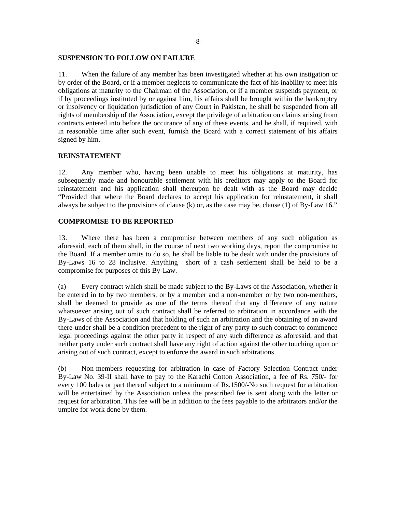#### **SUSPENSION TO FOLLOW ON FAILURE**

11. When the failure of any member has been investigated whether at his own instigation or by order of the Board, or if a member neglects to communicate the fact of his inability to meet his obligations at maturity to the Chairman of the Association, or if a member suspends payment, or if by proceedings instituted by or against him, his affairs shall be brought within the bankruptcy or insolvency or liquidation jurisdiction of any Court in Pakistan, he shall be suspended from all rights of membership of the Association, except the privilege of arbitration on claims arising from contracts entered into before the occurance of any of these events, and he shall, if required, with in reasonable time after such event, furnish the Board with a correct statement of his affairs signed by him.

#### **REINSTATEMENT**

12. Any member who, having been unable to meet his obligations at maturity, has subsequently made and honourable settlement with his creditors may apply to the Board for reinstatement and his application shall thereupon be dealt with as the Board may decide "Provided that where the Board declares to accept his application for reinstatement, it shall always be subject to the provisions of clause (k) or, as the case may be, clause (1) of By-Law 16."

### **COMPROMISE TO BE REPORTED**

13. Where there has been a compromise between members of any such obligation as aforesaid, each of them shall, in the course of next two working days, report the compromise to the Board. If a member omits to do so, he shall be liable to be dealt with under the provisions of By-Laws 16 to 28 inclusive. Anything short of a cash settlement shall be held to be a compromise for purposes of this By-Law.

(a) Every contract which shall be made subject to the By-Laws of the Association, whether it be entered in to by two members, or by a member and a non-member or by two non-members, shall be deemed to provide as one of the terms thereof that any difference of any nature whatsoever arising out of such contract shall be referred to arbitration in accordance with the By-Laws of the Association and that holding of such an arbitration and the obtaining of an award there-under shall be a condition precedent to the right of any party to such contract to commence legal proceedings against the other party in respect of any such difference as aforesaid, and that neither party under such contract shall have any right of action against the other touching upon or arising out of such contract, except to enforce the award in such arbitrations.

(b) Non-members requesting for arbitration in case of Factory Selection Contract under By-Law No. 39-II shall have to pay to the Karachi Cotton Association, a fee of Rs. 750/- for every 100 bales or part thereof subject to a minimum of Rs.1500/-No such request for arbitration will be entertained by the Association unless the prescribed fee is sent along with the letter or request for arbitration. This fee will be in addition to the fees payable to the arbitrators and/or the umpire for work done by them.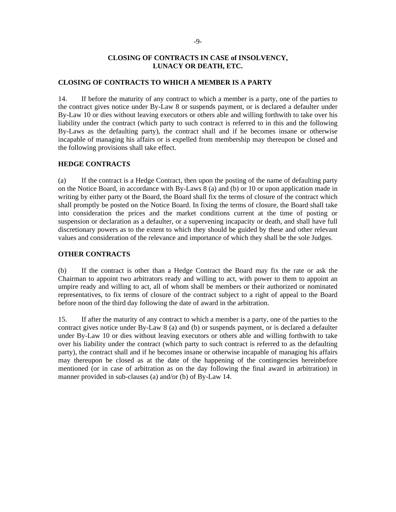## **CLOSING OF CONTRACTS IN CASE of INSOLVENCY, LUNACY OR DEATH, ETC.**

## **CLOSING OF CONTRACTS TO WHICH A MEMBER IS A PARTY**

14. If before the maturity of any contract to which a member is a party, one of the parties to the contract gives notice under By-Law 8 or suspends payment, or is declared a defaulter under By-Law 10 or dies without leaving executors or others able and willing forthwith to take over his liability under the contract (which party to such contract is referred to in this and the following By-Laws as the defaulting party), the contract shall and if he becomes insane or otherwise incapable of managing his affairs or is expelled from membership may thereupon be closed and the following provisions shall take effect.

## **HEDGE CONTRACT***S*

(a) If the contract is a Hedge Contract, then upon the posting of the name of defaulting party on the Notice Board, in accordance with By-Laws 8 (a) and (b) or 10 or upon application made in writing by either party ot the Board, the Board shall fix the terms of closure of the contract which shall promptly be posted on the Notice Board. In fixing the terms of closure, the Board shall take into consideration the prices and the market conditions current at the time of posting or suspension or declaration as a defaulter, or a supervening incapacity or death, and shall have full discretionary powers as to the extent to which they should be guided by these and other relevant values and consideration of the relevance and importance of which they shall be the sole Judges.

## **OTHER CONTRACTS**

(b) If the contract is other than a Hedge Contract the Board may fix the rate or ask the Chairman to appoint two arbitrators ready and willing to act, with power to them to appoint an umpire ready and willing to act, all of whom shall be members or their authorized or nominated representatives, to fix terms of closure of the contract subject to a right of appeal to the Board before noon of the third day following the date of award in the arbitration.

15. If after the maturity of any contract to which a member is a party, one of the parties to the contract gives notice under By-Law 8 (a) and (b) or suspends payment, or is declared a defaulter under By-Law 10 or dies without leaving executors or others able and willing forthwith to take over his liability under the contract (which party to such contract is referred to as the defaulting party), the contract shall and if he becomes insane or otherwise incapable of managing his affairs may thereupon be closed as at the date of the happening of the contingencies hereinbefore mentioned (or in case of arbitration as on the day following the final award in arbitration) in manner provided in sub-clauses (a) and/or (b) of By-Law 14.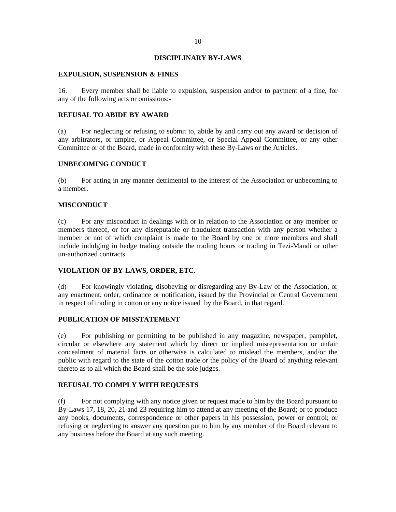### **DISCIPLINARY BY-LAWS**

### **EXPULSION, SUSPENSION & FINES**

16. Every member shall be liable to expulsion, suspension and/or to payment of a fine, for any of the following acts or omissions:-

### **REFUSAL TO ABIDE BY AWARD**

(a) For neglecting or refusing to submit to, abide by and carry out any award or decision of any arbitrators, or umpire, or Appeal Committee, or Special Appeal Committee, or any other Committee or of the Board, made in conformity with these By-Laws or the Articles.

## **UNBECOMING CONDUCT**

(b) For acting in any manner detrimental to the interest of the Association or unbecoming to a member.

### **MISCONDUCT**

(c) For any misconduct in dealings with or in relation to the Association or any member or members thereof, or for any disreputable or fraudulent transaction with any person whether a member or not of which complaint is made to the Board by one or more members and shall include indulging in hedge trading outside the trading hours or trading in Tezi-Mandi or other un-authorized contracts.

### **VIOLATION OF BY-LAWS, ORDER, ETC.**

(d) For knowingly violating, disobeying or disregarding any By-Law of the Association, or any enactment, order, ordinance or notification, issued by the Provincial or Central Government in respect of trading in cotton or any notice issued by the Board, in that regard.

## **PUBLICATION OF MISSTATEMENT**

(e) For publishing or permitting to be published in any magazine, newspaper, pamphlet, circular or elsewhere any statement which by direct or implied misrepresentation or unfair concealment of material facts or otherwise is calculated to mislead the members, and/or the public with regard to the state of the cotton trade or the policy of the Board of anything relevant thereto as to all which the Board shall be the sole judges.

#### **REFUSAL TO COMPLY WITH REQUESTS**

(f) For not complying with any notice given or request made to him by the Board pursuant to By-Laws 17, 18, 20, 21 and 23 requiring him to attend at any meeting of the Board; or to produce any books, documents, correspondence or other papers in his possession, power or control; or refusing or neglecting to answer any question put to him by any member of the Board relevant to any business before the Board at any such meeting.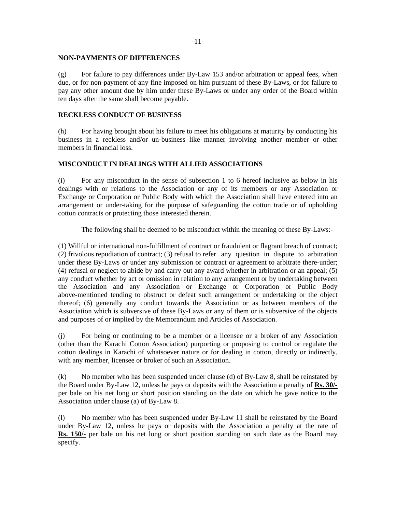#### **NON-PAYMENTS OF DIFFERENCES**

(g) For failure to pay differences under By-Law 153 and/or arbitration or appeal fees, when due, or for non-payment of any fine imposed on him pursuant of these By-Laws, or for failure to pay any other amount due by him under these By-Laws or under any order of the Board within ten days after the same shall become payable.

## **RECKLESS CONDUCT OF BUSINESS**

(h) For having brought about his failure to meet his obligations at maturity by conducting his business in a reckless and/or un-business like manner involving another member or other members in financial loss.

## **MISCONDUCT IN DEALINGS WITH ALLIED ASSOCIATIONS**

(i) For any misconduct in the sense of subsection 1 to 6 hereof inclusive as below in his dealings with or relations to the Association or any of its members or any Association or Exchange or Corporation or Public Body with which the Association shall have entered into an arrangement or under-taking for the purpose of safeguarding the cotton trade or of upholding cotton contracts or protecting those interested therein.

The following shall be deemed to be misconduct within the meaning of these By-Laws:-

(1) Willful or international non-fulfillment of contract or fraudulent or flagrant breach of contract; (2) frivolous repudiation of contract; (3) refusal to refer any question in dispute to arbitration under these By-Laws or under any submission or contract or agreement to arbitrate there-under; (4) refusal or neglect to abide by and carry out any award whether in arbitration or an appeal; (5) any conduct whether by act or omission in relation to any arrangement or by undertaking between the Association and any Association or Exchange or Corporation or Public Body above-mentioned tending to obstruct or defeat such arrangement or undertaking or the object thereof; (6) generally any conduct towards the Association or as between members of the Association which is subversive of these By-Laws or any of them or is subversive of the objects and purposes of or implied by the Memorandum and Articles of Association.

(j) For being or continuing to be a member or a licensee or a broker of any Association (other than the Karachi Cotton Association) purporting or proposing to control or regulate the cotton dealings in Karachi of whatsoever nature or for dealing in cotton, directly or indirectly, with any member, licensee or broker of such an Association.

(k) No member who has been suspended under clause (d) of By-Law 8, shall be reinstated by the Board under By-Law 12, unless he pays or deposits with the Association a penalty of **Rs. 30/** per bale on his net long or short position standing on the date on which he gave notice to the Association under clause (a) of By-Law 8.

(l) No member who has been suspended under By-Law 11 shall be reinstated by the Board under By-Law 12, unless he pays or deposits with the Association a penalty at the rate of **Rs. 150/-** per bale on his net long or short position standing on such date as the Board may specify.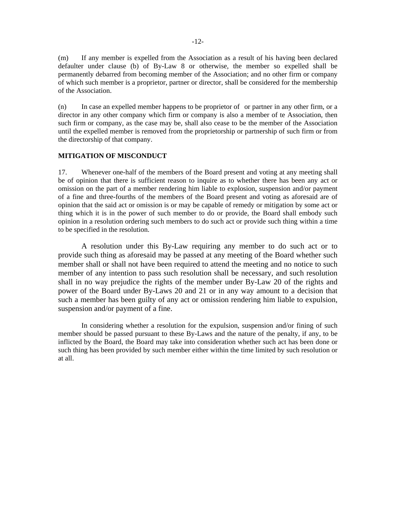(m) If any member is expelled from the Association as a result of his having been declared defaulter under clause (b) of By-Law 8 or otherwise, the member so expelled shall be permanently debarred from becoming member of the Association; and no other firm or company of which such member is a proprietor, partner or director, shall be considered for the membership of the Association.

(n) In case an expelled member happens to be proprietor of or partner in any other firm, or a director in any other company which firm or company is also a member of te Association, then such firm or company, as the case may be, shall also cease to be the member of the Association until the expelled member is removed from the proprietorship or partnership of such firm or from the directorship of that company.

#### **MITIGATION OF MISCONDUCT**

17. Whenever one-half of the members of the Board present and voting at any meeting shall be of opinion that there is sufficient reason to inquire as to whether there has been any act or omission on the part of a member rendering him liable to explosion, suspension and/or payment of a fine and three-fourths of the members of the Board present and voting as aforesaid are of opinion that the said act or omission is or may be capable of remedy or mitigation by some act or thing which it is in the power of such member to do or provide, the Board shall embody such opinion in a resolution ordering such members to do such act or provide such thing within a time to be specified in the resolution.

 A resolution under this By-Law requiring any member to do such act or to provide such thing as aforesaid may be passed at any meeting of the Board whether such member shall or shall not have been required to attend the meeting and no notice to such member of any intention to pass such resolution shall be necessary, and such resolution shall in no way prejudice the rights of the member under By-Law 20 of the rights and power of the Board under By-Laws 20 and 21 or in any way amount to a decision that such a member has been guilty of any act or omission rendering him liable to expulsion, suspension and/or payment of a fine.

 In considering whether a resolution for the expulsion, suspension and/or fining of such member should be passed pursuant to these By-Laws and the nature of the penalty, if any, to be inflicted by the Board, the Board may take into consideration whether such act has been done or such thing has been provided by such member either within the time limited by such resolution or at all.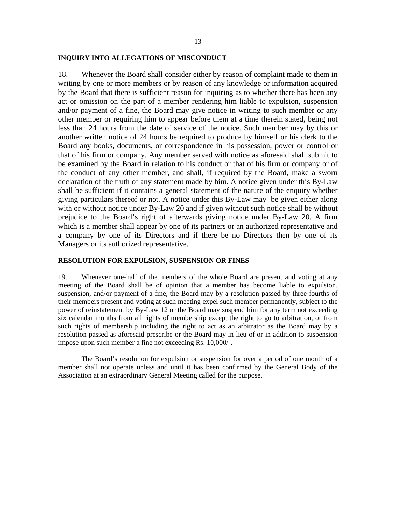### **INQUIRY INTO ALLEGATIONS OF MISCONDUCT**

18. Whenever the Board shall consider either by reason of complaint made to them in writing by one or more members or by reason of any knowledge or information acquired by the Board that there is sufficient reason for inquiring as to whether there has been any act or omission on the part of a member rendering him liable to expulsion, suspension and/or payment of a fine, the Board may give notice in writing to such member or any other member or requiring him to appear before them at a time therein stated, being not less than 24 hours from the date of service of the notice. Such member may by this or another written notice of 24 hours be required to produce by himself or his clerk to the Board any books, documents, or correspondence in his possession, power or control or that of his firm or company. Any member served with notice as aforesaid shall submit to be examined by the Board in relation to his conduct or that of his firm or company or of the conduct of any other member, and shall, if required by the Board, make a sworn declaration of the truth of any statement made by him. A notice given under this By-Law shall be sufficient if it contains a general statement of the nature of the enquiry whether giving particulars thereof or not. A notice under this By-Law may be given either along with or without notice under By-Law 20 and if given without such notice shall be without prejudice to the Board's right of afterwards giving notice under By-Law 20. A firm which is a member shall appear by one of its partners or an authorized representative and a company by one of its Directors and if there be no Directors then by one of its Managers or its authorized representative.

## **RESOLUTION FOR EXPULSION, SUSPENSION OR FINES**

19. Whenever one-half of the members of the whole Board are present and voting at any meeting of the Board shall be of opinion that a member has become liable to expulsion, suspension, and/or payment of a fine, the Board may by a resolution passed by three-fourths of their members present and voting at such meeting expel such member permanently, subject to the power of reinstatement by By-Law 12 or the Board may suspend him for any term not exceeding six calendar months from all rights of membership except the right to go to arbitration, or from such rights of membership including the right to act as an arbitrator as the Board may by a resolution passed as aforesaid prescribe or the Board may in lieu of or in addition to suspension impose upon such member a fine not exceeding Rs. 10,000/-.

The Board's resolution for expulsion or suspension for over a period of one month of a member shall not operate unless and until it has been confirmed by the General Body of the Association at an extraordinary General Meeting called for the purpose.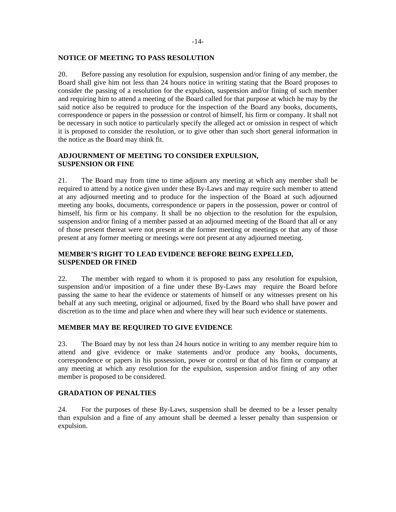#### **NOTICE OF MEETING TO PASS RESOLUTION**

20. Before passing any resolution for expulsion, suspension and/or fining of any member, the Board shall give him not less than 24 hours notice in writing stating that the Board proposes to consider the passing of a resolution for the expulsion, suspension and/or fining of such member and requiring him to attend a meeting of the Board called for that purpose at which he may by the said notice also be required to produce for the inspection of the Board any books, documents, correspondence or papers in the possession or control of himself, his firm or company. It shall not be necessary in such notice to particularly specify the alleged act or omission in respect of which it is proposed to consider the resolution, or to give other than such short general information in the notice as the Board may think fit.

# **ADJOURNMENT OF MEETING TO CONSIDER EXPULSION, SUSPENSION OR FINE**

21. The Board may from time to time adjourn any meeting at which any member shall be required to attend by a notice given under these By-Laws and may require such member to attend at any adjourned meeting and to produce for the inspection of the Board at such adjourned meeting any books, documents, correspondence or papers in the possession, power or control of himself, his firm or his company. It shall be no objection to the resolution for the expulsion, suspension and/or fining of a member passed at an adjourned meeting of the Board that all or any of those present thereat were not present at the former meeting or meetings or that any of those present at any former meeting or meetings were not present at any adjourned meeting.

# **MEMBER'S RIGHT TO LEAD EVIDENCE BEFORE BEING EXPELLED, SUSPENDED OR FINED**

22. The member with regard to whom it is proposed to pass any resolution for expulsion, suspension and/or imposition of a fine under these By-Laws may require the Board before passing the same to hear the evidence or statements of himself or any witnesses present on his behalf at any such meeting, original or adjourned, fixed by the Board who shall have power and discretion as to the time and place when and where they will hear such evidence or statements.

### **MEMBER MAY BE REQUIRED TO GIVE EVIDENCE**

23. The Board may by not less than 24 hours notice in writing to any member require him to attend and give evidence or make statements and/or produce any books, documents, correspondence or papers in his possession, power or control or that of his firm or company at any meeting at which any resolution for the expulsion, suspension and/or fining of any other member is proposed to be considered.

### **GRADATION OF PENALTIES**

24. For the purposes of these By-Laws, suspension shall be deemed to be a lesser penalty than expulsion and a fine of any amount shall be deemed a lesser penalty than suspension or expulsion.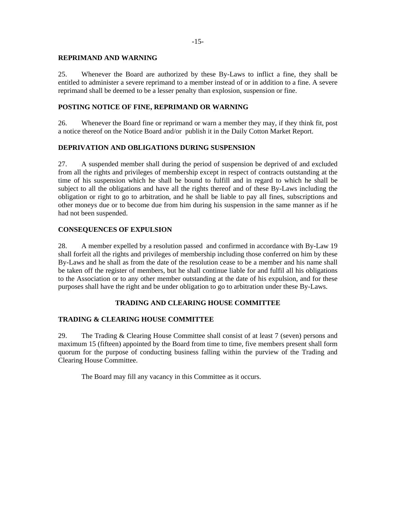### **REPRIMAND AND WARNING**

25. Whenever the Board are authorized by these By-Laws to inflict a fine, they shall be entitled to administer a severe reprimand to a member instead of or in addition to a fine. A severe reprimand shall be deemed to be a lesser penalty than explosion, suspension or fine.

# **POSTING NOTICE OF FINE, REPRIMAND OR WARNING**

26. Whenever the Board fine or reprimand or warn a member they may, if they think fit, post a notice thereof on the Notice Board and/or publish it in the Daily Cotton Market Report.

## **DEPRIVATION AND OBLIGATIONS DURING SUSPENSION**

27. A suspended member shall during the period of suspension be deprived of and excluded from all the rights and privileges of membership except in respect of contracts outstanding at the time of his suspension which he shall be bound to fulfill and in regard to which he shall be subject to all the obligations and have all the rights thereof and of these By-Laws including the obligation or right to go to arbitration, and he shall be liable to pay all fines, subscriptions and other moneys due or to become due from him during his suspension in the same manner as if he had not been suspended.

## **CONSEQUENCES OF EXPULSION**

28. A member expelled by a resolution passed and confirmed in accordance with By-Law 19 shall forfeit all the rights and privileges of membership including those conferred on him by these By-Laws and he shall as from the date of the resolution cease to be a member and his name shall be taken off the register of members, but he shall continue liable for and fulfil all his obligations to the Association or to any other member outstanding at the date of his expulsion, and for these purposes shall have the right and be under obligation to go to arbitration under these By-Laws.

### **TRADING AND CLEARING HOUSE COMMITTEE**

## **TRADING & CLEARING HOUSE COMMITTEE**

29. The Trading & Clearing House Committee shall consist of at least 7 (seven) persons and maximum 15 (fifteen) appointed by the Board from time to time, five members present shall form quorum for the purpose of conducting business falling within the purview of the Trading and Clearing House Committee.

The Board may fill any vacancy in this Committee as it occurs.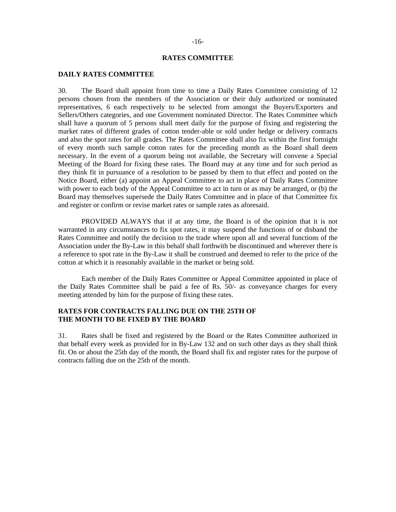## -16-

#### **RATES COMMITTEE**

### **DAILY RATES COMMITTEE**

30. The Board shall appoint from time to time a Daily Rates Committee consisting of 12 persons chosen from the members of the Association or their duly authorized or nominated representatives, 6 each respectively to be selected from amongst the Buyers/Exporters and Sellers/Others categories, and one Government nominated Director. The Rates Committee which shall have a quorum of 5 persons shall meet daily for the purpose of fixing and registering the market rates of different grades of cotton tender-able or sold under hedge or delivery contracts and also the spot rates for all grades. The Rates Committee shall also fix within the first fortnight of every month such sample cotton rates for the preceding month as the Board shall deem necessary. In the event of a quorum being not available, the Secretary will convene a Special Meeting of the Board for fixing these rates. The Board may at any time and for such period as they think fit in pursuance of a resolution to be passed by them to that effect and posted on the Notice Board, either (a) appoint an Appeal Committee to act in place of Daily Rates Committee with power to each body of the Appeal Committee to act in turn or as may be arranged, or (b) the Board may themselves supersede the Daily Rates Committee and in place of that Committee fix and register or confirm or revise market rates or sample rates as aforesaid.

 PROVIDED ALWAYS that if at any time, the Board is of the opinion that it is not warranted in any circumstances to fix spot rates, it may suspend the functions of or disband the Rates Committee and notify the decision to the trade where upon all and several functions of the Association under the By-Law in this behalf shall forthwith be discontinued and wherever there is a reference to spot rate in the By-Law it shall be construed and deemed to refer to the price of the cotton at which it is reasonably available in the market or being sold.

 Each member of the Daily Rates Committee or Appeal Committee appointed in place of the Daily Rates Committee shall be paid a fee of Rs. 50/- as conveyance charges for every meeting attended by him for the purpose of fixing these rates.

# **RATES FOR CONTRACTS FALLING DUE ON THE 25TH OF THE MONTH TO BE FIXED BY THE BOARD**

31. Rates shall be fixed and registered by the Board or the Rates Committee authorized in that behalf every week as provided for in By-Law 132 and on such other days as they shall think fit. On or about the 25th day of the month, the Board shall fix and register rates for the purpose of contracts falling due on the 25th of the month.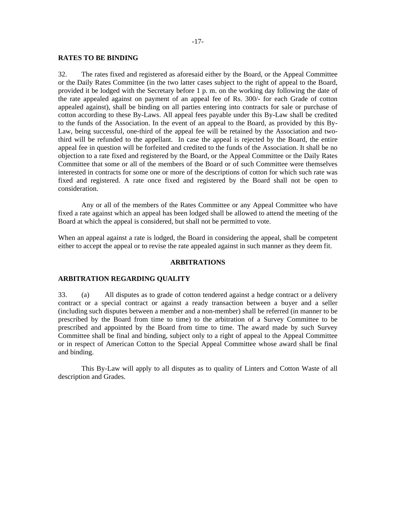#### -17-

### **RATES TO BE BINDING**

32. The rates fixed and registered as aforesaid either by the Board, or the Appeal Committee or the Daily Rates Committee (in the two latter cases subject to the right of appeal to the Board, provided it be lodged with the Secretary before 1 p. m. on the working day following the date of the rate appealed against on payment of an appeal fee of Rs. 300/- for each Grade of cotton appealed against), shall be binding on all parties entering into contracts for sale or purchase of cotton according to these By-Laws. All appeal fees payable under this By-Law shall be credited to the funds of the Association. In the event of an appeal to the Board, as provided by this By-Law, being successful, one-third of the appeal fee will be retained by the Association and twothird will be refunded to the appellant. In case the appeal is rejected by the Board, the entire appeal fee in question will be forfeited and credited to the funds of the Association. It shall be no objection to a rate fixed and registered by the Board, or the Appeal Committee or the Daily Rates Committee that some or all of the members of the Board or of such Committee were themselves interested in contracts for some one or more of the descriptions of cotton for which such rate was fixed and registered. A rate once fixed and registered by the Board shall not be open to consideration.

 Any or all of the members of the Rates Committee or any Appeal Committee who have fixed a rate against which an appeal has been lodged shall be allowed to attend the meeting of the Board at which the appeal is considered, but shall not be permitted to vote.

When an appeal against a rate is lodged, the Board in considering the appeal, shall be competent either to accept the appeal or to revise the rate appealed against in such manner as they deem fit.

#### **ARBITRATIONS**

#### **ARBITRATION REGARDING QUALITY**

33. (a) All disputes as to grade of cotton tendered against a hedge contract or a delivery contract or a special contract or against a ready transaction between a buyer and a seller (including such disputes between a member and a non-member) shall be referred (in manner to be prescribed by the Board from time to time) to the arbitration of a Survey Committee to be prescribed and appointed by the Board from time to time. The award made by such Survey Committee shall be final and binding, subject only to a right of appeal to the Appeal Committee or in respect of American Cotton to the Special Appeal Committee whose award shall be final and binding.

 This By-Law will apply to all disputes as to quality of Linters and Cotton Waste of all description and Grades.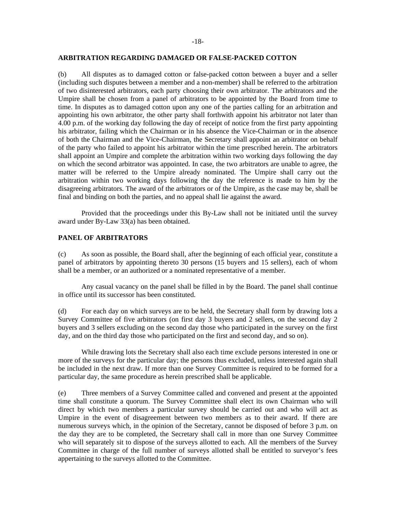#### **ARBITRATION REGARDING DAMAGED OR FALSE-PACKED COTTON**

(b) All disputes as to damaged cotton or false-packed cotton between a buyer and a seller (including such disputes between a member and a non-member) shall be referred to the arbitration of two disinterested arbitrators, each party choosing their own arbitrator. The arbitrators and the Umpire shall be chosen from a panel of arbitrators to be appointed by the Board from time to time. In disputes as to damaged cotton upon any one of the parties calling for an arbitration and appointing his own arbitrator, the other party shall forthwith appoint his arbitrator not later than 4.00 p.m. of the working day following the day of receipt of notice from the first party appointing his arbitrator, failing which the Chairman or in his absence the Vice-Chairman or in the absence of both the Chairman and the Vice-Chairman, the Secretary shall appoint an arbitrator on behalf of the party who failed to appoint his arbitrator within the time prescribed herein. The arbitrators shall appoint an Umpire and complete the arbitration within two working days following the day on which the second arbitrator was appointed. In case, the two arbitrators are unable to agree, the matter will be referred to the Umpire already nominated. The Umpire shall carry out the arbitration within two working days following the day the reference is made to him by the disagreeing arbitrators. The award of the arbitrators or of the Umpire, as the case may be, shall be final and binding on both the parties, and no appeal shall lie against the award.

Provided that the proceedings under this By-Law shall not be initiated until the survey award under By-Law 33(a) has been obtained.

#### **PANEL OF ARBITRATORS**

(c) As soon as possible, the Board shall, after the beginning of each official year, constitute a panel of arbitrators by appointing thereto 30 persons (15 buyers and 15 sellers), each of whom shall be a member, or an authorized or a nominated representative of a member.

 Any casual vacancy on the panel shall be filled in by the Board. The panel shall continue in office until its successor has been constituted.

(d) For each day on which surveys are to be held, the Secretary shall form by drawing lots a Survey Committee of five arbitrators (on first day 3 buyers and 2 sellers, on the second day 2 buyers and 3 sellers excluding on the second day those who participated in the survey on the first day, and on the third day those who participated on the first and second day, and so on).

 While drawing lots the Secretary shall also each time exclude persons interested in one or more of the surveys for the particular day; the persons thus excluded, unless interested again shall be included in the next draw. If more than one Survey Committee is required to be formed for a particular day, the same procedure as herein prescribed shall be applicable.

(e) Three members of a Survey Committee called and convened and present at the appointed time shall constitute a quorum. The Survey Committee shall elect its own Chairman who will direct by which two members a particular survey should be carried out and who will act as Umpire in the event of disagreement between two members as to their award. If there are numerous surveys which, in the opinion of the Secretary, cannot be disposed of before 3 p.m. on the day they are to be completed, the Secretary shall call in more than one Survey Committee who will separately sit to dispose of the surveys allotted to each. All the members of the Survey Committee in charge of the full number of surveys allotted shall be entitled to surveyor's fees appertaining to the surveys allotted to the Committee.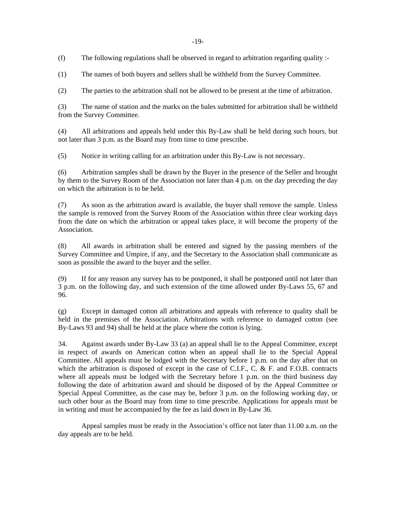(f) The following regulations shall be observed in regard to arbitration regarding quality :-

(1) The names of both buyers and sellers shall be withheld from the Survey Committee.

(2) The parties to the arbitration shall not be allowed to be present at the time of arbitration.

(3) The name of station and the marks on the bales submitted for arbitration shall be withheld from the Survey Committee.

(4) All arbitrations and appeals held under this By-Law shall be held during such hours, but not later than 3 p.m. as the Board may from time to time prescribe.

(5) Notice in writing calling for an arbitration under this By-Law is not necessary.

(6) Arbitration samples shall be drawn by the Buyer in the presence of the Seller and brought by them to the Survey Room of the Association not later than 4 p.m. on the day preceding the day on which the arbitration is to be held.

(7) As soon as the arbitration award is available, the buyer shall remove the sample. Unless the sample is removed from the Survey Room of the Association within three clear working days from the date on which the arbitration or appeal takes place, it will become the property of the Association.

(8) All awards in arbitration shall be entered and signed by the passing members of the Survey Committee and Umpire, if any, and the Secretary to the Association shall communicate as soon as possible the award to the buyer and the seller.

(9) If for any reason any survey has to be postponed, it shall be postponed until not later than 3 p.m. on the following day, and such extension of the time allowed under By-Laws 55, 67 and 96.

(g) Except in damaged cotton all arbitrations and appeals with reference to quality shall be held in the premises of the Association. Arbitrations with reference to damaged cotton (see By-Laws 93 and 94) shall be held at the place where the cotton is lying.

34. Against awards under By-Law 33 (a) an appeal shall lie to the Appeal Committee, except in respect of awards on American cotton when an appeal shall lie to the Special Appeal Committee. All appeals must be lodged with the Secretary before 1 p.m. on the day after that on which the arbitration is disposed of except in the case of C.I.F., C. & F. and F.O.B. contracts where all appeals must be lodged with the Secretary before 1 p.m. on the third business day following the date of arbitration award and should be disposed of by the Appeal Committee or Special Appeal Committee, as the case may be, before 3 p.m. on the following working day, or such other hour as the Board may from time to time prescribe. Applications for appeals must be in writing and must be accompanied by the fee as laid down in By-Law 36.

Appeal samples must be ready in the Association's office not later than 11.00 a.m. on the day appeals are to be held.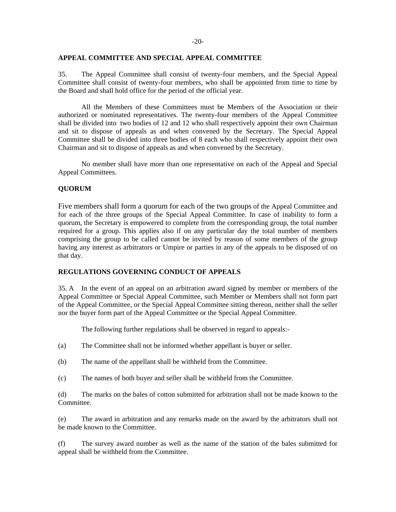#### **APPEAL COMMITTEE AND SPECIAL APPEAL COMMITTEE**

35. The Appeal Committee shall consist of twenty-four members, and the Special Appeal Committee shall consist of twenty-four members, who shall be appointed from time to time by the Board and shall hold office for the period of the official year.

 All the Members of these Committees must be Members of the Association or their authorized or nominated representatives. The twenty-four members of the Appeal Committee shall be divided into two bodies of 12 and 12 who shall respectively appoint their own Chairman and sit to dispose of appeals as and when convened by the Secretary. The Special Appeal Committee shall be divided into three bodies of 8 each who shall respectively appoint their own Chairman and sit to dispose of appeals as and when convened by the Secretary.

 No member shall have more than one representative on each of the Appeal and Special Appeal Committees.

## **QUORUM**

Five members shall form a quorum for each of the two groups of the Appeal Committee and for each of the three groups of the Special Appeal Committee. In case of inability to form a quorum, the Secretary is empowered to complete from the corresponding group, the total number required for a group. This applies also if on any particular day the total number of members comprising the group to be called cannot be invited by reason of some members of the group having any interest as arbitrators or Umpire or parties in any of the appeals to be disposed of on that day.

### **REGULATIONS GOVERNING CONDUCT OF APPEALS**

35. A In the event of an appeal on an arbitration award signed by member or members of the Appeal Committee or Special Appeal Committee, such Member or Members shall not form part of the Appeal Committee, or the Special Appeal Committee sitting thereon, neither shall the seller nor the buyer form part of the Appeal Committee or the Special Appeal Committee.

The following further regulations shall be observed in regard to appeals:-

- (a) The Committee shall not be informed whether appellant is buyer or seller.
- (b) The name of the appellant shall be withheld from the Committee.
- (c) The names of both buyer and seller shall be withheld from the Committee.

(d) The marks on the bales of cotton submitted for arbitration shall not be made known to the Committee.

(e) The award in arbitration and any remarks made on the award by the arbitrators shall not be made known to the Committee.

(f) The survey award number as well as the name of the station of the bales submitted for appeal shall be withheld from the Committee.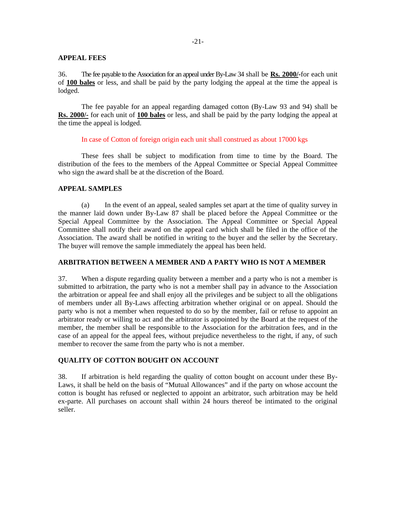### **APPEAL FEES**

36. The fee payable to the Association for an appeal under By-Law 34 shall be **Rs. 2000/-**for each unit of **100 bales** or less, and shall be paid by the party lodging the appeal at the time the appeal is lodged.

The fee payable for an appeal regarding damaged cotton (By-Law 93 and 94) shall be **Rs. 2000/-** for each unit of **100 bales** or less, and shall be paid by the party lodging the appeal at the time the appeal is lodged.

#### In case of Cotton of foreign origin each unit shall construed as about 17000 kgs

 These fees shall be subject to modification from time to time by the Board. The distribution of the fees to the members of the Appeal Committee or Special Appeal Committee who sign the award shall be at the discretion of the Board.

## **APPEAL SAMPLES**

 (a) In the event of an appeal, sealed samples set apart at the time of quality survey in the manner laid down under By-Law 87 shall be placed before the Appeal Committee or the Special Appeal Committee by the Association. The Appeal Committee or Special Appeal Committee shall notify their award on the appeal card which shall be filed in the office of the Association. The award shall be notified in writing to the buyer and the seller by the Secretary. The buyer will remove the sample immediately the appeal has been held.

### **ARBITRATION BETWEEN A MEMBER AND A PARTY WHO IS NOT A MEMBER**

37. When a dispute regarding quality between a member and a party who is not a member is submitted to arbitration, the party who is not a member shall pay in advance to the Association the arbitration or appeal fee and shall enjoy all the privileges and be subject to all the obligations of members under all By-Laws affecting arbitration whether original or on appeal. Should the party who is not a member when requested to do so by the member, fail or refuse to appoint an arbitrator ready or willing to act and the arbitrator is appointed by the Board at the request of the member, the member shall be responsible to the Association for the arbitration fees, and in the case of an appeal for the appeal fees, without prejudice nevertheless to the right, if any, of such member to recover the same from the party who is not a member.

### **QUALITY OF COTTON BOUGHT ON ACCOUNT**

38. If arbitration is held regarding the quality of cotton bought on account under these By-Laws, it shall be held on the basis of "Mutual Allowances" and if the party on whose account the cotton is bought has refused or neglected to appoint an arbitrator, such arbitration may be held ex-parte. All purchases on account shall within 24 hours thereof be intimated to the original seller.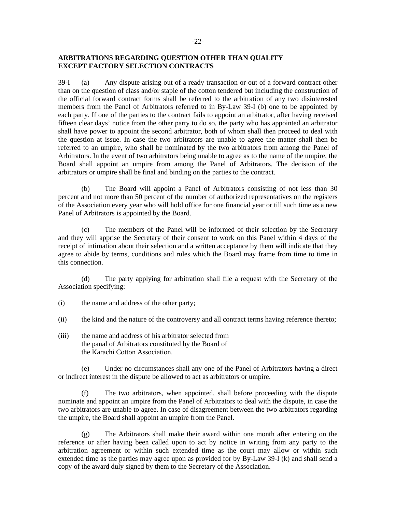# **ARBITRATIONS REGARDING QUESTION OTHER THAN QUALITY EXCEPT FACTORY SELECTION CONTRACTS**

39-I (a) Any dispute arising out of a ready transaction or out of a forward contract other than on the question of class and/or staple of the cotton tendered but including the construction of the official forward contract forms shall be referred to the arbitration of any two disinterested members from the Panel of Arbitrators referred to in By-Law 39-I (b) one to be appointed by each party. If one of the parties to the contract fails to appoint an arbitrator, after having received fifteen clear days' notice from the other party to do so, the party who has appointed an arbitrator shall have power to appoint the second arbitrator, both of whom shall then proceed to deal with the question at issue. In case the two arbitrators are unable to agree the matter shall then be referred to an umpire, who shall be nominated by the two arbitrators from among the Panel of Arbitrators. In the event of two arbitrators being unable to agree as to the name of the umpire, the Board shall appoint an umpire from among the Panel of Arbitrators. The decision of the arbitrators or umpire shall be final and binding on the parties to the contract.

 (b) The Board will appoint a Panel of Arbitrators consisting of not less than 30 percent and not more than 50 percent of the number of authorized representatives on the registers of the Association every year who will hold office for one financial year or till such time as a new Panel of Arbitrators is appointed by the Board.

 (c) The members of the Panel will be informed of their selection by the Secretary and they will apprise the Secretary of their consent to work on this Panel within 4 days of the receipt of intimation about their selection and a written acceptance by them will indicate that they agree to abide by terms, conditions and rules which the Board may frame from time to time in this connection.

 (d) The party applying for arbitration shall file a request with the Secretary of the Association specifying:

- (i) the name and address of the other party;
- (ii) the kind and the nature of the controversy and all contract terms having reference thereto;
- (iii) the name and address of his arbitrator selected from the panal of Arbitrators constituted by the Board of the Karachi Cotton Association.

 (e) Under no circumstances shall any one of the Panel of Arbitrators having a direct or indirect interest in the dispute be allowed to act as arbitrators or umpire.

 (f) The two arbitrators, when appointed, shall before proceeding with the dispute nominate and appoint an umpire from the Panel of Arbitrators to deal with the dispute, in case the two arbitrators are unable to agree. In case of disagreement between the two arbitrators regarding the umpire, the Board shall appoint an umpire from the Panel.

 (g) The Arbitrators shall make their award within one month after entering on the reference or after having been called upon to act by notice in writing from any party to the arbitration agreement or within such extended time as the court may allow or within such extended time as the parties may agree upon as provided for by By-Law 39-I (k) and shall send a copy of the award duly signed by them to the Secretary of the Association.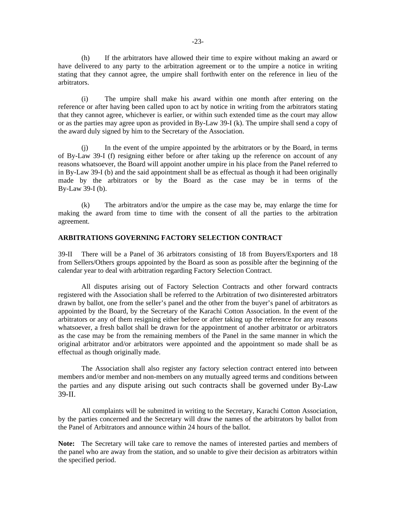(h) If the arbitrators have allowed their time to expire without making an award or have delivered to any party to the arbitration agreement or to the umpire a notice in writing stating that they cannot agree, the umpire shall forthwith enter on the reference in lieu of the arbitrators.

 (i) The umpire shall make his award within one month after entering on the reference or after having been called upon to act by notice in writing from the arbitrators stating that they cannot agree, whichever is earlier, or within such extended time as the court may allow or as the parties may agree upon as provided in By-Law 39-I (k). The umpire shall send a copy of the award duly signed by him to the Secretary of the Association.

In the event of the umpire appointed by the arbitrators or by the Board, in terms of By-Law 39-I (f) resigning either before or after taking up the reference on account of any reasons whatsoever, the Board will appoint another umpire in his place from the Panel referred to in By-Law 39-I (b) and the said appointment shall be as effectual as though it had been originally made by the arbitrators or by the Board as the case may be in terms of the By-Law 39-I (b).

 (k) The arbitrators and/or the umpire as the case may be, may enlarge the time for making the award from time to time with the consent of all the parties to the arbitration agreement.

#### **ARBITRATIONS GOVERNING FACTORY SELECTION CONTRACT**

39-II There will be a Panel of 36 arbitrators consisting of 18 from Buyers/Exporters and 18 from Sellers/Others groups appointed by the Board as soon as possible after the beginning of the calendar year to deal with arbitration regarding Factory Selection Contract.

All disputes arising out of Factory Selection Contracts and other forward contracts registered with the Association shall be referred to the Arbitration of two disinterested arbitrators drawn by ballot, one from the seller's panel and the other from the buyer's panel of arbitrators as appointed by the Board, by the Secretary of the Karachi Cotton Association. In the event of the arbitrators or any of them resigning either before or after taking up the reference for any reasons whatsoever, a fresh ballot shall be drawn for the appointment of another arbitrator or arbitrators as the case may be from the remaining members of the Panel in the same manner in which the original arbitrator and/or arbitrators were appointed and the appointment so made shall be as effectual as though originally made.

 The Association shall also register any factory selection contract entered into between members and/or member and non-members on any mutually agreed terms and conditions between the parties and any dispute arising out such contracts shall be governed under By-Law 39-II.

 All complaints will be submitted in writing to the Secretary, Karachi Cotton Association, by the parties concerned and the Secretary will draw the names of the arbitrators by ballot from the Panel of Arbitrators and announce within 24 hours of the ballot.

**Note:** The Secretary will take care to remove the names of interested parties and members of the panel who are away from the station, and so unable to give their decision as arbitrators within the specified period.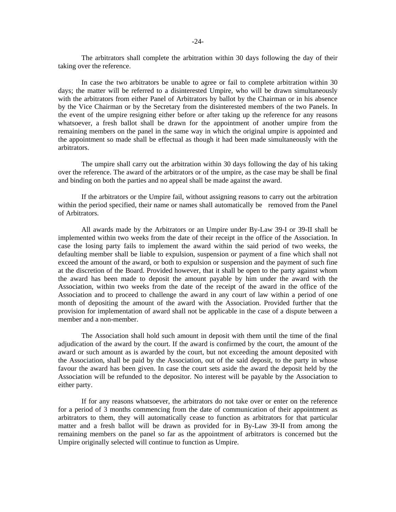The arbitrators shall complete the arbitration within 30 days following the day of their taking over the reference.

 In case the two arbitrators be unable to agree or fail to complete arbitration within 30 days; the matter will be referred to a disinterested Umpire, who will be drawn simultaneously with the arbitrators from either Panel of Arbitrators by ballot by the Chairman or in his absence by the Vice Chairman or by the Secretary from the disinterested members of the two Panels. In the event of the umpire resigning either before or after taking up the reference for any reasons whatsoever, a fresh ballot shall be drawn for the appointment of another umpire from the remaining members on the panel in the same way in which the original umpire is appointed and the appointment so made shall be effectual as though it had been made simultaneously with the arbitrators.

 The umpire shall carry out the arbitration within 30 days following the day of his taking over the reference. The award of the arbitrators or of the umpire, as the case may be shall be final and binding on both the parties and no appeal shall be made against the award.

 If the arbitrators or the Umpire fail, without assigning reasons to carry out the arbitration within the period specified, their name or names shall automatically be removed from the Panel of Arbitrators.

 All awards made by the Arbitrators or an Umpire under By-Law 39-I or 39-II shall be implemented within two weeks from the date of their receipt in the office of the Association. In case the losing party fails to implement the award within the said period of two weeks, the defaulting member shall be liable to expulsion, suspension or payment of a fine which shall not exceed the amount of the award, or both to expulsion or suspension and the payment of such fine at the discretion of the Board. Provided however, that it shall be open to the party against whom the award has been made to deposit the amount payable by him under the award with the Association, within two weeks from the date of the receipt of the award in the office of the Association and to proceed to challenge the award in any court of law within a period of one month of depositing the amount of the award with the Association. Provided further that the provision for implementation of award shall not be applicable in the case of a dispute between a member and a non-member.

 The Association shall hold such amount in deposit with them until the time of the final adjudication of the award by the court. If the award is confirmed by the court, the amount of the award or such amount as is awarded by the court, but not exceeding the amount deposited with the Association, shall be paid by the Association, out of the said deposit, to the party in whose favour the award has been given. In case the court sets aside the award the deposit held by the Association will be refunded to the depositor. No interest will be payable by the Association to either party.

 If for any reasons whatsoever, the arbitrators do not take over or enter on the reference for a period of 3 months commencing from the date of communication of their appointment as arbitrators to them, they will automatically cease to function as arbitrators for that particular matter and a fresh ballot will be drawn as provided for in By-Law 39-II from among the remaining members on the panel so far as the appointment of arbitrators is concerned but the Umpire originally selected will continue to function as Umpire.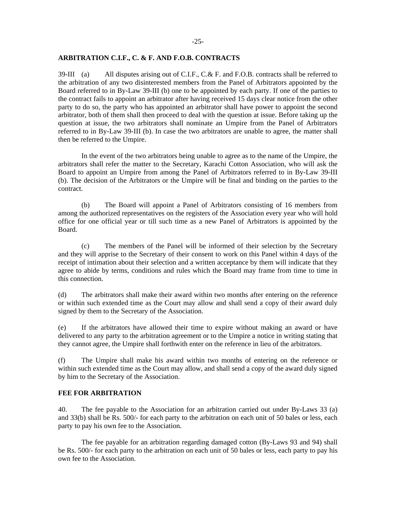### **ARBITRATION C.I.F., C. & F. AND F.O.B. CONTRACTS**

39-III (a) All disputes arising out of C.I.F., C.& F. and F.O.B. contracts shall be referred to the arbitration of any two disinterested members from the Panel of Arbitrators appointed by the Board referred to in By-Law 39-III (b) one to be appointed by each party. If one of the parties to the contract fails to appoint an arbitrator after having received 15 days clear notice from the other party to do so, the party who has appointed an arbitrator shall have power to appoint the second arbitrator, both of them shall then proceed to deal with the question at issue. Before taking up the question at issue, the two arbitrators shall nominate an Umpire from the Panel of Arbitrators referred to in By-Law 39-III (b). In case the two arbitrators are unable to agree, the matter shall then be referred to the Umpire.

 In the event of the two arbitrators being unable to agree as to the name of the Umpire, the arbitrators shall refer the matter to the Secretary, Karachi Cotton Association, who will ask the Board to appoint an Umpire from among the Panel of Arbitrators referred to in By-Law 39-III (b). The decision of the Arbitrators or the Umpire will be final and binding on the parties to the contract.

 (b) The Board will appoint a Panel of Arbitrators consisting of 16 members from among the authorized representatives on the registers of the Association every year who will hold office for one official year or till such time as a new Panel of Arbitrators is appointed by the Board.

 (c) The members of the Panel will be informed of their selection by the Secretary and they will apprise to the Secretary of their consent to work on this Panel within 4 days of the receipt of intimation about their selection and a written acceptance by them will indicate that they agree to abide by terms, conditions and rules which the Board may frame from time to time in this connection.

(d) The arbitrators shall make their award within two months after entering on the reference or within such extended time as the Court may allow and shall send a copy of their award duly signed by them to the Secretary of the Association.

(e) If the arbitrators have allowed their time to expire without making an award or have delivered to any party to the arbitration agreement or to the Umpire a notice in writing stating that they cannot agree, the Umpire shall forthwith enter on the reference in lieu of the arbitrators.

(f) The Umpire shall make his award within two months of entering on the reference or within such extended time as the Court may allow, and shall send a copy of the award duly signed by him to the Secretary of the Association.

### **FEE FOR ARBITRATION**

40. The fee payable to the Association for an arbitration carried out under By-Laws 33 (a) and 33(b) shall be Rs. 500/- for each party to the arbitration on each unit of 50 bales or less, each party to pay his own fee to the Association.

The fee payable for an arbitration regarding damaged cotton (By-Laws 93 and 94) shall be Rs. 500/- for each party to the arbitration on each unit of 50 bales or less, each party to pay his own fee to the Association.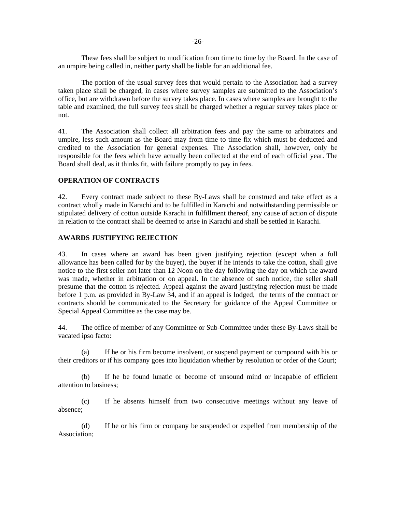-26-

These fees shall be subject to modification from time to time by the Board. In the case of an umpire being called in, neither party shall be liable for an additional fee.

The portion of the usual survey fees that would pertain to the Association had a survey taken place shall be charged, in cases where survey samples are submitted to the Association's office, but are withdrawn before the survey takes place. In cases where samples are brought to the table and examined, the full survey fees shall be charged whether a regular survey takes place or not.

41. The Association shall collect all arbitration fees and pay the same to arbitrators and umpire, less such amount as the Board may from time to time fix which must be deducted and credited to the Association for general expenses. The Association shall, however, only be responsible for the fees which have actually been collected at the end of each official year. The Board shall deal, as it thinks fit, with failure promptly to pay in fees.

## **OPERATION OF CONTRACTS**

42. Every contract made subject to these By-Laws shall be construed and take effect as a contract wholly made in Karachi and to be fulfilled in Karachi and notwithstanding permissible or stipulated delivery of cotton outside Karachi in fulfillment thereof, any cause of action of dispute in relation to the contract shall be deemed to arise in Karachi and shall be settled in Karachi.

## **AWARDS JUSTIFYING REJECTION**

43. In cases where an award has been given justifying rejection (except when a full allowance has been called for by the buyer), the buyer if he intends to take the cotton, shall give notice to the first seller not later than 12 Noon on the day following the day on which the award was made, whether in arbitration or on appeal. In the absence of such notice, the seller shall presume that the cotton is rejected. Appeal against the award justifying rejection must be made before 1 p.m. as provided in By-Law 34, and if an appeal is lodged, the terms of the contract or contracts should be communicated to the Secretary for guidance of the Appeal Committee or Special Appeal Committee as the case may be.

44. The office of member of any Committee or Sub-Committee under these By-Laws shall be vacated ipso facto:

 (a) If he or his firm become insolvent, or suspend payment or compound with his or their creditors or if his company goes into liquidation whether by resolution or order of the Court;

 (b) If he be found lunatic or become of unsound mind or incapable of efficient attention to business;

 (c) If he absents himself from two consecutive meetings without any leave of absence;

 (d) If he or his firm or company be suspended or expelled from membership of the Association;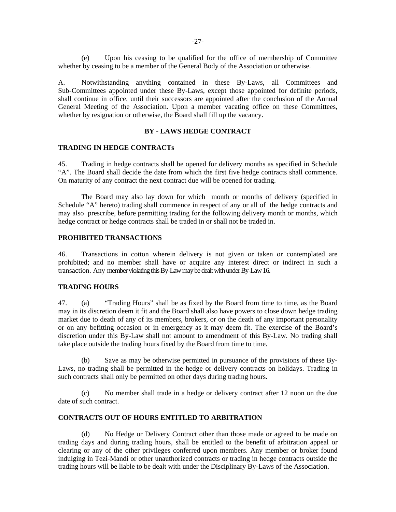(e) Upon his ceasing to be qualified for the office of membership of Committee whether by ceasing to be a member of the General Body of the Association or otherwise.

A. Notwithstanding anything contained in these By-Laws, all Committees and Sub-Committees appointed under these By-Laws, except those appointed for definite periods, shall continue in office, until their successors are appointed after the conclusion of the Annual General Meeting of the Association. Upon a member vacating office on these Committees, whether by resignation or otherwise, the Board shall fill up the vacancy.

# **BY - LAWS HEDGE CONTRACT**

#### **TRADING IN HEDGE CONTRACTs**

45. Trading in hedge contracts shall be opened for delivery months as specified in Schedule "A". The Board shall decide the date from which the first five hedge contracts shall commence. On maturity of any contract the next contract due will be opened for trading.

 The Board may also lay down for which month or months of delivery (specified in Schedule "A" hereto) trading shall commence in respect of any or all of the hedge contracts and may also prescribe, before permitting trading for the following delivery month or months, which hedge contract or hedge contracts shall be traded in or shall not be traded in.

#### **PROHIBITED TRANSACTIONS**

46. Transactions in cotton wherein delivery is not given or taken or contemplated are prohibited; and no member shall have or acquire any interest direct or indirect in such a transaction. Any member violating this By-Law may be dealt with under By-Law 16.

## **TRADING HOURS**

47. (a) "Trading Hours" shall be as fixed by the Board from time to time, as the Board may in its discretion deem it fit and the Board shall also have powers to close down hedge trading market due to death of any of its members, brokers, or on the death of any important personality or on any befitting occasion or in emergency as it may deem fit. The exercise of the Board's discretion under this By-Law shall not amount to amendment of this By-Law. No trading shall take place outside the trading hours fixed by the Board from time to time.

 (b) Save as may be otherwise permitted in pursuance of the provisions of these By-Laws, no trading shall be permitted in the hedge or delivery contracts on holidays. Trading in such contracts shall only be permitted on other days during trading hours.

 (c) No member shall trade in a hedge or delivery contract after 12 noon on the due date of such contract.

### **CONTRACTS OUT OF HOURS ENTITLED TO ARBITRATION**

 (d) No Hedge or Delivery Contract other than those made or agreed to be made on trading days and during trading hours, shall be entitled to the benefit of arbitration appeal or clearing or any of the other privileges conferred upon members. Any member or broker found indulging in Tezi-Mandi or other unauthorized contracts or trading in hedge contracts outside the trading hours will be liable to be dealt with under the Disciplinary By-Laws of the Association.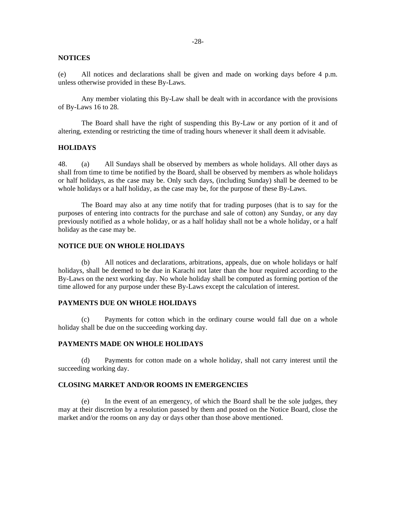#### **NOTICES**

(e) All notices and declarations shall be given and made on working days before 4 p.m. unless otherwise provided in these By-Laws.

Any member violating this By-Law shall be dealt with in accordance with the provisions of By-Laws 16 to 28.

The Board shall have the right of suspending this By-Law or any portion of it and of altering, extending or restricting the time of trading hours whenever it shall deem it advisable.

## **HOLIDAYS**

48. (a) All Sundays shall be observed by members as whole holidays. All other days as shall from time to time be notified by the Board, shall be observed by members as whole holidays or half holidays, as the case may be. Only such days, (including Sunday) shall be deemed to be whole holidays or a half holiday, as the case may be, for the purpose of these By-Laws.

The Board may also at any time notify that for trading purposes (that is to say for the purposes of entering into contracts for the purchase and sale of cotton) any Sunday, or any day previously notified as a whole holiday, or as a half holiday shall not be a whole holiday, or a half holiday as the case may be.

### **NOTICE DUE ON WHOLE HOLIDAYS**

 (b) All notices and declarations, arbitrations, appeals, due on whole holidays or half holidays, shall be deemed to be due in Karachi not later than the hour required according to the By-Laws on the next working day. No whole holiday shall be computed as forming portion of the time allowed for any purpose under these By-Laws except the calculation of interest.

#### **PAYMENTS DUE ON WHOLE HOLIDAYS**

 (c) Payments for cotton which in the ordinary course would fall due on a whole holiday shall be due on the succeeding working day.

#### **PAYMENTS MADE ON WHOLE HOLIDAYS**

 (d) Payments for cotton made on a whole holiday, shall not carry interest until the succeeding working day.

#### **CLOSING MARKET AND/OR ROOMS IN EMERGENCIES**

 (e) In the event of an emergency, of which the Board shall be the sole judges, they may at their discretion by a resolution passed by them and posted on the Notice Board, close the market and/or the rooms on any day or days other than those above mentioned.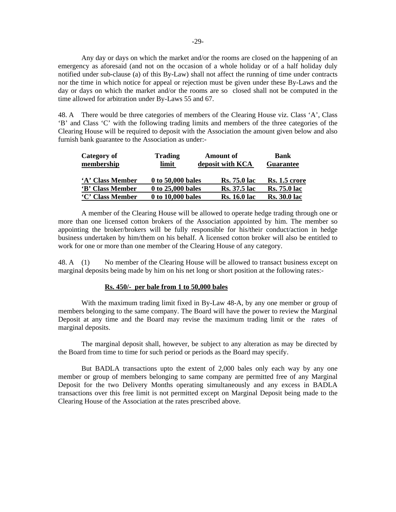Any day or days on which the market and/or the rooms are closed on the happening of an emergency as aforesaid (and not on the occasion of a whole holiday or of a half holiday duly notified under sub-clause (a) of this By-Law) shall not affect the running of time under contracts nor the time in which notice for appeal or rejection must be given under these By-Laws and the day or days on which the market and/or the rooms are so closed shall not be computed in the time allowed for arbitration under By-Laws 55 and 67.

48. A There would be three categories of members of the Clearing House viz. Class 'A', Class 'B' and Class 'C' with the following trading limits and members of the three categories of the Clearing House will be required to deposit with the Association the amount given below and also furnish bank guarantee to the Association as under:-

| Category of<br>membership | <b>Trading</b><br>limit | <b>Amount of</b><br>deposit with KCA | <b>Bank</b><br><b>Guarantee</b> |
|---------------------------|-------------------------|--------------------------------------|---------------------------------|
| 'A' Class Member          | 0 to 50,000 bales       | <b>Rs.</b> 75.0 lac                  | Rs. 1.5 crore                   |
| 'B' Class Member          | 0 to 25,000 bales       | <b>Rs.</b> 37.5 lac                  | <b>Rs.</b> 75.0 lac             |
| 'C' Class Member          | 0 to 10,000 bales       | <b>Rs. 16.0 lac</b>                  | <b>Rs. 30.0 lac</b>             |

 A member of the Clearing House will be allowed to operate hedge trading through one or more than one licensed cotton brokers of the Association appointed by him. The member so appointing the broker/brokers will be fully responsible for his/their conduct/action in hedge business undertaken by him/them on his behalf. A licensed cotton broker will also be entitled to work for one or more than one member of the Clearing House of any category.

48. A (1) No member of the Clearing House will be allowed to transact business except on marginal deposits being made by him on his net long or short position at the following rates:-

## **Rs. 450/- per bale from 1 to 50,000 bales**

With the maximum trading limit fixed in By-Law 48-A, by any one member or group of members belonging to the same company. The Board will have the power to review the Marginal Deposit at any time and the Board may revise the maximum trading limit or the rates of marginal deposits.

The marginal deposit shall, however, be subject to any alteration as may be directed by the Board from time to time for such period or periods as the Board may specify.

But BADLA transactions upto the extent of 2,000 bales only each way by any one member or group of members belonging to same company are permitted free of any Marginal Deposit for the two Delivery Months operating simultaneously and any excess in BADLA transactions over this free limit is not permitted except on Marginal Deposit being made to the Clearing House of the Association at the rates prescribed above.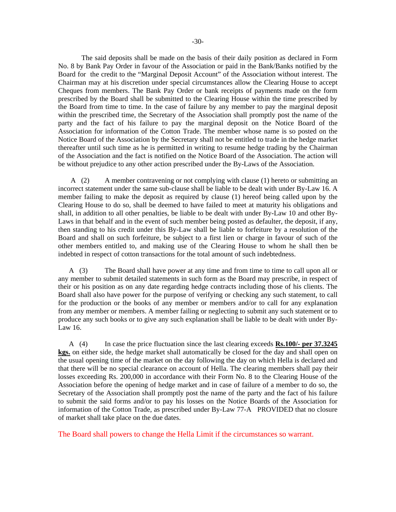The said deposits shall be made on the basis of their daily position as declared in Form No. 8 by Bank Pay Order in favour of the Association or paid in the Bank/Banks notified by the Board for the credit to the "Marginal Deposit Account" of the Association without interest. The Chairman may at his discretion under special circumstances allow the Clearing House to accept Cheques from members. The Bank Pay Order or bank receipts of payments made on the form prescribed by the Board shall be submitted to the Clearing House within the time prescribed by the Board from time to time. In the case of failure by any member to pay the marginal deposit within the prescribed time, the Secretary of the Association shall promptly post the name of the party and the fact of his failure to pay the marginal deposit on the Notice Board of the Association for information of the Cotton Trade. The member whose name is so posted on the Notice Board of the Association by the Secretary shall not be entitled to trade in the hedge market thereafter until such time as he is permitted in writing to resume hedge trading by the Chairman of the Association and the fact is notified on the Notice Board of the Association. The action will be without prejudice to any other action prescribed under the By-Laws of the Association.

 A (2) A member contravening or not complying with clause (1) hereto or submitting an incorrect statement under the same sub-clause shall be liable to be dealt with under By-Law 16. A member failing to make the deposit as required by clause (1) hereof being called upon by the Clearing House to do so, shall be deemed to have failed to meet at maturity his obligations and shall, in addition to all other penalties, be liable to be dealt with under By-Law 10 and other By-Laws in that behalf and in the event of such member being posted as defaulter, the deposit, if any, then standing to his credit under this By-Law shall be liable to forfeiture by a resolution of the Board and shall on such forfeiture, be subject to a first lien or charge in favour of such of the other members entitled to, and making use of the Clearing House to whom he shall then be indebted in respect of cotton transactions for the total amount of such indebtedness.

 A (3) The Board shall have power at any time and from time to time to call upon all or any member to submit detailed statements in such form as the Board may prescribe, in respect of their or his position as on any date regarding hedge contracts including those of his clients. The Board shall also have power for the purpose of verifying or checking any such statement, to call for the production or the books of any member or members and/or to call for any explanation from any member or members. A member failing or neglecting to submit any such statement or to produce any such books or to give any such explanation shall be liable to be dealt with under By-Law 16.

 A (4) In case the price fluctuation since the last clearing exceeds **Rs.100/- per 37.3245 kgs.** on either side, the hedge market shall automatically be closed for the day and shall open on the usual opening time of the market on the day following the day on which Hella is declared and that there will be no special clearance on account of Hella. The clearing members shall pay their losses exceeding Rs. 200,000 in accordance with their Form No. 8 to the Clearing House of the Association before the opening of hedge market and in case of failure of a member to do so, the Secretary of the Association shall promptly post the name of the party and the fact of his failure to submit the said forms and/or to pay his losses on the Notice Boards of the Association for information of the Cotton Trade, as prescribed under By-Law 77-A PROVIDED that no closure of market shall take place on the due dates.

The Board shall powers to change the Hella Limit if the circumstances so warrant.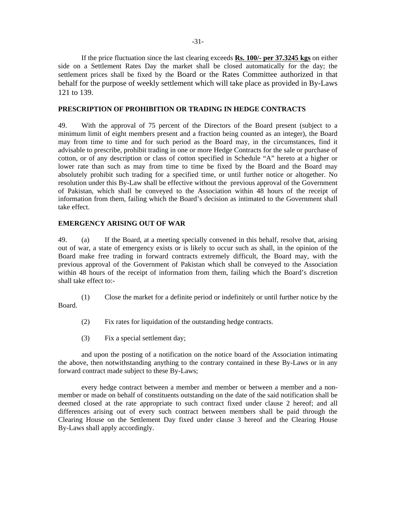If the price fluctuation since the last clearing exceeds **Rs. 100/- per 37.3245 kgs** on either side on a Settlement Rates Day the market shall be closed automatically for the day; the settlement prices shall be fixed by the Board or the Rates Committee authorized in that behalf for the purpose of weekly settlement which will take place as provided in By-Laws 121 to 139.

#### **PRESCRIPTION OF PROHIBITION OR TRADING IN HEDGE CONTRACTS**

49. With the approval of 75 percent of the Directors of the Board present (subject to a minimum limit of eight members present and a fraction being counted as an integer), the Board may from time to time and for such period as the Board may, in the circumstances, find it advisable to prescribe, prohibit trading in one or more Hedge Contracts for the sale or purchase of cotton, or of any description or class of cotton specified in Schedule "A" hereto at a higher or lower rate than such as may from time to time be fixed by the Board and the Board may absolutely prohibit such trading for a specified time, or until further notice or altogether. No resolution under this By-Law shall be effective without the previous approval of the Government of Pakistan, which shall be conveyed to the Association within 48 hours of the receipt of information from them, failing which the Board's decision as intimated to the Government shall take effect.

#### **EMERGENCY ARISING OUT OF WAR**

49. (a) If the Board, at a meeting specially convened in this behalf, resolve that, arising out of war, a state of emergency exists or is likely to occur such as shall, in the opinion of the Board make free trading in forward contracts extremely difficult, the Board may, with the previous approval of the Government of Pakistan which shall be conveyed to the Association within 48 hours of the receipt of information from them, failing which the Board's discretion shall take effect to:-

 (1) Close the market for a definite period or indefinitely or until further notice by the Board.

- (2) Fix rates for liquidation of the outstanding hedge contracts.
- (3) Fix a special settlement day;

 and upon the posting of a notification on the notice board of the Association intimating the above, then notwithstanding anything to the contrary contained in these By-Laws or in any forward contract made subject to these By-Laws;

every hedge contract between a member and member or between a member and a nonmember or made on behalf of constituents outstanding on the date of the said notification shall be deemed closed at the rate appropriate to such contract fixed under clause 2 hereof; and all differences arising out of every such contract between members shall be paid through the Clearing House on the Settlement Day fixed under clause 3 hereof and the Clearing House By-Laws shall apply accordingly.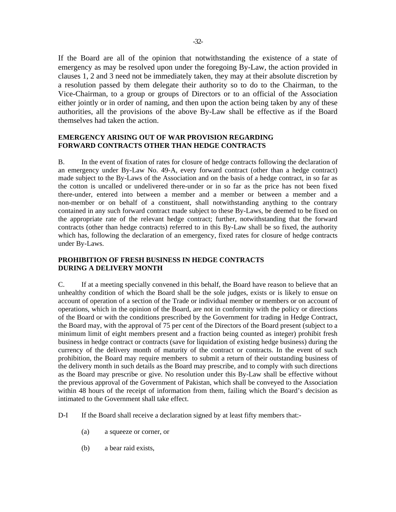If the Board are all of the opinion that notwithstanding the existence of a state of emergency as may be resolved upon under the foregoing By-Law, the action provided in clauses 1, 2 and 3 need not be immediately taken, they may at their absolute discretion by a resolution passed by them delegate their authority so to do to the Chairman, to the Vice-Chairman, to a group or groups of Directors or to an official of the Association either jointly or in order of naming, and then upon the action being taken by any of these authorities, all the provisions of the above By-Law shall be effective as if the Board themselves had taken the action.

# **EMERGENCY ARISING OUT OF WAR PROVISION REGARDING FORWARD CONTRACTS OTHER THAN HEDGE CONTRACTS**

B. In the event of fixation of rates for closure of hedge contracts following the declaration of an emergency under By-Law No. 49-A, every forward contract (other than a hedge contract) made subject to the By-Laws of the Association and on the basis of a hedge contract, in so far as the cotton is uncalled or undelivered there-under or in so far as the price has not been fixed there-under, entered into between a member and a member or between a member and a non-member or on behalf of a constituent, shall notwithstanding anything to the contrary contained in any such forward contract made subject to these By-Laws, be deemed to be fixed on the appropriate rate of the relevant hedge contract; further, notwithstanding that the forward contracts (other than hedge contracts) referred to in this By-Law shall be so fixed, the authority which has, following the declaration of an emergency, fixed rates for closure of hedge contracts under By-Laws.

# **PROHIBITION OF FRESH BUSINESS IN HEDGE CONTRACTS DURING A DELIVERY MONTH**

C. If at a meeting specially convened in this behalf, the Board have reason to believe that an unhealthy condition of which the Board shall be the sole judges, exists or is likely to ensue on account of operation of a section of the Trade or individual member or members or on account of operations, which in the opinion of the Board, are not in conformity with the policy or directions of the Board or with the conditions prescribed by the Government for trading in Hedge Contract, the Board may, with the approval of 75 per cent of the Directors of the Board present (subject to a minimum limit of eight members present and a fraction being counted as integer) prohibit fresh business in hedge contract or contracts (save for liquidation of existing hedge business) during the currency of the delivery month of maturity of the contract or contracts. In the event of such prohibition, the Board may require members to submit a return of their outstanding business of the delivery month in such details as the Board may prescribe, and to comply with such directions as the Board may prescribe or give. No resolution under this By-Law shall be effective without the previous approval of the Government of Pakistan, which shall be conveyed to the Association within 48 hours of the receipt of information from them, failing which the Board's decision as intimated to the Government shall take effect.

D-I If the Board shall receive a declaration signed by at least fifty members that:-

- (a) a squeeze or corner, or
- (b) a bear raid exists,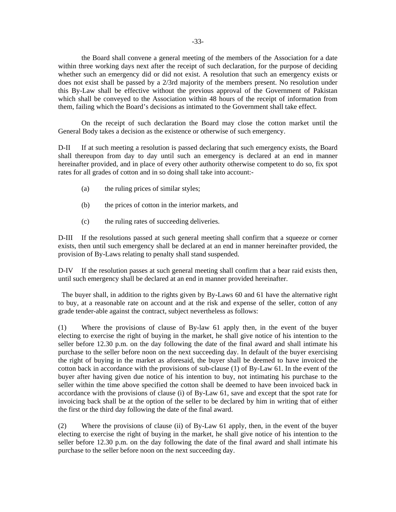-33-

the Board shall convene a general meeting of the members of the Association for a date within three working days next after the receipt of such declaration, for the purpose of deciding whether such an emergency did or did not exist. A resolution that such an emergency exists or does not exist shall be passed by a 2/3rd majority of the members present. No resolution under this By-Law shall be effective without the previous approval of the Government of Pakistan which shall be conveyed to the Association within 48 hours of the receipt of information from them, failing which the Board's decisions as intimated to the Government shall take effect.

 On the receipt of such declaration the Board may close the cotton market until the General Body takes a decision as the existence or otherwise of such emergency.

D-II If at such meeting a resolution is passed declaring that such emergency exists, the Board shall thereupon from day to day until such an emergency is declared at an end in manner hereinafter provided, and in place of every other authority otherwise competent to do so, fix spot rates for all grades of cotton and in so doing shall take into account:-

- (a) the ruling prices of similar styles;
- (b) the prices of cotton in the interior markets, and
- (c) the ruling rates of succeeding deliveries.

D-III If the resolutions passed at such general meeting shall confirm that a squeeze or corner exists, then until such emergency shall be declared at an end in manner hereinafter provided, the provision of By-Laws relating to penalty shall stand suspended.

D-IV If the resolution passes at such general meeting shall confirm that a bear raid exists then, until such emergency shall be declared at an end in manner provided hereinafter.

 The buyer shall, in addition to the rights given by By-Laws 60 and 61 have the alternative right to buy, at a reasonable rate on account and at the risk and expense of the seller, cotton of any grade tender-able against the contract, subject nevertheless as follows:

(1) Where the provisions of clause of By-law 61 apply then, in the event of the buyer electing to exercise the right of buying in the market, he shall give notice of his intention to the seller before 12.30 p.m. on the day following the date of the final award and shall intimate his purchase to the seller before noon on the next succeeding day. In default of the buyer exercising the right of buying in the market as aforesaid, the buyer shall be deemed to have invoiced the cotton back in accordance with the provisions of sub-clause (1) of By-Law 61. In the event of the buyer after having given due notice of his intention to buy, not intimating his purchase to the seller within the time above specified the cotton shall be deemed to have been invoiced back in accordance with the provisions of clause (i) of By-Law 61, save and except that the spot rate for invoicing back shall be at the option of the seller to be declared by him in writing that of either the first or the third day following the date of the final award.

(2) Where the provisions of clause (ii) of By-Law 61 apply, then, in the event of the buyer electing to exercise the right of buying in the market, he shall give notice of his intention to the seller before 12.30 p.m. on the day following the date of the final award and shall intimate his purchase to the seller before noon on the next succeeding day.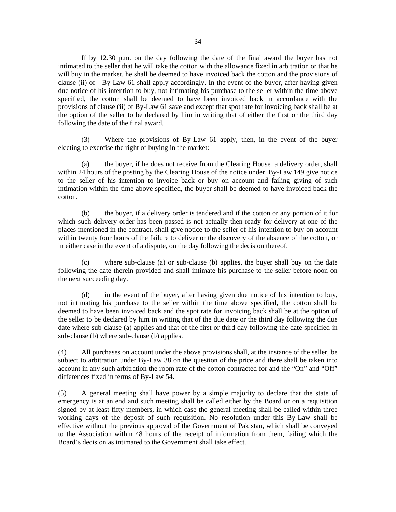If by 12.30 p.m. on the day following the date of the final award the buyer has not intimated to the seller that he will take the cotton with the allowance fixed in arbitration or that he will buy in the market, he shall be deemed to have invoiced back the cotton and the provisions of clause (ii) of By-Law 61 shall apply accordingly. In the event of the buyer, after having given due notice of his intention to buy, not intimating his purchase to the seller within the time above specified, the cotton shall be deemed to have been invoiced back in accordance with the provisions of clause (ii) of By-Law 61 save and except that spot rate for invoicing back shall be at the option of the seller to be declared by him in writing that of either the first or the third day following the date of the final award.

 (3) Where the provisions of By-Law 61 apply, then, in the event of the buyer electing to exercise the right of buying in the market:

 (a) the buyer, if he does not receive from the Clearing House a delivery order, shall within 24 hours of the posting by the Clearing House of the notice under By-Law 149 give notice to the seller of his intention to invoice back or buy on account and failing giving of such intimation within the time above specified, the buyer shall be deemed to have invoiced back the cotton.

 (b) the buyer, if a delivery order is tendered and if the cotton or any portion of it for which such delivery order has been passed is not actually then ready for delivery at one of the places mentioned in the contract, shall give notice to the seller of his intention to buy on account within twenty four hours of the failure to deliver or the discovery of the absence of the cotton, or in either case in the event of a dispute, on the day following the decision thereof.

 (c) where sub-clause (a) or sub-clause (b) applies, the buyer shall buy on the date following the date therein provided and shall intimate his purchase to the seller before noon on the next succeeding day.

 (d) in the event of the buyer, after having given due notice of his intention to buy, not intimating his purchase to the seller within the time above specified, the cotton shall be deemed to have been invoiced back and the spot rate for invoicing back shall be at the option of the seller to be declared by him in writing that of the due date or the third day following the due date where sub-clause (a) applies and that of the first or third day following the date specified in sub-clause (b) where sub-clause (b) applies.

(4) All purchases on account under the above provisions shall, at the instance of the seller, be subject to arbitration under By-Law 38 on the question of the price and there shall be taken into account in any such arbitration the room rate of the cotton contracted for and the "On" and "Off" differences fixed in terms of By-Law 54.

(5) A general meeting shall have power by a simple majority to declare that the state of emergency is at an end and such meeting shall be called either by the Board or on a requisition signed by at-least fifty members, in which case the general meeting shall be called within three working days of the deposit of such requisition. No resolution under this By-Law shall be effective without the previous approval of the Government of Pakistan, which shall be conveyed to the Association within 48 hours of the receipt of information from them, failing which the Board's decision as intimated to the Government shall take effect.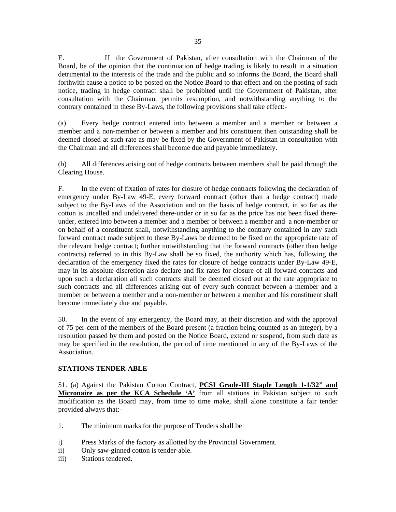E. If the Government of Pakistan, after consultation with the Chairman of the Board, be of the opinion that the continuation of hedge trading is likely to result in a situation detrimental to the interests of the trade and the public and so informs the Board, the Board shall forthwith cause a notice to be posted on the Notice Board to that effect and on the posting of such notice, trading in hedge contract shall be prohibited until the Government of Pakistan, after consultation with the Chairman, permits resumption, and notwithstanding anything to the contrary contained in these By-Laws, the following provisions shall take effect:-

(a) Every hedge contract entered into between a member and a member or between a member and a non-member or between a member and his constituent then outstanding shall be deemed closed at such rate as may be fixed by the Government of Pakistan in consultation with the Chairman and all differences shall become due and payable immediately.

(b) All differences arising out of hedge contracts between members shall be paid through the Clearing House.

F. In the event of fixation of rates for closure of hedge contracts following the declaration of emergency under By-Law 49-E, every forward contract (other than a hedge contract) made subject to the By-Laws of the Association and on the basis of hedge contract, in so far as the cotton is uncalled and undelivered there-under or in so far as the price has not been fixed thereunder, entered into between a member and a member or between a member and a non-member or on behalf of a constituent shall, notwithstanding anything to the contrary contained in any such forward contract made subject to these By-Laws be deemed to be fixed on the appropriate rate of the relevant hedge contract; further notwithstanding that the forward contracts (other than hedge contracts) referred to in this By-Law shall be so fixed, the authority which has, following the declaration of the emergency fixed the rates for closure of hedge contracts under By-Law 49-E, may in its absolute discretion also declare and fix rates for closure of all forward contracts and upon such a declaration all such contracts shall be deemed closed out at the rate appropriate to such contracts and all differences arising out of every such contract between a member and a member or between a member and a non-member or between a member and his constituent shall become immediately due and payable.

50. In the event of any emergency, the Board may, at their discretion and with the approval of 75 per-cent of the members of the Board present (a fraction being counted as an integer), by a resolution passed by them and posted on the Notice Board, extend or suspend, from such date as may be specified in the resolution, the period of time mentioned in any of the By-Laws of the Association.

# **STATIONS TENDER-ABLE**

51. (a) Against the Pakistan Cotton Contract, **PCSI Grade-III Staple Length 1-1/32" and Micronaire as per the KCA Schedule 'A'** from all stations in Pakistan subject to such modification as the Board may, from time to time make, shall alone constitute a fair tender provided always that:-

- 1. The minimum marks for the purpose of Tenders shall be
- i) Press Marks of the factory as allotted by the Provincial Government.
- ii) Only saw-ginned cotton is tender-able.
- iii) Stations tendered.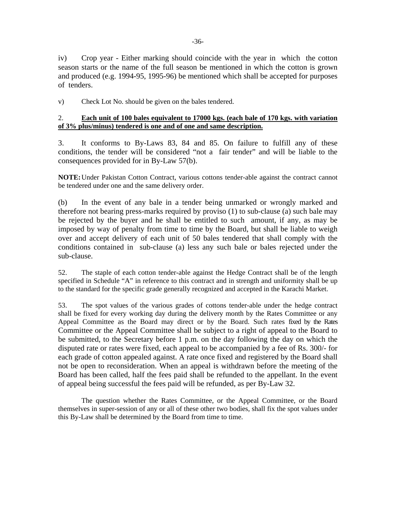iv) Crop year - Either marking should coincide with the year in which the cotton season starts or the name of the full season be mentioned in which the cotton is grown and produced (e.g. 1994-95, 1995-96) be mentioned which shall be accepted for purposes of tenders.

v) Check Lot No. should be given on the bales tendered.

# 2. **Each unit of 100 bales equivalent to 17000 kgs. (each bale of 170 kgs. with variation of 3% plus/minus) tendered is one and of one and same description.**

3. It conforms to By-Laws 83, 84 and 85. On failure to fulfill any of these conditions, the tender will be considered "not a fair tender" and will be liable to the consequences provided for in By-Law 57(b).

**NOTE:** Under Pakistan Cotton Contract, various cottons tender-able against the contract cannot be tendered under one and the same delivery order.

(b) In the event of any bale in a tender being unmarked or wrongly marked and therefore not bearing press-marks required by proviso (1) to sub-clause (a) such bale may be rejected by the buyer and he shall be entitled to such amount, if any, as may be imposed by way of penalty from time to time by the Board, but shall be liable to weigh over and accept delivery of each unit of 50 bales tendered that shall comply with the conditions contained in sub-clause (a) less any such bale or bales rejected under the sub-clause.

52. The staple of each cotton tender-able against the Hedge Contract shall be of the length specified in Schedule "A" in reference to this contract and in strength and uniformity shall be up to the standard for the specific grade generally recognized and accepted in the Karachi Market.

53. The spot values of the various grades of cottons tender-able under the hedge contract shall be fixed for every working day during the delivery month by the Rates Committee or any Appeal Committee as the Board may direct or by the Board. Such rates fixed by the Rates Committee or the Appeal Committee shall be subject to a right of appeal to the Board to be submitted, to the Secretary before 1 p.m. on the day following the day on which the disputed rate or rates were fixed, each appeal to be accompanied by a fee of Rs. 300/- for each grade of cotton appealed against. A rate once fixed and registered by the Board shall not be open to reconsideration. When an appeal is withdrawn before the meeting of the Board has been called, half the fees paid shall be refunded to the appellant. In the event of appeal being successful the fees paid will be refunded, as per By-Law 32.

The question whether the Rates Committee, or the Appeal Committee, or the Board themselves in super-session of any or all of these other two bodies, shall fix the spot values under this By-Law shall be determined by the Board from time to time.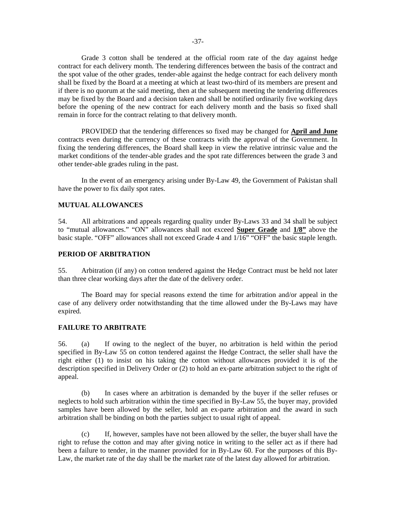Grade 3 cotton shall be tendered at the official room rate of the day against hedge contract for each delivery month. The tendering differences between the basis of the contract and the spot value of the other grades, tender-able against the hedge contract for each delivery month shall be fixed by the Board at a meeting at which at least two-third of its members are present and if there is no quorum at the said meeting, then at the subsequent meeting the tendering differences may be fixed by the Board and a decision taken and shall be notified ordinarily five working days before the opening of the new contract for each delivery month and the basis so fixed shall remain in force for the contract relating to that delivery month.

PROVIDED that the tendering differences so fixed may be changed for **April and June** contracts even during the currency of these contracts with the approval of the Government. In fixing the tendering differences, the Board shall keep in view the relative intrinsic value and the market conditions of the tender-able grades and the spot rate differences between the grade 3 and other tender-able grades ruling in the past.

In the event of an emergency arising under By-Law 49, the Government of Pakistan shall have the power to fix daily spot rates.

#### **MUTUAL ALLOWANCES**

54. All arbitrations and appeals regarding quality under By-Laws 33 and 34 shall be subject to "mutual allowances." "ON" allowances shall not exceed **Super Grade** and **1/8"** above the basic staple. "OFF" allowances shall not exceed Grade 4 and 1/16" "OFF" the basic staple length.

### **PERIOD OF ARBITRATION**

55. Arbitration (if any) on cotton tendered against the Hedge Contract must be held not later than three clear working days after the date of the delivery order.

The Board may for special reasons extend the time for arbitration and/or appeal in the case of any delivery order notwithstanding that the time allowed under the By-Laws may have expired.

### **FAILURE TO ARBITRATE**

56. (a) If owing to the neglect of the buyer, no arbitration is held within the period specified in By-Law 55 on cotton tendered against the Hedge Contract, the seller shall have the right either (1) to insist on his taking the cotton without allowances provided it is of the description specified in Delivery Order or (2) to hold an ex-parte arbitration subject to the right of appeal.

 (b) In cases where an arbitration is demanded by the buyer if the seller refuses or neglects to hold such arbitration within the time specified in By-Law 55, the buyer may, provided samples have been allowed by the seller, hold an ex-parte arbitration and the award in such arbitration shall be binding on both the parties subject to usual right of appeal.

 (c) If, however, samples have not been allowed by the seller, the buyer shall have the right to refuse the cotton and may after giving notice in writing to the seller act as if there had been a failure to tender, in the manner provided for in By-Law 60. For the purposes of this By-Law, the market rate of the day shall be the market rate of the latest day allowed for arbitration.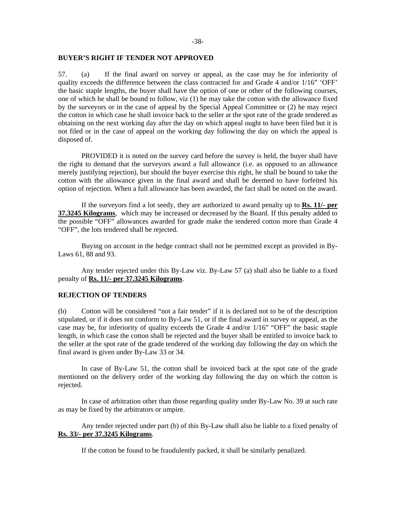#### **BUYER'S RIGHT IF TENDER NOT APPROVED**

57. (a) If the final award on survey or appeal, as the case may be for inferiority of quality exceeds the difference between the class contracted for and Grade 4 and/or 1/16" 'OFF' the basic staple lengths, the buyer shall have the option of one or other of the following courses, one of which he shall be bound to follow, viz (1) he may take the cotton with the allowance fixed by the surveyors or in the case of appeal by the Special Appeal Committee or (2) he may reject the cotton in which case he shall invoice back to the seller at the spot rate of the grade tendered as obtaining on the next working day after the day on which appeal ought to have been filed but it is not filed or in the case of appeal on the working day following the day on which the appeal is disposed of.

PROVIDED it is noted on the survey card before the survey is held, the buyer shall have the right to demand that the surveyors award a full allowance (i.e. as opposed to an allowance merely justifying rejection), but should the buyer exercise this right, he shall be bound to take the cotton with the allowance given in the final award and shall be deemed to have forfeited his option of rejection. When a full allowance has been awarded, the fact shall be noted on the award.

If the surveyors find a lot seedy, they are authorized to award penalty up to **Rs. 11/- per 37.3245 Kilograms**, which may be increased or decreased by the Board. If this penalty added to the possible "OFF" allowances awarded for grade make the tendered cotton more than Grade 4 "OFF", the lots tendered shall be rejected.

Buying on account in the hedge contract shall not be permitted except as provided in By-Laws 61, 88 and 93.

Any tender rejected under this By-Law viz. By-Law 57 (a) shall also be liable to a fixed penalty of **Rs. 11/- per 37.3245 Kilograms**.

### **REJECTION OF TENDERS**

(b) Cotton will be considered "not a fair tender" if it is declared not to be of the description stipulated, or if it does not conform to By-Law 51, or if the final award in survey or appeal, as the case may be, for inferiority of quality exceeds the Grade 4 and/or 1/16" "OFF" the basic staple length, in which case the cotton shall be rejected and the buyer shall be entitled to invoice back to the seller at the spot rate of the grade tendered of the working day following the day on which the final award is given under By-Law 33 or 34.

In case of By-Law 51, the cotton shall be invoiced back at the spot rate of the grade mentioned on the delivery order of the working day following the day on which the cotton is rejected.

In case of arbitration other than those regarding quality under By-Law No. 39 at such rate as may be fixed by the arbitrators or umpire.

Any tender rejected under part (b) of this By-Law shall also be liable to a fixed penalty of **Rs. 33/- per 37.3245 Kilograms**.

If the cotton be found to be fraudulently packed, it shall be similarly penalized.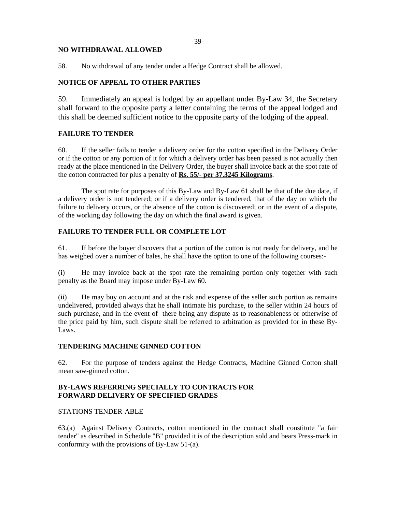# **NO WITHDRAWAL ALLOWED**

58. No withdrawal of any tender under a Hedge Contract shall be allowed.

# **NOTICE OF APPEAL TO OTHER PARTIES**

59. Immediately an appeal is lodged by an appellant under By-Law 34, the Secretary shall forward to the opposite party a letter containing the terms of the appeal lodged and this shall be deemed sufficient notice to the opposite party of the lodging of the appeal.

# **FAILURE TO TENDER**

60. If the seller fails to tender a delivery order for the cotton specified in the Delivery Order or if the cotton or any portion of it for which a delivery order has been passed is not actually then ready at the place mentioned in the Delivery Order, the buyer shall invoice back at the spot rate of the cotton contracted for plus a penalty of **Rs. 55/- per 37.3245 Kilograms**.

The spot rate for purposes of this By-Law and By-Law 61 shall be that of the due date, if a delivery order is not tendered; or if a delivery order is tendered, that of the day on which the failure to delivery occurs, or the absence of the cotton is discovered; or in the event of a dispute, of the working day following the day on which the final award is given.

# **FAILURE TO TENDER FULL OR COMPLETE LOT**

61. If before the buyer discovers that a portion of the cotton is not ready for delivery, and he has weighed over a number of bales, he shall have the option to one of the following courses:-

(i) He may invoice back at the spot rate the remaining portion only together with such penalty as the Board may impose under By-Law 60.

(ii) He may buy on account and at the risk and expense of the seller such portion as remains undelivered, provided always that he shall intimate his purchase, to the seller within 24 hours of such purchase, and in the event of there being any dispute as to reasonableness or otherwise of the price paid by him, such dispute shall be referred to arbitration as provided for in these By-Laws.

## **TENDERING MACHINE GINNED COTTON**

62. For the purpose of tenders against the Hedge Contracts, Machine Ginned Cotton shall mean saw-ginned cotton.

# **BY-LAWS REFERRING SPECIALLY TO CONTRACTS FOR FORWARD DELIVERY OF SPECIFIED GRADES**

### STATIONS TENDER-ABLE

63.(a) Against Delivery Contracts, cotton mentioned in the contract shall constitute "a fair tender" as described in Schedule "B" provided it is of the description sold and bears Press-mark in conformity with the provisions of By-Law 51-(a).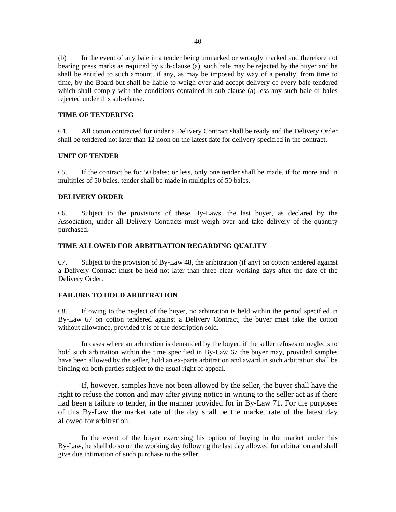(b) In the event of any bale in a tender being unmarked or wrongly marked and therefore not bearing press marks as required by sub-clause (a), such bale may be rejected by the buyer and he shall be entitled to such amount, if any, as may be imposed by way of a penalty, from time to time, by the Board but shall be liable to weigh over and accept delivery of every bale tendered which shall comply with the conditions contained in sub-clause (a) less any such bale or bales rejected under this sub-clause.

### **TIME OF TENDERING**

64. All cotton contracted for under a Delivery Contract shall be ready and the Delivery Order shall be tendered not later than 12 noon on the latest date for delivery specified in the contract.

#### **UNIT OF TENDER**

65. If the contract be for 50 bales; or less, only one tender shall be made, if for more and in multiples of 50 bales, tender shall be made in multiples of 50 bales.

### **DELIVERY ORDER**

66. Subject to the provisions of these By-Laws, the last buyer, as declared by the Association, under all Delivery Contracts must weigh over and take delivery of the quantity purchased.

## **TIME ALLOWED FOR ARBITRATION REGARDING QUALITY**

67. Subject to the provision of By-Law 48, the aribitration (if any) on cotton tendered against a Delivery Contract must be held not later than three clear working days after the date of the Delivery Order.

# **FAILURE TO HOLD ARBITRATION**

68. If owing to the neglect of the buyer, no arbitration is held within the period specified in By-Law 67 on cotton tendered against a Delivery Contract, the buyer must take the cotton without allowance, provided it is of the description sold.

In cases where an arbitration is demanded by the buyer, if the seller refuses or neglects to hold such arbitration within the time specified in By-Law 67 the buyer may, provided samples have been allowed by the seller, hold an ex-parte arbitration and award in such arbitration shall be binding on both parties subject to the usual right of appeal.

If, however, samples have not been allowed by the seller, the buyer shall have the right to refuse the cotton and may after giving notice in writing to the seller act as if there had been a failure to tender, in the manner provided for in By-Law 71. For the purposes of this By-Law the market rate of the day shall be the market rate of the latest day allowed for arbitration.

In the event of the buyer exercising his option of buying in the market under this By-Law, he shall do so on the working day following the last day allowed for arbitration and shall give due intimation of such purchase to the seller.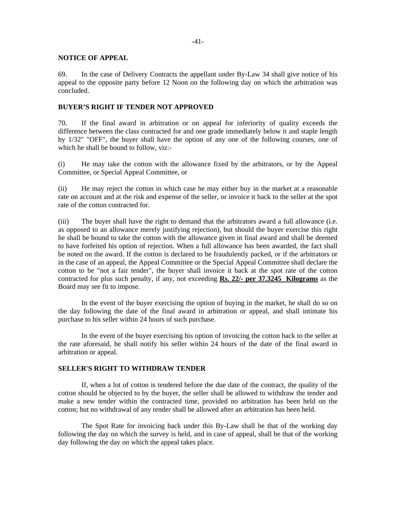### **NOTICE OF APPEAL**

69. In the case of Delivery Contracts the appellant under By-Law 34 shall give notice of his appeal to the opposite party before 12 Noon on the following day on which the arbitration was concluded.

## **BUYER'S RIGHT IF TENDER NOT APPROVED**

70. If the final award in arbitration or on appeal for inferiority of quality exceeds the difference between the class contracted for and one grade immediately below it and staple length by 1/32" "OFF", the buyer shall have the option of any one of the following courses, one of which he shall be bound to follow, viz:-

(i) He may take the cotton with the allowance fixed by the arbitrators, or by the Appeal Committee, or Special Appeal Committee, or

(ii) He may reject the cotton in which case he may either buy in the market at a reasonable rate on account and at the risk and expense of the seller, or invoice it back to the seller at the spot rate of the cotton contracted for.

(iii) The buyer shall have the right to demand that the arbitrators award a full allowance (i.e. as opposed to an allowance merely justifying rejection), but should the buyer exercise this right he shall be bound to take the cotton with the allowance given in final award and shall be deemed to have forfeited his option of rejection. When a full allowance has been awarded, the fact shall be noted on the award. If the cotton is declared to be fraudulently packed, or if the arbitrators or in the case of an appeal, the Appeal Committee or the Special Appeal Committee shall declare the cotton to be "not a fair tender", the buyer shall invoice it back at the spot rate of the cotton contracted for plus such penalty, if any, not exceeding **Rs. 22/- per 37.3245 Kilograms** as the Board may see fit to impose.

In the event of the buyer exercising the option of buying in the market, he shall do so on the day following the date of the final award in arbitration or appeal, and shall intimate his purchase to his seller within 24 hours of such purchase.

In the event of the buyer exercising his option of invoicing the cotton back to the seller at the rate aforesaid, he shall notify his seller within 24 hours of the date of the final award in arbitration or appeal.

### **SELLER'S RIGHT TO WITHDRAW TENDER**

 If, when a lot of cotton is tendered before the due date of the contract, the quality of the cotton should be objected to by the buyer, the seller shall be allowed to withdraw the tender and make a new tender within the contracted time, provided no arbitration has been held on the cotton; but no withdrawal of any tender shall be allowed after an arbitration has been held.

 The Spot Rate for invoicing back under this By-Law shall be that of the working day following the day on which the survey is held, and in case of appeal, shall be that of the working day following the day on which the appeal takes place.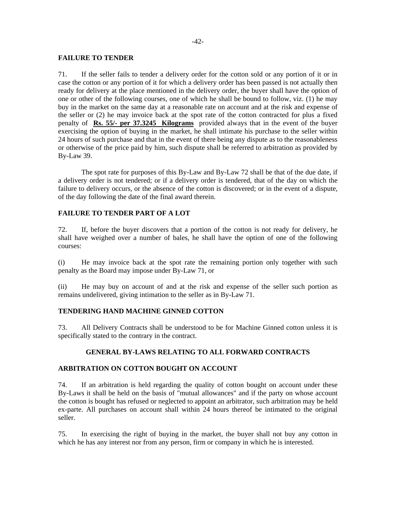### **FAILURE TO TENDER**

71. If the seller fails to tender a delivery order for the cotton sold or any portion of it or in case the cotton or any portion of it for which a delivery order has been passed is not actually then ready for delivery at the place mentioned in the delivery order, the buyer shall have the option of one or other of the following courses, one of which he shall be bound to follow, viz. (1) he may buy in the market on the same day at a reasonable rate on account and at the risk and expense of the seller or (2) he may invoice back at the spot rate of the cotton contracted for plus a fixed penalty of **Rs. 55/- per 37.3245 Kilograms** provided always that in the event of the buyer exercising the option of buying in the market, he shall intimate his purchase to the seller within 24 hours of such purchase and that in the event of there being any dispute as to the reasonableness or otherwise of the price paid by him, such dispute shall be referred to arbitration as provided by By-Law 39.

 The spot rate for purposes of this By-Law and By-Law 72 shall be that of the due date, if a delivery order is not tendered; or if a delivery order is tendered, that of the day on which the failure to delivery occurs, or the absence of the cotton is discovered; or in the event of a dispute, of the day following the date of the final award therein.

# **FAILURE TO TENDER PART OF A LOT**

72. If, before the buyer discovers that a portion of the cotton is not ready for delivery, he shall have weighed over a number of bales, he shall have the option of one of the following courses:

(i) He may invoice back at the spot rate the remaining portion only together with such penalty as the Board may impose under By-Law 71, or

(ii) He may buy on account of and at the risk and expense of the seller such portion as remains undelivered, giving intimation to the seller as in By-Law 71.

### **TENDERING HAND MACHINE GINNED COTTON**

73. All Delivery Contracts shall be understood to be for Machine Ginned cotton unless it is specifically stated to the contrary in the contract.

# **GENERAL BY-LAWS RELATING TO ALL FORWARD CONTRACTS**

### **ARBITRATION ON COTTON BOUGHT ON ACCOUNT**

74. If an arbitration is held regarding the quality of cotton bought on account under these By-Laws it shall be held on the basis of "mutual allowances" and if the party on whose account the cotton is bought has refused or neglected to appoint an arbitrator, such arbitration may be held ex-parte. All purchases on account shall within 24 hours thereof be intimated to the original seller.

75. In exercising the right of buying in the market, the buyer shall not buy any cotton in which he has any interest nor from any person, firm or company in which he is interested.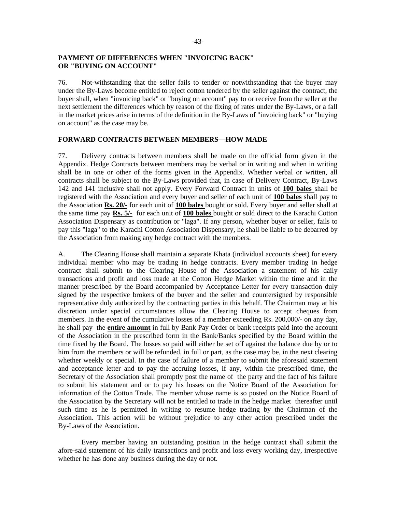# **PAYMENT OF DIFFERENCES WHEN "INVOICING BACK" OR "BUYING ON ACCOUNT"**

76. Not-withstanding that the seller fails to tender or notwithstanding that the buyer may under the By-Laws become entitled to reject cotton tendered by the seller against the contract, the buyer shall, when "invoicing back" or "buying on account" pay to or receive from the seller at the next settlement the differences which by reason of the fixing of rates under the By-Laws, or a fall in the market prices arise in terms of the definition in the By-Laws of "invoicing back" or "buying on account" as the case may be.

# **FORWARD CONTRACTS BETWEEN MEMBERS—HOW MADE**

77. Delivery contracts between members shall be made on the official form given in the Appendix. Hedge Contracts between members may be verbal or in writing and when in writing shall be in one or other of the forms given in the Appendix. Whether verbal or written, all contracts shall be subject to the By-Laws provided that, in case of Delivery Contract, By-Laws 142 and 141 inclusive shall not apply. Every Forward Contract in units of **100 bales** shall be registered with the Association and every buyer and seller of each unit of **100 bales** shall pay to the Association **Rs. 20/-** for each unit of **100 bales** bought or sold. Every buyer and seller shall at the same time pay **Rs. 5/-** for each unit of **100 bales** bought or sold direct to the Karachi Cotton Association Dispensary as contribution or "laga". If any person, whether buyer or seller, fails to pay this "laga" to the Karachi Cotton Association Dispensary, he shall be liable to be debarred by the Association from making any hedge contract with the members.

A. The Clearing House shall maintain a separate Khata (individual accounts sheet) for every individual member who may be trading in hedge contracts. Every member trading in hedge contract shall submit to the Clearing House of the Association a statement of his daily transactions and profit and loss made at the Cotton Hedge Market within the time and in the manner prescribed by the Board accompanied by Acceptance Letter for every transaction duly signed by the respective brokers of the buyer and the seller and countersigned by responsible representative duly authorized by the contracting parties in this behalf. The Chairman may at his discretion under special circumstances allow the Clearing House to accept cheques from members. In the event of the cumulative losses of a member exceeding Rs. 200,000/- on any day, he shall pay the **entire amount** in full by Bank Pay Order or bank receipts paid into the account of the Association in the prescribed form in the Bank/Banks specified by the Board within the time fixed by the Board. The losses so paid will either be set off against the balance due by or to him from the members or will be refunded, in full or part, as the case may be, in the next clearing whether weekly or special. In the case of failure of a member to submit the aforesaid statement and acceptance letter and to pay the accruing losses, if any, within the prescribed time, the Secretary of the Association shall promptly post the name of the party and the fact of his failure to submit his statement and or to pay his losses on the Notice Board of the Association for information of the Cotton Trade. The member whose name is so posted on the Notice Board of the Association by the Secretary will not be entitled to trade in the hedge market thereafter until such time as he is permitted in writing to resume hedge trading by the Chairman of the Association. This action will be without prejudice to any other action prescribed under the By-Laws of the Association.

Every member having an outstanding position in the hedge contract shall submit the afore-said statement of his daily transactions and profit and loss every working day, irrespective whether he has done any business during the day or not.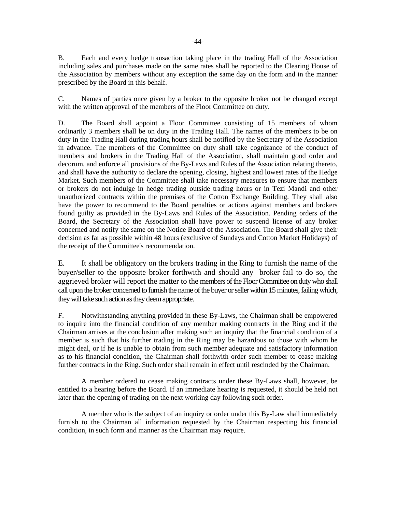B. Each and every hedge transaction taking place in the trading Hall of the Association including sales and purchases made on the same rates shall be reported to the Clearing House of the Association by members without any exception the same day on the form and in the manner prescribed by the Board in this behalf.

C. Names of parties once given by a broker to the opposite broker not be changed except with the written approval of the members of the Floor Committee on duty.

D. The Board shall appoint a Floor Committee consisting of 15 members of whom ordinarily 3 members shall be on duty in the Trading Hall. The names of the members to be on duty in the Trading Hall during trading hours shall be notified by the Secretary of the Association in advance. The members of the Committee on duty shall take cognizance of the conduct of members and brokers in the Trading Hall of the Association, shall maintain good order and decorum, and enforce all provisions of the By-Laws and Rules of the Association relating thereto, and shall have the authority to declare the opening, closing, highest and lowest rates of the Hedge Market. Such members of the Committee shall take necessary measures to ensure that members or brokers do not indulge in hedge trading outside trading hours or in Tezi Mandi and other unauthorized contracts within the premises of the Cotton Exchange Building. They shall also have the power to recommend to the Board penalties or actions against members and brokers found guilty as provided in the By-Laws and Rules of the Association. Pending orders of the Board, the Secretary of the Association shall have power to suspend license of any broker concerned and notify the same on the Notice Board of the Association. The Board shall give their decision as far as possible within 48 hours (exclusive of Sundays and Cotton Market Holidays) of the receipt of the Committee's recommendation.

E. It shall be obligatory on the brokers trading in the Ring to furnish the name of the buyer/seller to the opposite broker forthwith and should any broker fail to do so, the aggrieved broker will report the matter to the members of the Floor Committee on duty who shall call upon the broker concerned to furnish the name of the buyer or seller within 15 minutes, failing which, they will take such action as they deem appropriate.

F. Notwithstanding anything provided in these By-Laws, the Chairman shall be empowered to inquire into the financial condition of any member making contracts in the Ring and if the Chairman arrives at the conclusion after making such an inquiry that the financial condition of a member is such that his further trading in the Ring may be hazardous to those with whom he might deal, or if he is unable to obtain from such member adequate and satisfactory information as to his financial condition, the Chairman shall forthwith order such member to cease making further contracts in the Ring. Such order shall remain in effect until rescinded by the Chairman.

A member ordered to cease making contracts under these By-Laws shall, however, be entitled to a hearing before the Board. If an immediate hearing is requested, it should be held not later than the opening of trading on the next working day following such order.

A member who is the subject of an inquiry or order under this By-Law shall immediately furnish to the Chairman all information requested by the Chairman respecting his financial condition, in such form and manner as the Chairman may require.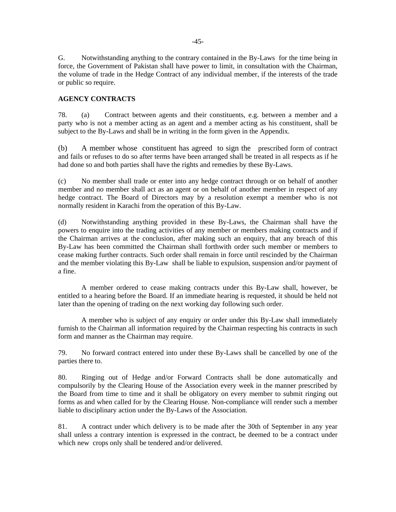G. Notwithstanding anything to the contrary contained in the By-Laws for the time being in force, the Government of Pakistan shall have power to limit, in consultation with the Chairman, the volume of trade in the Hedge Contract of any individual member, if the interests of the trade or public so require.

# **AGENCY CONTRACTS**

78. (a) Contract between agents and their constituents, e.g. between a member and a party who is not a member acting as an agent and a member acting as his constituent, shall be subject to the By-Laws and shall be in writing in the form given in the Appendix.

(b) A member whose constituent has agreed to sign the prescribed form of contract and fails or refuses to do so after terms have been arranged shall be treated in all respects as if he had done so and both parties shall have the rights and remedies by these By-Laws.

(c) No member shall trade or enter into any hedge contract through or on behalf of another member and no member shall act as an agent or on behalf of another member in respect of any hedge contract. The Board of Directors may by a resolution exempt a member who is not normally resident in Karachi from the operation of this By-Law.

(d) Notwithstanding anything provided in these By-Laws, the Chairman shall have the powers to enquire into the trading activities of any member or members making contracts and if the Chairman arrives at the conclusion, after making such an enquiry, that any breach of this By-Law has been committed the Chairman shall forthwith order such member or members to cease making further contracts. Such order shall remain in force until rescinded by the Chairman and the member violating this By-Law shall be liable to expulsion, suspension and/or payment of a fine.

A member ordered to cease making contracts under this By-Law shall, however, be entitled to a hearing before the Board. If an immediate hearing is requested, it should be held not later than the opening of trading on the next working day following such order.

A member who is subject of any enquiry or order under this By-Law shall immediately furnish to the Chairman all information required by the Chairman respecting his contracts in such form and manner as the Chairman may require.

79. No forward contract entered into under these By-Laws shall be cancelled by one of the parties there to.

80. Ringing out of Hedge and/or Forward Contracts shall be done automatically and compulsorily by the Clearing House of the Association every week in the manner prescribed by the Board from time to time and it shall be obligatory on every member to submit ringing out forms as and when called for by the Clearing House. Non-compliance will render such a member liable to disciplinary action under the By-Laws of the Association.

81. A contract under which delivery is to be made after the 30th of September in any year shall unless a contrary intention is expressed in the contract, be deemed to be a contract under which new crops only shall be tendered and/or delivered.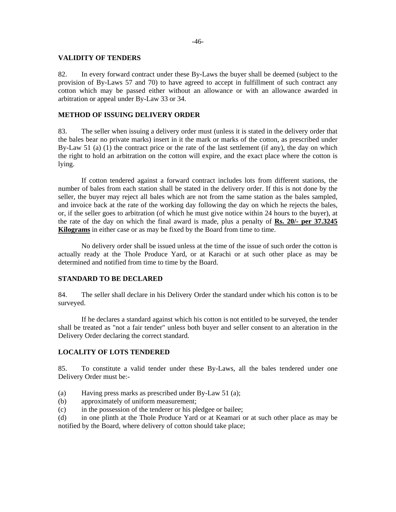### **VALIDITY OF TENDERS**

82. In every forward contract under these By-Laws the buyer shall be deemed (subject to the provision of By-Laws 57 and 70) to have agreed to accept in fulfillment of such contract any cotton which may be passed either without an allowance or with an allowance awarded in arbitration or appeal under By-Law 33 or 34.

### **METHOD OF ISSUING DELIVERY ORDER**

83. The seller when issuing a delivery order must (unless it is stated in the delivery order that the bales bear no private marks) insert in it the mark or marks of the cotton, as prescribed under By-Law 51 (a) (1) the contract price or the rate of the last settlement (if any), the day on which the right to hold an arbitration on the cotton will expire, and the exact place where the cotton is lying.

 If cotton tendered against a forward contract includes lots from different stations, the number of bales from each station shall be stated in the delivery order. If this is not done by the seller, the buyer may reject all bales which are not from the same station as the bales sampled, and invoice back at the rate of the working day following the day on which he rejects the bales, or, if the seller goes to arbitration (of which he must give notice within 24 hours to the buyer), at the rate of the day on which the final award is made, plus a penalty of **Rs. 20/- per 37.3245 Kilograms** in either case or as may be fixed by the Board from time to time.

No delivery order shall be issued unless at the time of the issue of such order the cotton is actually ready at the Thole Produce Yard, or at Karachi or at such other place as may be determined and notified from time to time by the Board.

### **STANDARD TO BE DECLARED**

84. The seller shall declare in his Delivery Order the standard under which his cotton is to be surveyed.

If he declares a standard against which his cotton is not entitled to be surveyed, the tender shall be treated as "not a fair tender" unless both buyer and seller consent to an alteration in the Delivery Order declaring the correct standard.

# **LOCALITY OF LOTS TENDERED**

85. To constitute a valid tender under these By-Laws, all the bales tendered under one Delivery Order must be:-

- (a) Having press marks as prescribed under By-Law 51 (a);
- (b) approximately of uniform measurement;
- (c) in the possession of the tenderer or his pledgee or bailee;

(d) in one plinth at the Thole Produce Yard or at Keamari or at such other place as may be notified by the Board, where delivery of cotton should take place;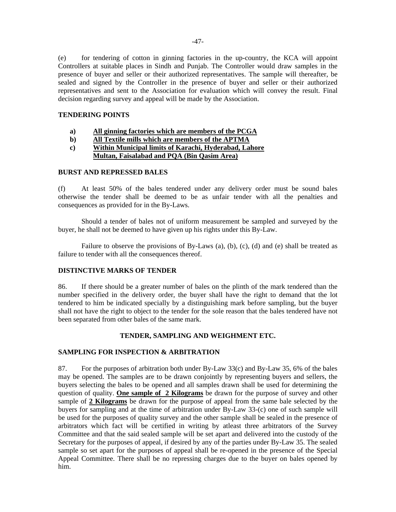(e) for tendering of cotton in ginning factories in the up-country, the KCA will appoint Controllers at suitable places in Sindh and Punjab. The Controller would draw samples in the presence of buyer and seller or their authorized representatives. The sample will thereafter, be sealed and signed by the Controller in the presence of buyer and seller or their authorized representatives and sent to the Association for evaluation which will convey the result. Final decision regarding survey and appeal will be made by the Association.

# **TENDERING POINTS**

- **a) All ginning factories which are members of the PCGA**
- **b) All Textile mills which are members of the APTMA**
- **c) Within Municipal limits of Karachi, Hyderabad, Lahore Multan, Faisalabad and PQA (Bin Qasim Area)**

# **BURST AND REPRESSED BALES**

(f) At least 50% of the bales tendered under any delivery order must be sound bales otherwise the tender shall be deemed to be as unfair tender with all the penalties and consequences as provided for in the By-Laws.

Should a tender of bales not of uniform measurement be sampled and surveyed by the buyer, he shall not be deemed to have given up his rights under this By-Law.

Failure to observe the provisions of By-Laws (a), (b), (c), (d) and (e) shall be treated as failure to tender with all the consequences thereof.

# **DISTINCTIVE MARKS OF TENDER**

86. If there should be a greater number of bales on the plinth of the mark tendered than the number specified in the delivery order, the buyer shall have the right to demand that the lot tendered to him be indicated specially by a distinguishing mark before sampling, but the buyer shall not have the right to object to the tender for the sole reason that the bales tendered have not been separated from other bales of the same mark.

# **TENDER, SAMPLING AND WEIGHMENT ETC.**

# **SAMPLING FOR INSPECTION & ARBITRATION**

87. For the purposes of arbitration both under By-Law 33(c) and By-Law 35, 6% of the bales may be opened. The samples are to be drawn conjointly by representing buyers and sellers, the buyers selecting the bales to be opened and all samples drawn shall be used for determining the question of quality. **One sample of 2 Kilograms** be drawn for the purpose of survey and other sample of **2 Kilograms** be drawn for the purpose of appeal from the same bale selected by the buyers for sampling and at the time of arbitration under By-Law 33-(c) one of such sample will be used for the purposes of quality survey and the other sample shall be sealed in the presence of arbitrators which fact will be certified in writing by atleast three arbitrators of the Survey Committee and that the said sealed sample will be set apart and delivered into the custody of the Secretary for the purposes of appeal, if desired by any of the parties under By-Law 35. The sealed sample so set apart for the purposes of appeal shall be re-opened in the presence of the Special Appeal Committee. There shall be no repressing charges due to the buyer on bales opened by him.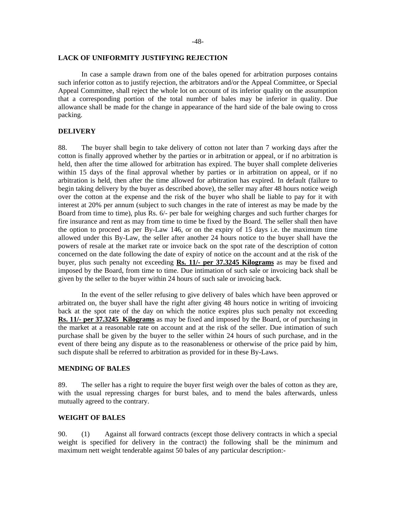#### **LACK OF UNIFORMITY JUSTIFYING REJECTION**

In case a sample drawn from one of the bales opened for arbitration purposes contains such inferior cotton as to justify rejection, the arbitrators and/or the Appeal Committee, or Special Appeal Committee, shall reject the whole lot on account of its inferior quality on the assumption that a corresponding portion of the total number of bales may be inferior in quality. Due allowance shall be made for the change in appearance of the hard side of the bale owing to cross packing.

# **DELIVERY**

88. The buyer shall begin to take delivery of cotton not later than 7 working days after the cotton is finally approved whether by the parties or in arbitration or appeal, or if no arbitration is held, then after the time allowed for arbitration has expired. The buyer shall complete deliveries within 15 days of the final approval whether by parties or in arbitration on appeal, or if no arbitration is held, then after the time allowed for arbitration has expired. In default (failure to begin taking delivery by the buyer as described above), the seller may after 48 hours notice weigh over the cotton at the expense and the risk of the buyer who shall be liable to pay for it with interest at 20% per annum (subject to such changes in the rate of interest as may be made by the Board from time to time), plus Rs. 6/- per bale for weighing charges and such further charges for fire insurance and rent as may from time to time be fixed by the Board. The seller shall then have the option to proceed as per By-Law 146, or on the expiry of 15 days i.e. the maximum time allowed under this By-Law, the seller after another 24 hours notice to the buyer shall have the powers of resale at the market rate or invoice back on the spot rate of the description of cotton concerned on the date following the date of expiry of notice on the account and at the risk of the buyer, plus such penalty not exceeding **Rs. 11/- per 37.3245 Kilograms** as may be fixed and imposed by the Board, from time to time. Due intimation of such sale or invoicing back shall be given by the seller to the buyer within 24 hours of such sale or invoicing back.

In the event of the seller refusing to give delivery of bales which have been approved or arbitrated on, the buyer shall have the right after giving 48 hours notice in writing of invoicing back at the spot rate of the day on which the notice expires plus such penalty not exceeding **Rs. 11/- per 37.3245 Kilograms** as may be fixed and imposed by the Board, or of purchasing in the market at a reasonable rate on account and at the risk of the seller. Due intimation of such purchase shall be given by the buyer to the seller within 24 hours of such purchase, and in the event of there being any dispute as to the reasonableness or otherwise of the price paid by him, such dispute shall be referred to arbitration as provided for in these By-Laws.

#### **MENDING OF BALES**

89. The seller has a right to require the buyer first weigh over the bales of cotton as they are, with the usual repressing charges for burst bales, and to mend the bales afterwards, unless mutually agreed to the contrary.

# **WEIGHT OF BALES**

90. (1) Against all forward contracts (except those delivery contracts in which a special weight is specified for delivery in the contract) the following shall be the minimum and maximum nett weight tenderable against 50 bales of any particular description:-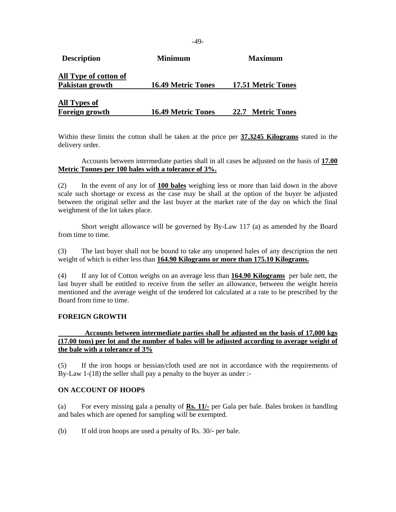| <b>Description</b>    | Minimum                   | <b>Maximum</b>     |
|-----------------------|---------------------------|--------------------|
| All Type of cotton of |                           |                    |
| Pakistan growth       | <b>16.49 Metric Tones</b> | 17.51 Metric Tones |
| <b>All Types of</b>   |                           |                    |
| <b>Foreign growth</b> | <b>16.49 Metric Tones</b> | 22.7 Metric Tones  |

Within these limits the cotton shall be taken at the price per **37.3245 Kilograms** stated in the delivery order.

Accounts between intermediate parties shall in all cases be adjusted on the basis of **17.00 Metric Tonnes per 100 bales with a tolerance of 3%.**

(2) In the event of any lot of **100 bales** weighing less or more than laid down in the above scale such shortage or excess as the case may be shall at the option of the buyer be adjusted between the original seller and the last buyer at the market rate of the day on which the final weighment of the lot takes place.

Short weight allowance will be governed by By-Law 117 (a) as amended by the Board from time to time.

(3) The last buyer shall not be bound to take any unopened bales of any description the nett weight of which is either less than **164.90 Kilograms or more than 175.10 Kilograms.**

(4) If any lot of Cotton weighs on an average less than **164.90 Kilograms** per bale nett, the last buyer shall be entitled to receive from the seller an allowance, between the weight herein mentioned and the average weight of the tendered lot calculated at a rate to be prescribed by the Board from time to time.

# **FOREIGN GROWTH**

# **Accounts between intermediate parties shall be adjusted on the basis of 17,000 kgs (17.00 tons) per lot and the number of bales will be adjusted according to average weight of the bale with a tolerance of 3%**

(5) If the iron hoops or hessian/cloth used are not in accordance with the requirements of By-Law 1-(18) the seller shall pay a penalty to the buyer as under :-

### **ON ACCOUNT OF HOOPS**

(a) For every missing gala a penalty of **Rs. 11/-** per Gala per bale. Bales broken in handling and bales which are opened for sampling will be exempted.

(b) If old iron hoops are used a penalty of Rs. 30/- per bale.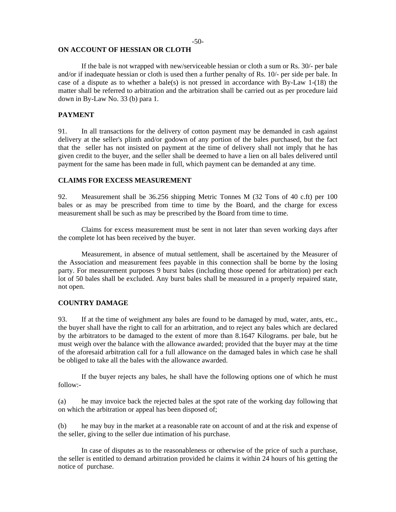### **ON ACCOUNT OF HESSIAN OR CLOTH**

 If the bale is not wrapped with new/serviceable hessian or cloth a sum or Rs. 30/- per bale and/or if inadequate hessian or cloth is used then a further penalty of Rs. 10/- per side per bale. In case of a dispute as to whether a bale(s) is not pressed in accordance with By-Law 1-(18) the matter shall be referred to arbitration and the arbitration shall be carried out as per procedure laid down in By-Law No. 33 (b) para 1.

### **PAYMENT**

91. In all transactions for the delivery of cotton payment may be demanded in cash against delivery at the seller's plinth and/or godown of any portion of the bales purchased, but the fact that the seller has not insisted on payment at the time of delivery shall not imply that he has given credit to the buyer, and the seller shall be deemed to have a lien on all bales delivered until payment for the same has been made in full, which payment can be demanded at any time.

#### **CLAIMS FOR EXCESS MEASUREMENT**

92. Measurement shall be 36.256 shipping Metric Tonnes M (32 Tons of 40 c.ft) per 100 bales or as may be prescribed from time to time by the Board, and the charge for excess measurement shall be such as may be prescribed by the Board from time to time.

Claims for excess measurement must be sent in not later than seven working days after the complete lot has been received by the buyer.

Measurement, in absence of mutual settlement, shall be ascertained by the Measurer of the Association and measurement fees payable in this connection shall be borne by the losing party. For measurement purposes 9 burst bales (including those opened for arbitration) per each lot of 50 bales shall be excluded. Any burst bales shall be measured in a properly repaired state, not open.

### **COUNTRY DAMAGE**

93. If at the time of weighment any bales are found to be damaged by mud, water, ants, etc., the buyer shall have the right to call for an arbitration, and to reject any bales which are declared by the arbitrators to be damaged to the extent of more than 8.1647 Kilograms. per bale, but he must weigh over the balance with the allowance awarded; provided that the buyer may at the time of the aforesaid arbitration call for a full allowance on the damaged bales in which case he shall be obliged to take all the bales with the allowance awarded.

If the buyer rejects any bales, he shall have the following options one of which he must follow:-

(a) he may invoice back the rejected bales at the spot rate of the working day following that on which the arbitration or appeal has been disposed of;

(b) he may buy in the market at a reasonable rate on account of and at the risk and expense of the seller, giving to the seller due intimation of his purchase.

In case of disputes as to the reasonableness or otherwise of the price of such a purchase, the seller is entitled to demand arbitration provided he claims it within 24 hours of his getting the notice of purchase.

#### -50-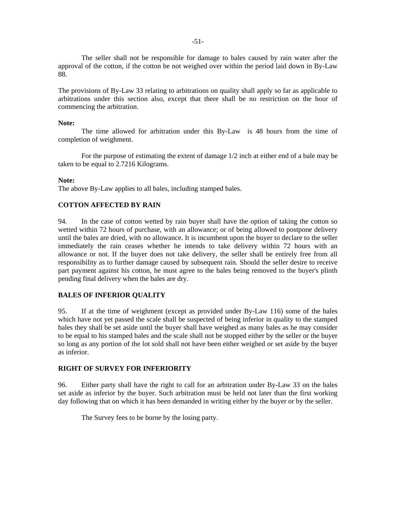The seller shall not be responsible for damage to bales caused by rain water after the approval of the cotton, if the cotton be not weighed over within the period laid down in By-Law 88.

The provisions of By-Law 33 relating to arbitrations on quality shall apply so far as applicable to arbitrations under this section also, except that there shall be no restriction on the hour of commencing the arbitration.

#### **Note:**

The time allowed for arbitration under this By-Law is 48 hours from the time of completion of weighment.

For the purpose of estimating the extent of damage 1/2 inch at either end of a bale may be taken to be equal to 2.7216 Kilograms.

#### **Note:**

The above By-Law applies to all bales, including stamped bales.

### **COTTON AFFECTED BY RAIN**

94. In the case of cotton wetted by rain buyer shall have the option of taking the cotton so wetted within 72 hours of purchase, with an allowance; or of being allowed to postpone delivery until the bales are dried, with no allowance. It is incumbent upon the buyer to declare to the seller immediately the rain ceases whether he intends to take delivery within 72 hours with an allowance or not. If the buyer does not take delivery, the seller shall be entirely free from all responsibility as to further damage caused by subsequent rain. Should the seller desire to receive part payment against his cotton, he must agree to the bales being removed to the buyer's plinth pending final delivery when the bales are dry.

### **BALES OF INFERIOR QUALITY**

95. If at the time of weighment (except as provided under By-Law 116) some of the bales which have not yet passed the scale shall be suspected of being inferior in quality to the stamped bales they shall be set aside until the buyer shall have weighed as many bales as he may consider to be equal to his stamped bales and the scale shall not be stopped either by the seller or the buyer so long as any portion of the lot sold shall not have been either weighed or set aside by the buyer as inferior.

### **RIGHT OF SURVEY FOR INFERIORITY**

96. Either party shall have the right to call for an arbitration under By-Law 33 on the bales set aside as inferior by the buyer. Such arbitration must be held not later than the first working day following that on which it has been demanded in writing either by the buyer or by the seller.

The Survey fees to be borne by the losing party.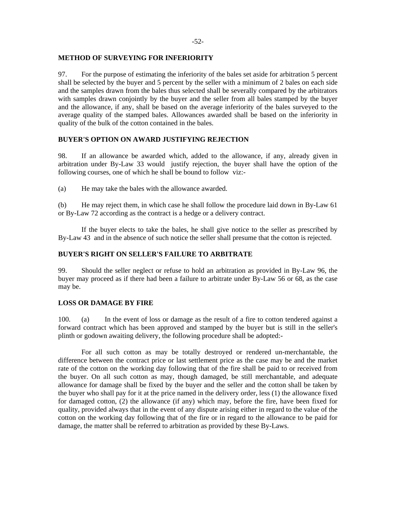# **METHOD OF SURVEYING FOR INFERIORITY**

97. For the purpose of estimating the inferiority of the bales set aside for arbitration 5 percent shall be selected by the buyer and 5 percent by the seller with a minimum of 2 bales on each side and the samples drawn from the bales thus selected shall be severally compared by the arbitrators with samples drawn conjointly by the buyer and the seller from all bales stamped by the buyer and the allowance, if any, shall be based on the average inferiority of the bales surveyed to the average quality of the stamped bales. Allowances awarded shall be based on the inferiority in quality of the bulk of the cotton contained in the bales.

# **BUYER'S OPTION ON AWARD JUSTIFYING REJECTION**

98. If an allowance be awarded which, added to the allowance, if any, already given in arbitration under By-Law 33 would justify rejection, the buyer shall have the option of the following courses, one of which he shall be bound to follow viz:-

(a) He may take the bales with the allowance awarded.

(b) He may reject them, in which case he shall follow the procedure laid down in By-Law 61 or By-Law 72 according as the contract is a hedge or a delivery contract.

If the buyer elects to take the bales, he shall give notice to the seller as prescribed by By-Law 43 and in the absence of such notice the seller shall presume that the cotton is rejected.

# **BUYER'S RIGHT ON SELLER'S FAILURE TO ARBITRATE**

99. Should the seller neglect or refuse to hold an arbitration as provided in By-Law 96, the buyer may proceed as if there had been a failure to arbitrate under By-Law 56 or 68, as the case may be.

### **LOSS OR DAMAGE BY FIRE**

100. (a) In the event of loss or damage as the result of a fire to cotton tendered against a forward contract which has been approved and stamped by the buyer but is still in the seller's plinth or godown awaiting delivery, the following procedure shall be adopted:-

For all such cotton as may be totally destroyed or rendered un-merchantable, the difference between the contract price or last settlement price as the case may be and the market rate of the cotton on the working day following that of the fire shall be paid to or received from the buyer. On all such cotton as may, though damaged, be still merchantable, and adequate allowance for damage shall be fixed by the buyer and the seller and the cotton shall be taken by the buyer who shall pay for it at the price named in the delivery order, less (1) the allowance fixed for damaged cotton, (2) the allowance (if any) which may, before the fire, have been fixed for quality, provided always that in the event of any dispute arising either in regard to the value of the cotton on the working day following that of the fire or in regard to the allowance to be paid for damage, the matter shall be referred to arbitration as provided by these By-Laws.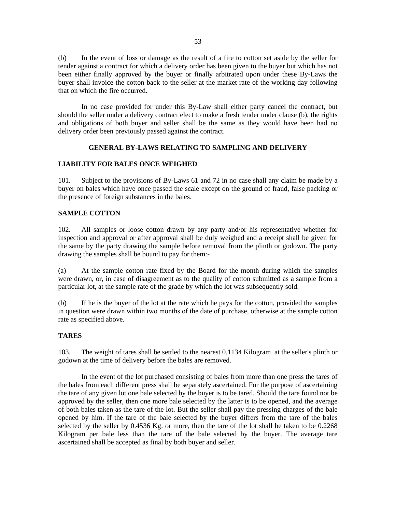(b) In the event of loss or damage as the result of a fire to cotton set aside by the seller for tender against a contract for which a delivery order has been given to the buyer but which has not been either finally approved by the buyer or finally arbitrated upon under these By-Laws the buyer shall invoice the cotton back to the seller at the market rate of the working day following that on which the fire occurred.

In no case provided for under this By-Law shall either party cancel the contract, but should the seller under a delivery contract elect to make a fresh tender under clause (b), the rights and obligations of both buyer and seller shall be the same as they would have been had no delivery order been previously passed against the contract.

# **GENERAL BY-LAWS RELATING TO SAMPLING AND DELIVERY**

# **LIABILITY FOR BALES ONCE WEIGHED**

101. Subject to the provisions of By-Laws 61 and 72 in no case shall any claim be made by a buyer on bales which have once passed the scale except on the ground of fraud, false packing or the presence of foreign substances in the bales.

# **SAMPLE COTTON**

102. All samples or loose cotton drawn by any party and/or his representative whether for inspection and approval or after approval shall be duly weighed and a receipt shall be given for the same by the party drawing the sample before removal from the plinth or godown. The party drawing the samples shall be bound to pay for them:-

(a) At the sample cotton rate fixed by the Board for the month during which the samples were drawn, or, in case of disagreement as to the quality of cotton submitted as a sample from a particular lot, at the sample rate of the grade by which the lot was subsequently sold.

(b) If he is the buyer of the lot at the rate which he pays for the cotton, provided the samples in question were drawn within two months of the date of purchase, otherwise at the sample cotton rate as specified above.

# **TARES**

103. The weight of tares shall be settled to the nearest 0.1134 Kilogram at the seller's plinth or godown at the time of delivery before the bales are removed.

In the event of the lot purchased consisting of bales from more than one press the tares of the bales from each different press shall be separately ascertained. For the purpose of ascertaining the tare of any given lot one bale selected by the buyer is to be tared. Should the tare found not be approved by the seller, then one more bale selected by the latter is to be opened, and the average of both bales taken as the tare of the lot. But the seller shall pay the pressing charges of the bale opened by him. If the tare of the bale selected by the buyer differs from the tare of the bales selected by the seller by 0.4536 Kg. or more, then the tare of the lot shall be taken to be 0.2268 Kilogram per bale less than the tare of the bale selected by the buyer. The average tare ascertained shall be accepted as final by both buyer and seller.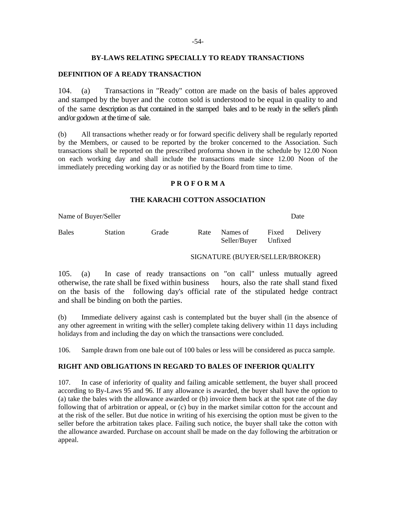### **BY-LAWS RELATING SPECIALLY TO READY TRANSACTIONS**

# **DEFINITION OF A READY TRANSACTION**

104. (a) Transactions in "Ready" cotton are made on the basis of bales approved and stamped by the buyer and the cotton sold is understood to be equal in quality to and of the same description as that contained in the stamped bales and to be ready in the seller's plinth and/or godown at the time of sale.

(b) All transactions whether ready or for forward specific delivery shall be regularly reported by the Members, or caused to be reported by the broker concerned to the Association. Such transactions shall be reported on the prescribed proforma shown in the schedule by 12.00 Noon on each working day and shall include the transactions made since 12.00 Noon of the immediately preceding working day or as notified by the Board from time to time.

# **P R O F O R M A**

# **THE KARACHI COTTON ASSOCIATION**

Name of Buyer/Seller **Date** 

Bales Station Grade Rate Names of Fixed Delivery Seller/Buyer Unfixed

# SIGNATURE (BUYER/SELLER/BROKER)

105. (a) In case of ready transactions on "on call" unless mutually agreed otherwise, the rate shall be fixed within business hours, also the rate shall stand fixed on the basis of the following day's official rate of the stipulated hedge contract and shall be binding on both the parties.

(b) Immediate delivery against cash is contemplated but the buyer shall (in the absence of any other agreement in writing with the seller) complete taking delivery within 11 days including holidays from and including the day on which the transactions were concluded.

106. Sample drawn from one bale out of 100 bales or less will be considered as pucca sample.

# **RIGHT AND OBLIGATIONS IN REGARD TO BALES OF INFERIOR QUALITY**

107. In case of inferiority of quality and failing amicable settlement, the buyer shall proceed according to By-Laws 95 and 96. If any allowance is awarded, the buyer shall have the option to (a) take the bales with the allowance awarded or (b) invoice them back at the spot rate of the day following that of arbitration or appeal, or (c) buy in the market similar cotton for the account and at the risk of the seller. But due notice in writing of his exercising the option must be given to the seller before the arbitration takes place. Failing such notice, the buyer shall take the cotton with the allowance awarded. Purchase on account shall be made on the day following the arbitration or appeal.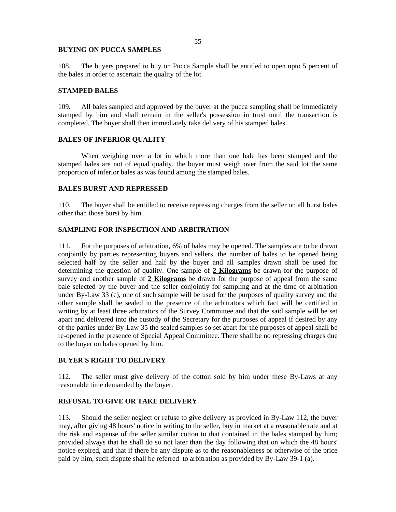#### **BUYING ON PUCCA SAMPLES**

108. The buyers prepared to buy on Pucca Sample shall be entitled to open upto 5 percent of the bales in order to ascertain the quality of the lot.

#### **STAMPED BALES**

109. All bales sampled and approved by the buyer at the pucca sampling shall be immediately stamped by him and shall remain in the seller's possession in trust until the transaction is completed. The buyer shall then immediately take delivery of his stamped bales.

# **BALES OF INFERIOR QUALITY**

When weighing over a lot in which more than one bale has been stamped and the stamped bales are not of equal quality, the buyer must weigh over from the said lot the same proportion of inferior bales as was found among the stamped bales.

# **BALES BURST AND REPRESSED**

110. The buyer shall be entitled to receive repressing charges from the seller on all burst bales other than those burst by him.

# **SAMPLING FOR INSPECTION AND ARBITRATION**

111. For the purposes of arbitration, 6% of bales may be opened. The samples are to be drawn conjointly by parties representing buyers and sellers, the number of bales to be opened being selected half by the seller and half by the buyer and all samples drawn shall be used for determining the question of quality. One sample of **2 Kilograms** be drawn for the purpose of survey and another sample of **2 Kilograms** be drawn for the purpose of appeal from the same bale selected by the buyer and the seller conjointly for sampling and at the time of arbitration under By-Law 33 (c), one of such sample will be used for the purposes of quality survey and the other sample shall be sealed in the presence of the arbitrators which fact will be certified in writing by at least three arbitrators of the Survey Committee and that the said sample will be set apart and delivered into the custody of the Secretary for the purposes of appeal if desired by any of the parties under By-Law 35 the sealed samples so set apart for the purposes of appeal shall be re-opened in the presence of Special Appeal Committee. There shall be no repressing charges due to the buyer on bales opened by him.

#### **BUYER'S RIGHT TO DELIVERY**

112. The seller must give delivery of the cotton sold by him under these By-Laws at any reasonable time demanded by the buyer.

#### **REFUSAL TO GIVE OR TAKE DELIVERY**

113. Should the seller neglect or refuse to give delivery as provided in By-Law 112, the buyer may, after giving 48 hours' notice in writing to the seller, buy in market at a reasonable rate and at the risk and expense of the seller similar cotton to that contained in the bales stamped by him; provided always that he shall do so not later than the day following that on which the 48 hours' notice expired, and that if there be any dispute as to the reasonableness or otherwise of the price paid by him, such dispute shall be referred to arbitration as provided by By-Law 39-1 (a).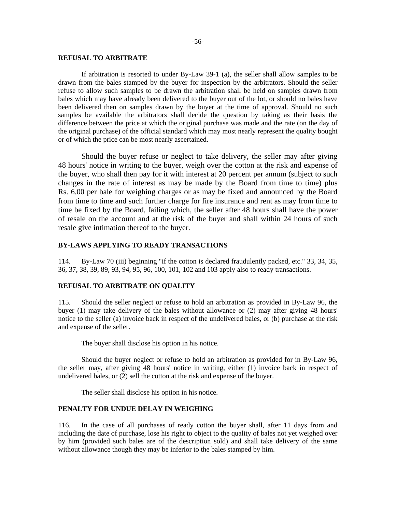#### **REFUSAL TO ARBITRATE**

If arbitration is resorted to under By-Law 39-1 (a), the seller shall allow samples to be drawn from the bales stamped by the buyer for inspection by the arbitrators. Should the seller refuse to allow such samples to be drawn the arbitration shall be held on samples drawn from bales which may have already been delivered to the buyer out of the lot, or should no bales have been delivered then on samples drawn by the buyer at the time of approval. Should no such samples be available the arbitrators shall decide the question by taking as their basis the difference between the price at which the original purchase was made and the rate (on the day of the original purchase) of the official standard which may most nearly represent the quality bought or of which the price can be most nearly ascertained.

Should the buyer refuse or neglect to take delivery, the seller may after giving 48 hours' notice in writing to the buyer, weigh over the cotton at the risk and expense of the buyer, who shall then pay for it with interest at 20 percent per annum (subject to such changes in the rate of interest as may be made by the Board from time to time) plus Rs. 6.00 per bale for weighing charges or as may be fixed and announced by the Board from time to time and such further charge for fire insurance and rent as may from time to time be fixed by the Board, failing which, the seller after 48 hours shall have the power of resale on the account and at the risk of the buyer and shall within 24 hours of such resale give intimation thereof to the buyer.

# **BY-LAWS APPLYING TO READY TRANSACTIONS**

114. By-Law 70 (iii) beginning "if the cotton is declared fraudulently packed, etc." 33, 34, 35, 36, 37, 38, 39, 89, 93, 94, 95, 96, 100, 101, 102 and 103 apply also to ready transactions.

### **REFUSAL TO ARBITRATE ON QUALITY**

115. Should the seller neglect or refuse to hold an arbitration as provided in By-Law 96, the buyer (1) may take delivery of the bales without allowance or (2) may after giving 48 hours' notice to the seller (a) invoice back in respect of the undelivered bales, or (b) purchase at the risk and expense of the seller.

The buyer shall disclose his option in his notice.

Should the buyer neglect or refuse to hold an arbitration as provided for in By-Law 96, the seller may, after giving 48 hours' notice in writing, either (1) invoice back in respect of undelivered bales, or (2) sell the cotton at the risk and expense of the buyer.

The seller shall disclose his option in his notice.

# **PENALTY FOR UNDUE DELAY IN WEIGHING**

116. In the case of all purchases of ready cotton the buyer shall, after 11 days from and including the date of purchase, lose his right to object to the quality of bales not yet weighed over by him (provided such bales are of the description sold) and shall take delivery of the same without allowance though they may be inferior to the bales stamped by him.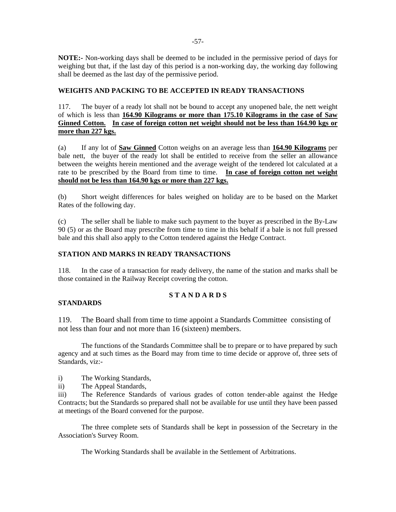**NOTE:-** Non-working days shall be deemed to be included in the permissive period of days for weighing but that, if the last day of this period is a non-working day, the working day following shall be deemed as the last day of the permissive period.

# **WEIGHTS AND PACKING TO BE ACCEPTED IN READY TRANSACTIONS**

117. The buyer of a ready lot shall not be bound to accept any unopened bale, the nett weight of which is less than **164.90 Kilograms or more than 175.10 Kilograms in the case of Saw Ginned Cotton. In case of foreign cotton net weight should not be less than 164.90 kgs or more than 227 kgs.**

(a) If any lot of **Saw Ginned** Cotton weighs on an average less than **164.90 Kilograms** per bale nett, the buyer of the ready lot shall be entitled to receive from the seller an allowance between the weights herein mentioned and the average weight of the tendered lot calculated at a rate to be prescribed by the Board from time to time. **In case of foreign cotton net weight should not be less than 164.90 kgs or more than 227 kgs.**

(b) Short weight differences for bales weighed on holiday are to be based on the Market Rates of the following day.

(c) The seller shall be liable to make such payment to the buyer as prescribed in the By-Law 90 (5) or as the Board may prescribe from time to time in this behalf if a bale is not full pressed bale and this shall also apply to the Cotton tendered against the Hedge Contract.

# **STATION AND MARKS IN READY TRANSACTIONS**

118. In the case of a transaction for ready delivery, the name of the station and marks shall be those contained in the Railway Receipt covering the cotton.

# **S T A N D A R D S**

# **STANDARDS**

119. The Board shall from time to time appoint a Standards Committee consisting of not less than four and not more than 16 (sixteen) members.

The functions of the Standards Committee shall be to prepare or to have prepared by such agency and at such times as the Board may from time to time decide or approve of, three sets of Standards, viz:-

i) The Working Standards,

ii) The Appeal Standards,

iii) The Reference Standards of various grades of cotton tender-able against the Hedge Contracts; but the Standards so prepared shall not be available for use until they have been passed at meetings of the Board convened for the purpose.

The three complete sets of Standards shall be kept in possession of the Secretary in the Association's Survey Room.

The Working Standards shall be available in the Settlement of Arbitrations.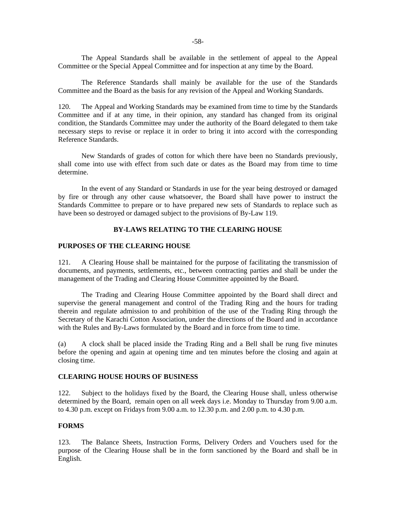-58-

The Appeal Standards shall be available in the settlement of appeal to the Appeal Committee or the Special Appeal Committee and for inspection at any time by the Board.

The Reference Standards shall mainly be available for the use of the Standards Committee and the Board as the basis for any revision of the Appeal and Working Standards.

120. The Appeal and Working Standards may be examined from time to time by the Standards Committee and if at any time, in their opinion, any standard has changed from its original condition, the Standards Committee may under the authority of the Board delegated to them take necessary steps to revise or replace it in order to bring it into accord with the corresponding Reference Standards.

New Standards of grades of cotton for which there have been no Standards previously, shall come into use with effect from such date or dates as the Board may from time to time determine.

In the event of any Standard or Standards in use for the year being destroyed or damaged by fire or through any other cause whatsoever, the Board shall have power to instruct the Standards Committee to prepare or to have prepared new sets of Standards to replace such as have been so destroyed or damaged subject to the provisions of By-Law 119.

# **BY-LAWS RELATING TO THE CLEARING HOUSE**

#### **PURPOSES OF THE CLEARING HOUSE**

121. A Clearing House shall be maintained for the purpose of facilitating the transmission of documents, and payments, settlements, etc., between contracting parties and shall be under the management of the Trading and Clearing House Committee appointed by the Board.

The Trading and Clearing House Committee appointed by the Board shall direct and supervise the general management and control of the Trading Ring and the hours for trading therein and regulate admission to and prohibition of the use of the Trading Ring through the Secretary of the Karachi Cotton Association, under the directions of the Board and in accordance with the Rules and By-Laws formulated by the Board and in force from time to time.

(a) A clock shall be placed inside the Trading Ring and a Bell shall be rung five minutes before the opening and again at opening time and ten minutes before the closing and again at closing time.

# **CLEARING HOUSE HOURS OF BUSINESS**

122. Subject to the holidays fixed by the Board, the Clearing House shall, unless otherwise determined by the Board, remain open on all week days i.e. Monday to Thursday from 9.00 a.m. to 4.30 p.m. except on Fridays from 9.00 a.m. to 12.30 p.m. and 2.00 p.m. to 4.30 p.m.

## **FORMS**

123. The Balance Sheets, Instruction Forms, Delivery Orders and Vouchers used for the purpose of the Clearing House shall be in the form sanctioned by the Board and shall be in English.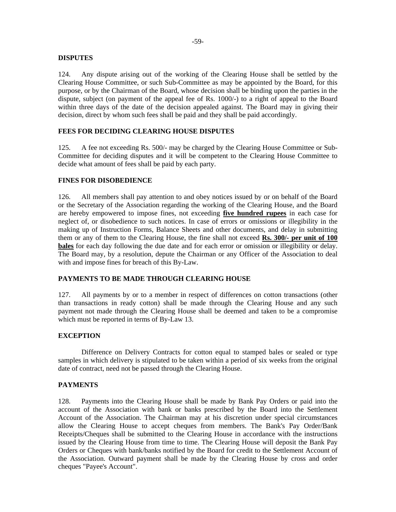### **DISPUTES**

124. Any dispute arising out of the working of the Clearing House shall be settled by the Clearing House Committee, or such Sub-Committee as may be appointed by the Board, for this purpose, or by the Chairman of the Board, whose decision shall be binding upon the parties in the dispute, subject (on payment of the appeal fee of Rs. 1000/-) to a right of appeal to the Board within three days of the date of the decision appealed against. The Board may in giving their decision, direct by whom such fees shall be paid and they shall be paid accordingly.

# **FEES FOR DECIDING CLEARING HOUSE DISPUTES**

125. A fee not exceeding Rs. 500/- may be charged by the Clearing House Committee or Sub-Committee for deciding disputes and it will be competent to the Clearing House Committee to decide what amount of fees shall be paid by each party.

# **FINES FOR DISOBEDIENCE**

126. All members shall pay attention to and obey notices issued by or on behalf of the Board or the Secretary of the Association regarding the working of the Clearing House, and the Board are hereby empowered to impose fines, not exceeding **five hundred rupees** in each case for neglect of, or disobedience to such notices. In case of errors or omissions or illegibility in the making up of Instruction Forms, Balance Sheets and other documents, and delay in submitting them or any of them to the Clearing House, the fine shall not exceed **Rs. 300/- per unit of 100 bales** for each day following the due date and for each error or omission or illegibility or delay. The Board may, by a resolution, depute the Chairman or any Officer of the Association to deal with and impose fines for breach of this By-Law.

# **PAYMENTS TO BE MADE THROUGH CLEARING HOUSE**

127. All payments by or to a member in respect of differences on cotton transactions (other than transactions in ready cotton) shall be made through the Clearing House and any such payment not made through the Clearing House shall be deemed and taken to be a compromise which must be reported in terms of By-Law 13.

# **EXCEPTION**

Difference on Delivery Contracts for cotton equal to stamped bales or sealed or type samples in which delivery is stipulated to be taken within a period of six weeks from the original date of contract, need not be passed through the Clearing House.

### **PAYMENTS**

128. Payments into the Clearing House shall be made by Bank Pay Orders or paid into the account of the Association with bank or banks prescribed by the Board into the Settlement Account of the Association. The Chairman may at his discretion under special circumstances allow the Clearing House to accept cheques from members. The Bank's Pay Order/Bank Receipts/Cheques shall be submitted to the Clearing House in accordance with the instructions issued by the Clearing House from time to time. The Clearing House will deposit the Bank Pay Orders or Cheques with bank/banks notified by the Board for credit to the Settlement Account of the Association. Outward payment shall be made by the Clearing House by cross and order cheques "Payee's Account".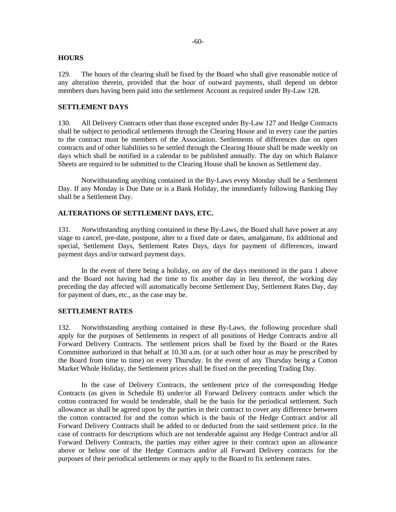### **HOURS**

129. The hours of the clearing shall be fixed by the Board who shall give reasonable notice of any alteration therein, provided that the hour of outward payments, shall depend on debtor members dues having been paid into the settlement Account as required under By-Law 128.

# **SETTLEMENT DAYS**

130. All Delivery Contracts other than those excepted under By-Law 127 and Hedge Contracts shall be subject to periodical settlements through the Clearing House and in every case the parties to the contract must be members of the Association. Settlements of differences due on open contracts and of other liabilities to be settled through the Clearing House shall be made weekly on days which shall be notified in a calendar to be published annually. The day on which Balance Sheets are required to be submitted to the Clearing House shall be known as Settlement day.

Notwithstanding anything contained in the By-Laws every Monday shall be a Settlement Day. If any Monday is Due Date or is a Bank Holiday, the immediately following Banking Day shall be a Settlement Day.

# **ALTERATIONS OF SETTLEMENT DAYS, ETC.**

131. *Not*withstanding anything contained in these By-Laws, the Board shall have power at any stage to cancel, pre-date, postpone, alter to a fixed date or dates, amalgamate, fix additional and special, Settlement Days, Settlement Rates Days, days for payment of differences, inward payment days and/or outward payment days.

In the event of there being a holiday, on any of the days mentioned in the para 1 above and the Board not having had the time to fix another day in lieu thereof, the working day preceding the day affected will automatically become Settlement Day, Settlement Rates Day, day for payment of dues, etc., as the case may be.

### **SETTLEMENT RATES**

132. Notwithstanding anything contained in these By-Laws, the following procedure shall apply for the purposes of Settlements in respect of all positions of Hedge Contracts and/or all Forward Delivery Contracts. The settlement prices shall be fixed by the Board or the Rates Committee authorized in that behalf at 10.30 a.m. (or at such other hour as may be prescribed by the Board from time to time) on every Thursday. In the event of any Thursday being a Cotton Market Whole Holiday, the Settlement prices shall be fixed on the preceding Trading Day.

In the case of Delivery Contracts, the settlement price of the corresponding Hedge Contracts (as given in Schedule B) under/or all Forward Delivery contracts under which the cotton contracted for would be tenderable, shall be the basis for the periodical settlement. Such allowance as shall be agreed upon by the parties in their contract to cover any difference between the cotton contracted for and the cotton which is the basis of the Hedge Contract and/or all Forward Delivery Contracts shall be added to or deducted from the said settlement price. In the case of contracts for descriptions which are not tenderable against any Hedge Contract and/or all Forward Delivery Contracts, the parties may either agree in their contract upon an allowance above or below one of the Hedge Contracts and/or all Forward Delivery contracts for the purposes of their periodical settlements or may apply to the Board to fix settlement rates.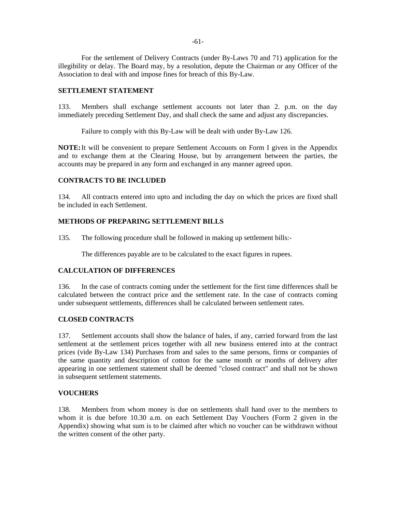-61-

For the settlement of Delivery Contracts (under By-Laws 70 and 71) application for the illegibility or delay. The Board may, by a resolution, depute the Chairman or any Officer of the Association to deal with and impose fines for breach of this By-Law.

# **SETTLEMENT STATEMENT**

133. Members shall exchange settlement accounts not later than 2. p.m. on the day immediately preceding Settlement Day, and shall check the same and adjust any discrepancies.

Failure to comply with this By-Law will be dealt with under By-Law 126.

**NOTE:** It will be convenient to prepare Settlement Accounts on Form I given in the Appendix and to exchange them at the Clearing House, but by arrangement between the parties, the accounts may be prepared in any form and exchanged in any manner agreed upon.

# **CONTRACTS TO BE INCLUDED**

134. All contracts entered into upto and including the day on which the prices are fixed shall be included in each Settlement.

# **METHODS OF PREPARING SETTLEMENT BILLS**

135. The following procedure shall be followed in making up settlement bills:-

The differences payable are to be calculated to the exact figures in rupees.

# **CALCULATION OF DIFFERENCES**

136. In the case of contracts coming under the settlement for the first time differences shall be calculated between the contract price and the settlement rate. In the case of contracts coming under subsequent settlements, differences shall be calculated between settlement rates.

# **CLOSED CONTRACTS**

137. Settlement accounts shall show the balance of bales, if any, carried forward from the last settlement at the settlement prices together with all new business entered into at the contract prices (vide By-Law 134) Purchases from and sales to the same persons, firms or companies of the same quantity and description of cotton for the same month or months of delivery after appearing in one settlement statement shall be deemed "closed contract" and shall not be shown in subsequent settlement statements.

# **VOUCHERS**

138. Members from whom money is due on settlements shall hand over to the members to whom it is due before 10.30 a.m. on each Settlement Day Vouchers (Form 2 given in the Appendix) showing what sum is to be claimed after which no voucher can be withdrawn without the written consent of the other party.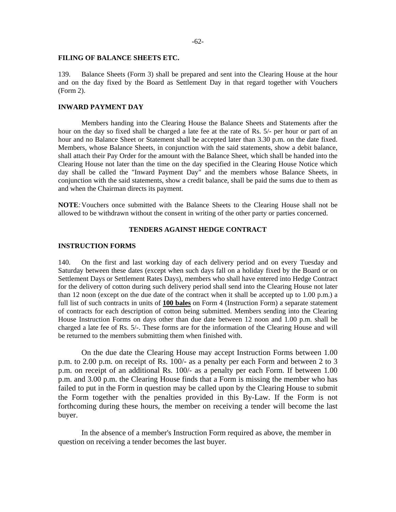#### **FILING OF BALANCE SHEETS ETC.**

139. Balance Sheets (Form 3) shall be prepared and sent into the Clearing House at the hour and on the day fixed by the Board as Settlement Day in that regard together with Vouchers (Form 2).

# **INWARD PAYMENT DAY**

Members handing into the Clearing House the Balance Sheets and Statements after the hour on the day so fixed shall be charged a late fee at the rate of Rs. 5/- per hour or part of an hour and no Balance Sheet or Statement shall be accepted later than 3.30 p.m. on the date fixed. Members, whose Balance Sheets, in conjunction with the said statements, show a debit balance, shall attach their Pay Order for the amount with the Balance Sheet, which shall be handed into the Clearing House not later than the time on the day specified in the Clearing House Notice which day shall be called the "Inward Payment Day" and the members whose Balance Sheets, in conjunction with the said statements, show a credit balance, shall be paid the sums due to them as and when the Chairman directs its payment.

**NOTE***:* Vouchers once submitted with the Balance Sheets to the Clearing House shall not be allowed to be withdrawn without the consent in writing of the other party or parties concerned.

# **TENDERS AGAINST HEDGE CONTRACT**

#### **INSTRUCTION FORMS**

140. On the first and last working day of each delivery period and on every Tuesday and Saturday between these dates (except when such days fall on a holiday fixed by the Board or on Settlement Days or Settlement Rates Days), members who shall have entered into Hedge Contract for the delivery of cotton during such delivery period shall send into the Clearing House not later than 12 noon (except on the due date of the contract when it shall be accepted up to  $1.00$  p.m.) a full list of such contracts in units of **100 bales** on Form 4 (Instruction Form) a separate statement of contracts for each description of cotton being submitted. Members sending into the Clearing House Instruction Forms on days other than due date between 12 noon and 1.00 p.m. shall be charged a late fee of Rs. 5/-. These forms are for the information of the Clearing House and will be returned to the members submitting them when finished with.

On the due date the Clearing House may accept Instruction Forms between 1.00 p.m. to 2.00 p.m. on receipt of Rs. 100/- as a penalty per each Form and between 2 to 3 p.m. on receipt of an additional Rs. 100/- as a penalty per each Form. If between 1.00 p.m. and 3.00 p.m. the Clearing House finds that a Form is missing the member who has failed to put in the Form in question may be called upon by the Clearing House to submit the Form together with the penalties provided in this By-Law. If the Form is not forthcoming during these hours, the member on receiving a tender will become the last buyer.

In the absence of a member's Instruction Form required as above, the member in question on receiving a tender becomes the last buyer.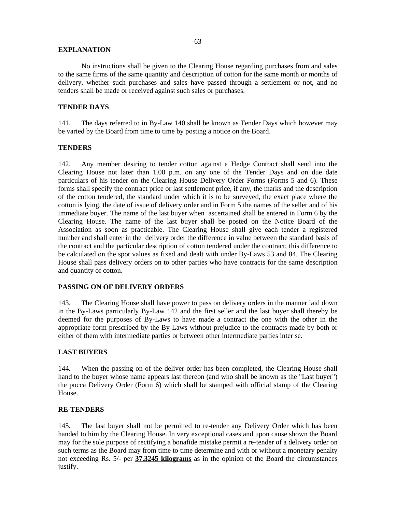### **EXPLANATION**

No instructions shall be given to the Clearing House regarding purchases from and sales to the same firms of the same quantity and description of cotton for the same month or months of delivery, whether such purchases and sales have passed through a settlement or not, and no tenders shall be made or received against such sales or purchases.

# **TENDER DAYS**

141. The days referred to in By-Law 140 shall be known as Tender Days which however may be varied by the Board from time to time by posting a notice on the Board.

### **TENDERS**

142. Any member desiring to tender cotton against a Hedge Contract shall send into the Clearing House not later than 1.00 p.m. on any one of the Tender Days and on due date particulars of his tender on the Clearing House Delivery Order Forms (Forms 5 and 6). These forms shall specify the contract price or last settlement price, if any, the marks and the description of the cotton tendered, the standard under which it is to be surveyed, the exact place where the cotton is lying, the date of issue of delivery order and in Form 5 the names of the seller and of his immediate buyer. The name of the last buyer when ascertained shall be entered in Form 6 by the Clearing House. The name of the last buyer shall be posted on the Notice Board of the Association as soon as practicable. The Clearing House shall give each tender a registered number and shall enter in the delivery order the difference in value between the standard basis of the contract and the particular description of cotton tendered under the contract; this difference to be calculated on the spot values as fixed and dealt with under By-Laws 53 and 84. The Clearing House shall pass delivery orders on to other parties who have contracts for the same description and quantity of cotton.

### **PASSING ON OF DELIVERY ORDERS**

143. The Clearing House shall have power to pass on delivery orders in the manner laid down in the By-Laws particularly By-Law 142 and the first seller and the last buyer shall thereby be deemed for the purposes of By-Laws to have made a contract the one with the other in the appropriate form prescribed by the By-Laws without prejudice to the contracts made by both or either of them with intermediate parties or between other intermediate parties inter se.

### **LAST BUYERS**

144. When the passing on of the deliver order has been completed, the Clearing House shall hand to the buyer whose name appears last thereon (and who shall be known as the "Last buyer") the pucca Delivery Order (Form 6) which shall be stamped with official stamp of the Clearing House.

### **RE-TENDERS**

145. The last buyer shall not be permitted to re-tender any Delivery Order which has been handed to him by the Clearing House. In very exceptional cases and upon cause shown the Board may for the sole purpose of rectifying a bonafide mistake permit a re-tender of a delivery order on such terms as the Board may from time to time determine and with or without a monetary penalty not exceeding Rs. 5/- per **37.3245 kilograms** as in the opinion of the Board the circumstances justify.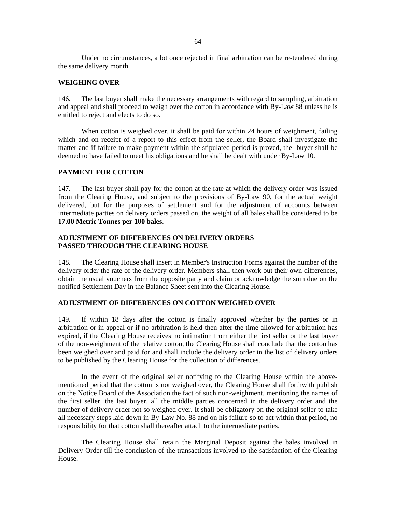Under no circumstances, a lot once rejected in final arbitration can be re-tendered during the same delivery month.

## **WEIGHING OVER**

146. The last buyer shall make the necessary arrangements with regard to sampling, arbitration and appeal and shall proceed to weigh over the cotton in accordance with By-Law 88 unless he is entitled to reject and elects to do so.

When cotton is weighed over, it shall be paid for within 24 hours of weighment, failing which and on receipt of a report to this effect from the seller, the Board shall investigate the matter and if failure to make payment within the stipulated period is proved, the buyer shall be deemed to have failed to meet his obligations and he shall be dealt with under By-Law 10.

### **PAYMENT FOR COTTON**

147. The last buyer shall pay for the cotton at the rate at which the delivery order was issued from the Clearing House, and subject to the provisions of By-Law 90, for the actual weight delivered, but for the purposes of settlement and for the adjustment of accounts between intermediate parties on delivery orders passed on, the weight of all bales shall be considered to be **17.00 Metric Tonnes per 100 bales**.

### **ADJUSTMENT OF DIFFERENCES ON DELIVERY ORDERS PASSED THROUGH THE CLEARING HOUSE**

148. The Clearing House shall insert in Member's Instruction Forms against the number of the delivery order the rate of the delivery order. Members shall then work out their own differences, obtain the usual vouchers from the opposite party and claim or acknowledge the sum due on the notified Settlement Day in the Balance Sheet sent into the Clearing House.

### **ADJUSTMENT OF DIFFERENCES ON COTTON WEIGHED OVER**

149. If within 18 days after the cotton is finally approved whether by the parties or in arbitration or in appeal or if no arbitration is held then after the time allowed for arbitration has expired, if the Clearing House receives no intimation from either the first seller or the last buyer of the non-weighment of the relative cotton, the Clearing House shall conclude that the cotton has been weighed over and paid for and shall include the delivery order in the list of delivery orders to be published by the Clearing House for the collection of differences.

In the event of the original seller notifying to the Clearing House within the abovementioned period that the cotton is not weighed over, the Clearing House shall forthwith publish on the Notice Board of the Association the fact of such non-weighment, mentioning the names of the first seller, the last buyer, all the middle parties concerned in the delivery order and the number of delivery order not so weighed over. It shall be obligatory on the original seller to take all necessary steps laid down in By-Law No. 88 and on his failure so to act within that period, no responsibility for that cotton shall thereafter attach to the intermediate parties.

The Clearing House shall retain the Marginal Deposit against the bales involved in Delivery Order till the conclusion of the transactions involved to the satisfaction of the Clearing House.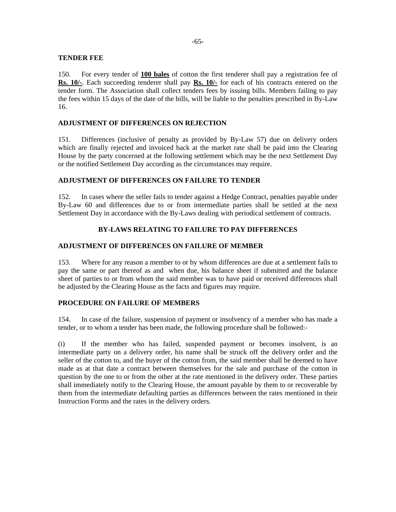### **TENDER FEE**

150. For every tender of **100 bales** of cotton the first tenderer shall pay a registration fee of **Rs. 10/-**. Each succeeding tenderer shall pay **Rs. 10/-** for each of his contracts entered on the tender form. The Association shall collect tenders fees by issuing bills. Members failing to pay the fees within 15 days of the date of the bills, will be liable to the penalties prescribed in By-Law 16.

# **ADJUSTMENT OF DIFFERENCES ON REJECTION**

151. Differences (inclusive of penalty as provided by By-Law 57) due on delivery orders which are finally rejected and invoiced back at the market rate shall be paid into the Clearing House by the party concerned at the following settlement which may be the next Settlement Day or the notified Settlement Day according as the circumstances may require.

# **ADJUSTMENT OF DIFFERENCES ON FAILURE TO TENDER**

152. In cases where the seller fails to tender against a Hedge Contract, penalties payable under By-Law 60 and differences due to or from intermediate parties shall be settled at the next Settlement Day in accordance with the By-Laws dealing with periodical settlement of contracts.

# **BY-LAWS RELATING TO FAILURE TO PAY DIFFERENCES**

# **ADJUSTMENT OF DIFFERENCES ON FAILURE OF MEMBER**

153. Where for any reason a member to or by whom differences are due at a settlement fails to pay the same or part thereof as and when due, his balance sheet if submitted and the balance sheet of parties to or from whom the said member was to have paid or received differences shall be adjusted by the Clearing House as the facts and figures may require.

### **PROCEDURE ON FAILURE OF MEMBERS**

154. In case of the failure, suspension of payment or insolvency of a member who has made a tender, or to whom a tender has been made, the following procedure shall be followed:-

(i) If the member who has failed, suspended payment or becomes insolvent, is an intermediate party on a delivery order, his name shall be struck off the delivery order and the seller of the cotton to, and the buyer of the cotton from, the said member shall be deemed to have made as at that date a contract between themselves for the sale and purchase of the cotton in question by the one to or from the other at the rate mentioned in the delivery order. These parties shall immediately notify to the Clearing House, the amount payable by them to or recoverable by them from the intermediate defaulting parties as differences between the rates mentioned in their Instruction Forms and the rates in the delivery orders.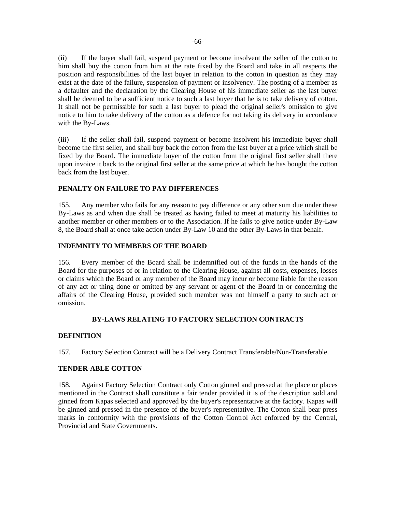(ii) If the buyer shall fail, suspend payment or become insolvent the seller of the cotton to him shall buy the cotton from him at the rate fixed by the Board and take in all respects the position and responsibilities of the last buyer in relation to the cotton in question as they may exist at the date of the failure, suspension of payment or insolvency. The posting of a member as a defaulter and the declaration by the Clearing House of his immediate seller as the last buyer shall be deemed to be a sufficient notice to such a last buyer that he is to take delivery of cotton. It shall not be permissible for such a last buyer to plead the original seller's omission to give notice to him to take delivery of the cotton as a defence for not taking its delivery in accordance with the By-Laws.

(iii) If the seller shall fail, suspend payment or become insolvent his immediate buyer shall become the first seller, and shall buy back the cotton from the last buyer at a price which shall be fixed by the Board. The immediate buyer of the cotton from the original first seller shall there upon invoice it back to the original first seller at the same price at which he has bought the cotton back from the last buyer.

# **PENALTY ON FAILURE TO PAY DIFFERENCES**

155. Any member who fails for any reason to pay difference or any other sum due under these By-Laws as and when due shall be treated as having failed to meet at maturity his liabilities to another member or other members or to the Association. If he fails to give notice under By-Law 8, the Board shall at once take action under By-Law 10 and the other By-Laws in that behalf.

# **INDEMNITY TO MEMBERS OF THE BOARD**

156. Every member of the Board shall be indemnified out of the funds in the hands of the Board for the purposes of or in relation to the Clearing House, against all costs, expenses, losses or claims which the Board or any member of the Board may incur or become liable for the reason of any act or thing done or omitted by any servant or agent of the Board in or concerning the affairs of the Clearing House, provided such member was not himself a party to such act or omission.

# **BY-LAWS RELATING TO FACTORY SELECTION CONTRACTS**

# **DEFINITION**

157. Factory Selection Contract will be a Delivery Contract Transferable/Non-Transferable.

# **TENDER-ABLE COTTON**

158. Against Factory Selection Contract only Cotton ginned and pressed at the place or places mentioned in the Contract shall constitute a fair tender provided it is of the description sold and ginned from Kapas selected and approved by the buyer's representative at the factory. Kapas will be ginned and pressed in the presence of the buyer's representative. The Cotton shall bear press marks in conformity with the provisions of the Cotton Control Act enforced by the Central, Provincial and State Governments.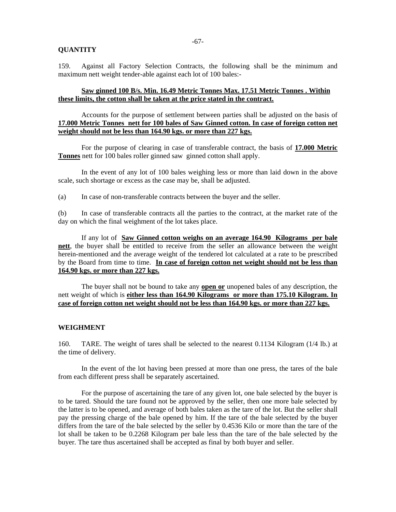#### **QUANTITY**

159. Against all Factory Selection Contracts, the following shall be the minimum and maximum nett weight tender-able against each lot of 100 bales:-

### **Saw ginned 100 B/s. Min. 16.49 Metric Tonnes Max. 17.51 Metric Tonnes . Within these limits, the cotton shall be taken at the price stated in the contract.**

Accounts for the purpose of settlement between parties shall be adjusted on the basis of **17.000 Metric Tonnes nett for 100 bales of Saw Ginned cotton. In case of foreign cotton net weight should not be less than 164.90 kgs. or more than 227 kgs.**

For the purpose of clearing in case of transferable contract, the basis of **17.000 Metric Tonnes** nett for 100 bales roller ginned saw ginned cotton shall apply.

In the event of any lot of 100 bales weighing less or more than laid down in the above scale, such shortage or excess as the case may be, shall be adjusted.

(a) In case of non-transferable contracts between the buyer and the seller.

(b) In case of transferable contracts all the parties to the contract, at the market rate of the day on which the final weighment of the lot takes place.

If any lot of **Saw Ginned cotton weighs on an average 164.90 Kilograms per bale nett**, the buyer shall be entitled to receive from the seller an allowance between the weight herein-mentioned and the average weight of the tendered lot calculated at a rate to be prescribed by the Board from time to time. **In case of foreign cotton net weight should not be less than 164.90 kgs. or more than 227 kgs.**

The buyer shall not be bound to take any **open or** unopened bales of any description, the nett weight of which is **either less than 164.90 Kilograms or more than 175.10 Kilogram. In case of foreign cotton net weight should not be less than 164.90 kgs. or more than 227 kgs.**

#### **WEIGHMENT**

160. TARE. The weight of tares shall be selected to the nearest 0.1134 Kilogram (1/4 lb.) at the time of delivery.

In the event of the lot having been pressed at more than one press, the tares of the bale from each different press shall be separately ascertained.

For the purpose of ascertaining the tare of any given lot, one bale selected by the buyer is to be tared. Should the tare found not be approved by the seller, then one more bale selected by the latter is to be opened, and average of both bales taken as the tare of the lot. But the seller shall pay the pressing charge of the bale opened by him. If the tare of the bale selected by the buyer differs from the tare of the bale selected by the seller by 0.4536 Kilo or more than the tare of the lot shall be taken to be 0.2268 Kilogram per bale less than the tare of the bale selected by the buyer. The tare thus ascertained shall be accepted as final by both buyer and seller.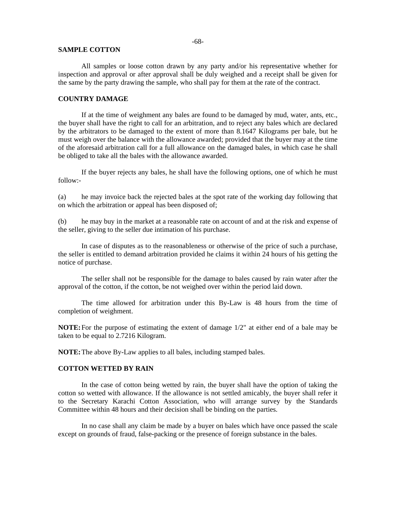#### **SAMPLE COTTON**

All samples or loose cotton drawn by any party and/or his representative whether for inspection and approval or after approval shall be duly weighed and a receipt shall be given for the same by the party drawing the sample, who shall pay for them at the rate of the contract.

### **COUNTRY DAMAGE**

If at the time of weighment any bales are found to be damaged by mud, water, ants, etc., the buyer shall have the right to call for an arbitration, and to reject any bales which are declared by the arbitrators to be damaged to the extent of more than 8.1647 Kilograms per bale, but he must weigh over the balance with the allowance awarded; provided that the buyer may at the time of the aforesaid arbitration call for a full allowance on the damaged bales, in which case he shall be obliged to take all the bales with the allowance awarded.

If the buyer rejects any bales, he shall have the following options, one of which he must follow:-

(a) he may invoice back the rejected bales at the spot rate of the working day following that on which the arbitration or appeal has been disposed of;

(b) he may buy in the market at a reasonable rate on account of and at the risk and expense of the seller, giving to the seller due intimation of his purchase.

In case of disputes as to the reasonableness or otherwise of the price of such a purchase, the seller is entitled to demand arbitration provided he claims it within 24 hours of his getting the notice of purchase.

The seller shall not be responsible for the damage to bales caused by rain water after the approval of the cotton, if the cotton, be not weighed over within the period laid down.

The time allowed for arbitration under this By-Law is 48 hours from the time of completion of weighment.

**NOTE:** For the purpose of estimating the extent of damage 1/2" at either end of a bale may be taken to be equal to 2.7216 Kilogram.

**NOTE:** The above By-Law applies to all bales, including stamped bales.

#### **COTTON WETTED BY RAIN**

In the case of cotton being wetted by rain, the buyer shall have the option of taking the cotton so wetted with allowance. If the allowance is not settled amicably, the buyer shall refer it to the Secretary Karachi Cotton Association, who will arrange survey by the Standards Committee within 48 hours and their decision shall be binding on the parties.

In no case shall any claim be made by a buyer on bales which have once passed the scale except on grounds of fraud, false-packing or the presence of foreign substance in the bales.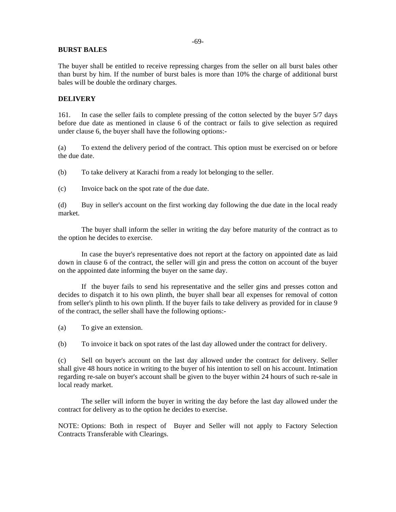### **BURST BALES**

The buyer shall be entitled to receive repressing charges from the seller on all burst bales other than burst by him. If the number of burst bales is more than 10% the charge of additional burst bales will be double the ordinary charges.

#### **DELIVERY**

161. In case the seller fails to complete pressing of the cotton selected by the buyer 5/7 days before due date as mentioned in clause 6 of the contract or fails to give selection as required under clause 6, the buyer shall have the following options:-

(a) To extend the delivery period of the contract. This option must be exercised on or before the due date.

(b) To take delivery at Karachi from a ready lot belonging to the seller.

(c) Invoice back on the spot rate of the due date.

(d) Buy in seller's account on the first working day following the due date in the local ready market.

The buyer shall inform the seller in writing the day before maturity of the contract as to the option he decides to exercise.

In case the buyer's representative does not report at the factory on appointed date as laid down in clause 6 of the contract, the seller will gin and press the cotton on account of the buyer on the appointed date informing the buyer on the same day.

If the buyer fails to send his representative and the seller gins and presses cotton and decides to dispatch it to his own plinth, the buyer shall bear all expenses for removal of cotton from seller's plinth to his own plinth. If the buyer fails to take delivery as provided for in clause 9 of the contract, the seller shall have the following options:-

(a) To give an extension.

(b) To invoice it back on spot rates of the last day allowed under the contract for delivery.

(c) Sell on buyer's account on the last day allowed under the contract for delivery. Seller shall give 48 hours notice in writing to the buyer of his intention to sell on his account. Intimation regarding re-sale on buyer's account shall be given to the buyer within 24 hours of such re-sale in local ready market.

The seller will inform the buyer in writing the day before the last day allowed under the contract for delivery as to the option he decides to exercise.

NOTE: Options: Both in respect of Buyer and Seller will not apply to Factory Selection Contracts Transferable with Clearings.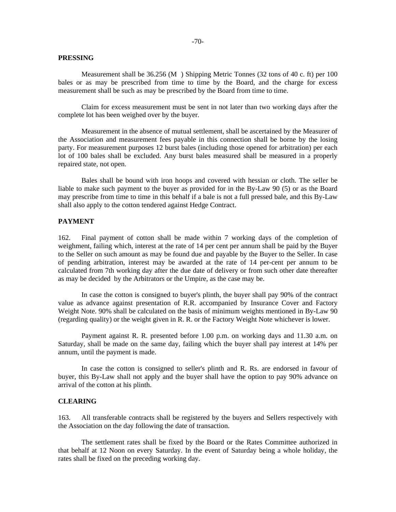### **PRESSING**

Measurement shall be 36.256 (M ) Shipping Metric Tonnes (32 tons of 40 c. ft) per 100 bales or as may be prescribed from time to time by the Board, and the charge for excess measurement shall be such as may be prescribed by the Board from time to time.

Claim for excess measurement must be sent in not later than two working days after the complete lot has been weighed over by the buyer.

Measurement in the absence of mutual settlement, shall be ascertained by the Measurer of the Association and measurement fees payable in this connection shall be borne by the losing party. For measurement purposes 12 burst bales (including those opened for arbitration) per each lot of 100 bales shall be excluded. Any burst bales measured shall be measured in a properly repaired state, not open.

Bales shall be bound with iron hoops and covered with hessian or cloth. The seller be liable to make such payment to the buyer as provided for in the By-Law 90 (5) or as the Board may prescribe from time to time in this behalf if a bale is not a full pressed bale, and this By-Law shall also apply to the cotton tendered against Hedge Contract.

# **PAYMENT**

162. Final payment of cotton shall be made within 7 working days of the completion of weighment, failing which, interest at the rate of 14 per cent per annum shall be paid by the Buyer to the Seller on such amount as may be found due and payable by the Buyer to the Seller. In case of pending arbitration, interest may be awarded at the rate of 14 per-cent per annum to be calculated from 7th working day after the due date of delivery or from such other date thereafter as may be decided by the Arbitrators or the Umpire, as the case may be.

In case the cotton is consigned to buyer's plinth, the buyer shall pay 90% of the contract value as advance against presentation of R.R. accompanied by Insurance Cover and Factory Weight Note. 90% shall be calculated on the basis of minimum weights mentioned in By-Law 90 (regarding quality) or the weight given in R. R. or the Factory Weight Note whichever is lower.

Payment against R. R. presented before 1.00 p.m. on working days and 11.30 a.m. on Saturday, shall be made on the same day, failing which the buyer shall pay interest at 14% per annum, until the payment is made.

In case the cotton is consigned to seller's plinth and R. Rs. are endorsed in favour of buyer, this By-Law shall not apply and the buyer shall have the option to pay 90% advance on arrival of the cotton at his plinth.

#### **CLEARING**

163. All transferable contracts shall be registered by the buyers and Sellers respectively with the Association on the day following the date of transaction.

The settlement rates shall be fixed by the Board or the Rates Committee authorized in that behalf at 12 Noon on every Saturday. In the event of Saturday being a whole holiday, the rates shall be fixed on the preceding working day.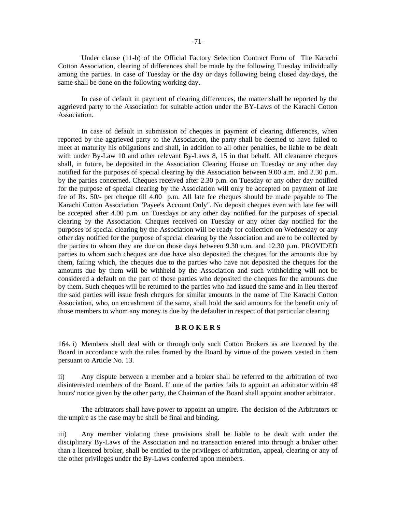Under clause (11-b) of the Official Factory Selection Contract Form of The Karachi Cotton Association, clearing of differences shall be made by the following Tuesday individually among the parties. In case of Tuesday or the day or days following being closed day/days, the same shall be done on the following working day.

In case of default in payment of clearing differences, the matter shall be reported by the aggrieved party to the Association for suitable action under the BY-Laws of the Karachi Cotton Association.

In case of default in submission of cheques in payment of clearing differences, when reported by the aggrieved party to the Association, the party shall be deemed to have failed to meet at maturity his obligations and shall, in addition to all other penalties, be liable to be dealt with under By-Law 10 and other relevant By-Laws 8, 15 in that behalf. All clearance cheques shall, in future, be deposited in the Association Clearing House on Tuesday or any other day notified for the purposes of special clearing by the Association between 9.00 a.m. and 2.30 p.m. by the parties concerned. Cheques received after 2.30 p.m. on Tuesday or any other day notified for the purpose of special clearing by the Association will only be accepted on payment of late fee of Rs. 50/- per cheque till 4.00 p.m. All late fee cheques should be made payable to The Karachi Cotton Association "Payee's Account Only". No deposit cheques even with late fee will be accepted after 4.00 p.m. on Tuesdays or any other day notified for the purposes of special clearing by the Association. Cheques received on Tuesday or any other day notified for the purposes of special clearing by the Association will be ready for collection on Wednesday or any other day notified for the purpose of special clearing by the Association and are to be collected by the parties to whom they are due on those days between 9.30 a.m. and 12.30 p.m. PROVIDED parties to whom such cheques are due have also deposited the cheques for the amounts due by them, failing which, the cheques due to the parties who have not deposited the cheques for the amounts due by them will be withheld by the Association and such withholding will not be considered a default on the part of those parties who deposited the cheques for the amounts due by them. Such cheques will be returned to the parties who had issued the same and in lieu thereof the said parties will issue fresh cheques for similar amounts in the name of The Karachi Cotton Association, who, on encashment of the same, shall hold the said amounts for the benefit only of those members to whom any money is due by the defaulter in respect of that particular clearing.

# **B R O K E R S**

164. i) Members shall deal with or through only such Cotton Brokers as are licenced by the Board in accordance with the rules framed by the Board by virtue of the powers vested in them persuant to Article No. 13.

ii) Any dispute between a member and a broker shall be referred to the arbitration of two disinterested members of the Board. If one of the parties fails to appoint an arbitrator within 48 hours' notice given by the other party, the Chairman of the Board shall appoint another arbitrator.

The arbitrators shall have power to appoint an umpire. The decision of the Arbitrators or the umpire as the case may be shall be final and binding.

iii) Any member violating these provisions shall be liable to be dealt with under the disciplinary By-Laws of the Association and no transaction entered into through a broker other than a licenced broker, shall be entitled to the privileges of arbitration, appeal, clearing or any of the other privileges under the By-Laws conferred upon members.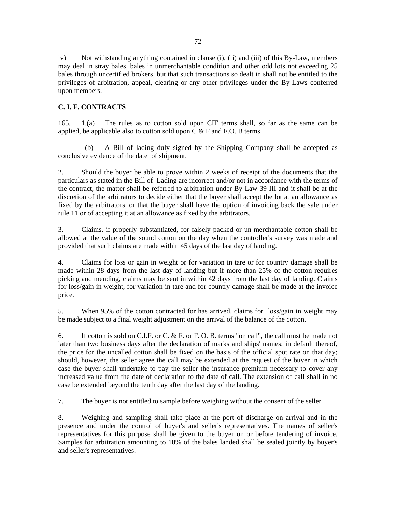iv) Not withstanding anything contained in clause (i), (ii) and (iii) of this By-Law, members may deal in stray bales, bales in unmerchantable condition and other odd lots not exceeding 25 bales through uncertified brokers, but that such transactions so dealt in shall not be entitled to the privileges of arbitration, appeal, clearing or any other privileges under the By-Laws conferred upon members.

# **C. I. F. CONTRACTS**

165. 1.(a) The rules as to cotton sold upon CIF terms shall, so far as the same can be applied, be applicable also to cotton sold upon  $\overline{C}$  & F and F.O. B terms.

 (b) A Bill of lading duly signed by the Shipping Company shall be accepted as conclusive evidence of the date of shipment.

2. Should the buyer be able to prove within 2 weeks of receipt of the documents that the particulars as stated in the Bill of Lading are incorrect and/or not in accordance with the terms of the contract, the matter shall be referred to arbitration under By-Law 39-III and it shall be at the discretion of the arbitrators to decide either that the buyer shall accept the lot at an allowance as fixed by the arbitrators, or that the buyer shall have the option of invoicing back the sale under rule 11 or of accepting it at an allowance as fixed by the arbitrators.

3. Claims, if properly substantiated, for falsely packed or un-merchantable cotton shall be allowed at the value of the sound cotton on the day when the controller's survey was made and provided that such claims are made within 45 days of the last day of landing.

4. Claims for loss or gain in weight or for variation in tare or for country damage shall be made within 28 days from the last day of landing but if more than 25% of the cotton requires picking and mending, claims may be sent in within 42 days from the last day of landing. Claims for loss/gain in weight, for variation in tare and for country damage shall be made at the invoice price.

5. When 95% of the cotton contracted for has arrived, claims for loss/gain in weight may be made subject to a final weight adjustment on the arrival of the balance of the cotton.

6. If cotton is sold on C.I.F. or C. & F. or F. O. B. terms "on call", the call must be made not later than two business days after the declaration of marks and ships' names; in default thereof, the price for the uncalled cotton shall be fixed on the basis of the official spot rate on that day; should, however, the seller agree the call may be extended at the request of the buyer in which case the buyer shall undertake to pay the seller the insurance premium necessary to cover any increased value from the date of declaration to the date of call. The extension of call shall in no case be extended beyond the tenth day after the last day of the landing.

7. The buyer is not entitled to sample before weighing without the consent of the seller.

8. Weighing and sampling shall take place at the port of discharge on arrival and in the presence and under the control of buyer's and seller's representatives. The names of seller's representatives for this purpose shall be given to the buyer on or before tendering of invoice. Samples for arbitration amounting to 10% of the bales landed shall be sealed jointly by buyer's and seller's representatives.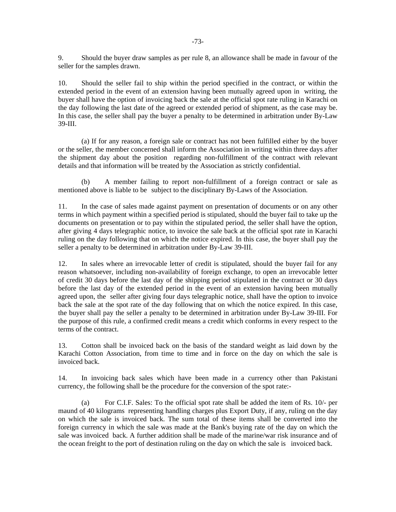9. Should the buyer draw samples as per rule 8, an allowance shall be made in favour of the seller for the samples drawn.

10. Should the seller fail to ship within the period specified in the contract, or within the extended period in the event of an extension having been mutually agreed upon in writing, the buyer shall have the option of invoicing back the sale at the official spot rate ruling in Karachi on the day following the last date of the agreed or extended period of shipment, as the case may be. In this case, the seller shall pay the buyer a penalty to be determined in arbitration under By-Law 39-III.

 (a) If for any reason, a foreign sale or contract has not been fulfilled either by the buyer or the seller, the member concerned shall inform the Association in writing within three days after the shipment day about the position regarding non-fulfillment of the contract with relevant details and that information will be treated by the Association as strictly confidential.

 (b) A member failing to report non-fulfillment of a foreign contract or sale as mentioned above is liable to be subject to the disciplinary By-Laws of the Association.

11. In the case of sales made against payment on presentation of documents or on any other terms in which payment within a specified period is stipulated, should the buyer fail to take up the documents on presentation or to pay within the stipulated period, the seller shall have the option, after giving 4 days telegraphic notice, to invoice the sale back at the official spot rate in Karachi ruling on the day following that on which the notice expired. In this case, the buyer shall pay the seller a penalty to be determined in arbitration under By-Law 39-III.

12. In sales where an irrevocable letter of credit is stipulated, should the buyer fail for any reason whatsoever, including non-availability of foreign exchange, to open an irrevocable letter of credit 30 days before the last day of the shipping period stipulated in the contract or 30 days before the last day of the extended period in the event of an extension having been mutually agreed upon, the seller after giving four days telegraphic notice, shall have the option to invoice back the sale at the spot rate of the day following that on which the notice expired. In this case, the buyer shall pay the seller a penalty to be determined in arbitration under By-Law 39-III. For the purpose of this rule, a confirmed credit means a credit which conforms in every respect to the terms of the contract.

13. Cotton shall be invoiced back on the basis of the standard weight as laid down by the Karachi Cotton Association, from time to time and in force on the day on which the sale is invoiced back.

14. In invoicing back sales which have been made in a currency other than Pakistani currency, the following shall be the procedure for the conversion of the spot rate:-

 (a) For C.I.F. Sales: To the official spot rate shall be added the item of Rs. 10/- per maund of 40 kilograms representing handling charges plus Export Duty, if any, ruling on the day on which the sale is invoiced back. The sum total of these items shall be converted into the foreign currency in which the sale was made at the Bank's buying rate of the day on which the sale was invoiced back. A further addition shall be made of the marine/war risk insurance and of the ocean freight to the port of destination ruling on the day on which the sale is invoiced back.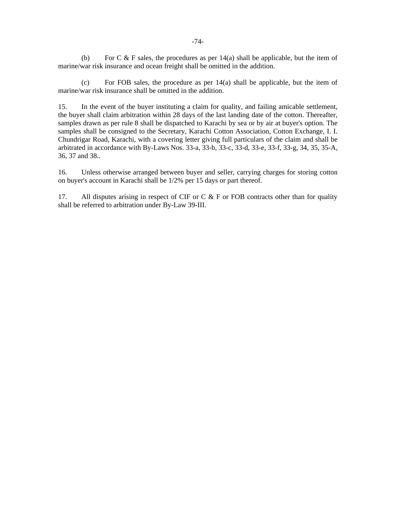(b) For C  $\&$  F sales, the procedures as per 14(a) shall be applicable, but the item of marine/war risk insurance and ocean freight shall be omitted in the addition.

 (c) For FOB sales, the procedure as per 14(a) shall be applicable, but the item of marine/war risk insurance shall be omitted in the addition.

15. In the event of the buyer instituting a claim for quality, and failing amicable settlement, the buyer shall claim arbitration within 28 days of the last landing date of the cotton. Thereafter, samples drawn as per rule 8 shall be dispatched to Karachi by sea or by air at buyer's option. The samples shall be consigned to the Secretary, Karachi Cotton Association, Cotton Exchange, I. I. Chundrigar Road, Karachi, with a covering letter giving full particulars of the claim and shall be arbitrated in accordance with By-Laws Nos. 33-a, 33-b, 33-c, 33-d, 33-e, 33-f, 33-g, 34, 35, 35-A, 36, 37 and 38..

16. Unless otherwise arranged between buyer and seller, carrying charges for storing cotton on buyer's account in Karachi shall be 1/2% per 15 days or part thereof.

17. All disputes arising in respect of CIF or C  $\&$  F or FOB contracts other than for quality shall be referred to arbitration under By-Law 39-III.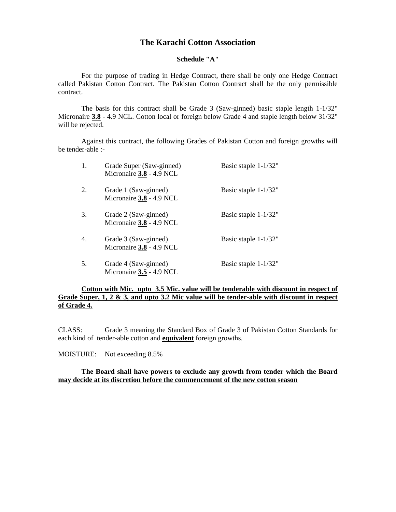## **The Karachi Cotton Association**

#### **Schedule "A"**

For the purpose of trading in Hedge Contract, there shall be only one Hedge Contract called Pakistan Cotton Contract. The Pakistan Cotton Contract shall be the only permissible contract.

The basis for this contract shall be Grade 3 (Saw-ginned) basic staple length 1-1/32" Micronaire **3.8** - 4.9 NCL. Cotton local or foreign below Grade 4 and staple length below 31/32" will be rejected.

Against this contract, the following Grades of Pakistan Cotton and foreign growths will be tender-able :-

| 1. | Grade Super (Saw-ginned)<br>Micronaire 3.8 - 4.9 NCL | Basic staple 1-1/32" |
|----|------------------------------------------------------|----------------------|
| 2. | Grade 1 (Saw-ginned)<br>Micronaire 3.8 - 4.9 NCL     | Basic staple 1-1/32" |
| 3. | Grade 2 (Saw-ginned)<br>Micronaire 3.8 - 4.9 NCL     | Basic staple 1-1/32" |
| 4. | Grade 3 (Saw-ginned)<br>Micronaire 3.8 - 4.9 NCL     | Basic staple 1-1/32" |
| 5. | Grade 4 (Saw-ginned)<br>Micronaire 3.5 - 4.9 NCL     | Basic staple 1-1/32" |

### **Cotton with Mic. upto 3.5 Mic. value will be tenderable with discount in respect of Grade Super, 1, 2 & 3, and upto 3.2 Mic value will be tender-able with discount in respect of Grade 4.**

CLASS: Grade 3 meaning the Standard Box of Grade 3 of Pakistan Cotton Standards for each kind of tender-able cotton and **equivalent** foreign growths.

MOISTURE: Not exceeding 8.5%

### **The Board shall have powers to exclude any growth from tender which the Board may decide at its discretion before the commencement of the new cotton season**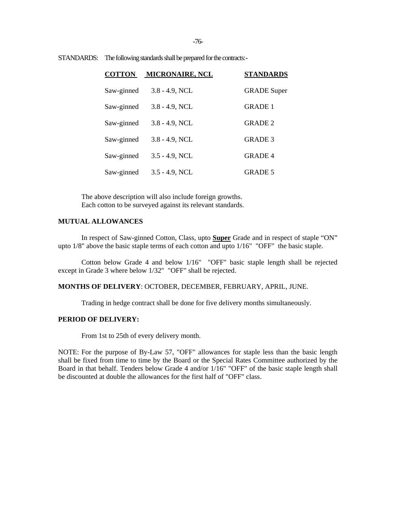-76-

| <b>COTTON</b> | <b>MICRONAIRE, NCL</b> | <b>STANDARDS</b>   |
|---------------|------------------------|--------------------|
| Saw-ginned    | $3.8 - 4.9$ , NCL      | <b>GRADE</b> Super |
| Saw-ginned    | $3.8 - 4.9$ , NCL      | <b>GRADE 1</b>     |
| Saw-ginned    | $3.8 - 4.9$ , NCL      | <b>GRADE 2</b>     |
| Saw-ginned    | $3.8 - 4.9$ , NCL      | <b>GRADE 3</b>     |
| Saw-ginned    | $3.5 - 4.9$ , NCL      | <b>GRADE4</b>      |
| Saw-ginned    | $3.5 - 4.9$ , NCL      | <b>GRADE 5</b>     |

STANDARDS: The following standards shall be prepared for the contracts:-

The above description will also include foreign growths. Each cotton to be surveyed against its relevant standards.

### **MUTUAL ALLOWANCES**

In respect of Saw-ginned Cotton, Class, upto **Super** Grade and in respect of staple "ON" upto 1/8" above the basic staple terms of each cotton and upto 1/16" "OFF" the basic staple.

Cotton below Grade 4 and below 1/16" "OFF" basic staple length shall be rejected except in Grade 3 where below 1/32" "OFF" shall be rejected.

#### **MONTHS OF DELIVERY**: OCTOBER, DECEMBER, FEBRUARY, APRIL, JUNE.

Trading in hedge contract shall be done for five delivery months simultaneously.

### **PERIOD OF DELIVERY:**

From 1st to 25th of every delivery month.

NOTE: For the purpose of By-Law 57, "OFF" allowances for staple less than the basic length shall be fixed from time to time by the Board or the Special Rates Committee authorized by the Board in that behalf. Tenders below Grade 4 and/or 1/16" "OFF" of the basic staple length shall be discounted at double the allowances for the first half of "OFF" class.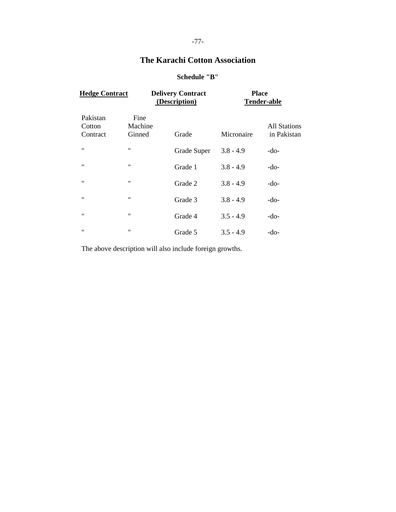# **The Karachi Cotton Association**

# **Schedule "B"**

| <b>Hedge Contract</b>          |                           | <b>Delivery Contract</b><br>(Description) | <b>Place</b> | <b>Tender-able</b>                 |
|--------------------------------|---------------------------|-------------------------------------------|--------------|------------------------------------|
| Pakistan<br>Cotton<br>Contract | Fine<br>Machine<br>Ginned | Grade                                     | Micronaire   | <b>All Stations</b><br>in Pakistan |
| $^{\dagger}$                   | "                         | Grade Super                               | $3.8 - 4.9$  | $-do-$                             |
| "                              | $\pmb{\mathsf{H}}$        | Grade 1                                   | $3.8 - 4.9$  | -do-                               |
| $\pmb{\mathsf{H}}$             | "                         | Grade 2                                   | $3.8 - 4.9$  | $-do-$                             |
| $^{\prime\prime}$              | $^{\prime\prime}$         | Grade 3                                   | $3.8 - 4.9$  | $-do-$                             |
| $^{\dagger}$                   | $^{\prime\prime}$         | Grade 4                                   | $3.5 - 4.9$  | -do-                               |
| $^{\prime\prime}$              | $^{\dagger}$              | Grade 5                                   | $3.5 - 4.9$  | $-do-$                             |

The above description will also include foreign growths.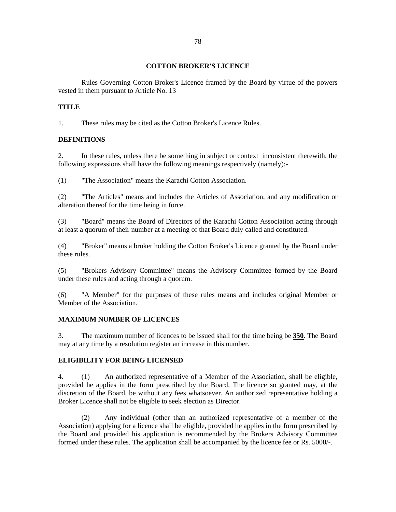### **COTTON BROKER'S LICENCE**

 Rules Governing Cotton Broker's Licence framed by the Board by virtue of the powers vested in them pursuant to Article No. 13

### **TITLE**

1. These rules may be cited as the Cotton Broker's Licence Rules.

### **DEFINITIONS**

2. In these rules, unless there be something in subject or context inconsistent therewith, the following expressions shall have the following meanings respectively (namely):-

(1) "The Association" means the Karachi Cotton Association.

(2) "The Articles" means and includes the Articles of Association, and any modification or alteration thereof for the time being in force.

(3) "Board" means the Board of Directors of the Karachi Cotton Association acting through at least a quorum of their number at a meeting of that Board duly called and constituted.

(4) "Broker" means a broker holding the Cotton Broker's Licence granted by the Board under these rules.

(5) "Brokers Advisory Committee" means the Advisory Committee formed by the Board under these rules and acting through a quorum.

(6) "A Member" for the purposes of these rules means and includes original Member or Member of the Association.

### **MAXIMUM NUMBER OF LICENCES**

3. The maximum number of licences to be issued shall for the time being be **350**. The Board may at any time by a resolution register an increase in this number.

### **ELIGIBILITY FOR BEING LICENSED**

4. (1) An authorized representative of a Member of the Association, shall be eligible, provided he applies in the form prescribed by the Board. The licence so granted may, at the discretion of the Board, be without any fees whatsoever. An authorized representative holding a Broker Licence shall not be eligible to seek election as Director.

 (2) Any individual (other than an authorized representative of a member of the Association) applying for a licence shall be eligible, provided he applies in the form prescribed by the Board and provided his application is recommended by the Brokers Advisory Committee formed under these rules. The application shall be accompanied by the licence fee or Rs. 5000/-.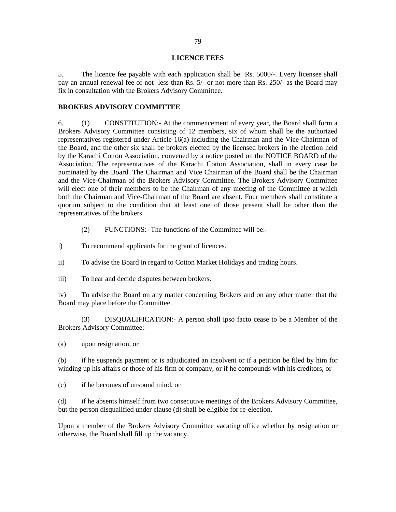### **LICENCE FEES**

5. The licence fee payable with each application shall be Rs. 5000/-. Every licensee shall pay an annual renewal fee of not less than Rs. 5/- or not more than Rs. 250/- as the Board may fix in consultation with the Brokers Advisory Committee.

### **BROKERS ADVISORY COMMITTEE**

6. (1) CONSTITUTION:- At the commencement of every year, the Board shall form a Brokers Advisory Committee consisting of 12 members, six of whom shall be the authorized representatives registered under Article 16(a) including the Chairman and the Vice-Chairman of the Board, and the other six shall be brokers elected by the licensed brokers in the election held by the Karachi Cotton Association, convened by a notice posted on the NOTICE BOARD of the Association. The representatives of the Karachi Cotton Association, shall in every case be nominated by the Board. The Chairman and Vice Chairman of the Board shall be the Chairman and the Vice-Chairman of the Brokers Advisory Committee. The Brokers Advisory Committee will elect one of their members to be the Chairman of any meeting of the Committee at which both the Chairman and Vice-Chairman of the Board are absent. Four members shall constitute a quorum subject to the condition that at least one of those present shall be other than the representatives of the brokers.

- (2) FUNCTIONS:- The functions of the Committee will be:-
- i) To recommend applicants for the grant of licences.
- ii) To advise the Board in regard to Cotton Market Holidays and trading hours.
- iii) To hear and decide disputes between brokers.

iv) To advise the Board on any matter concerning Brokers and on any other matter that the Board may place before the Committee.

 (3) DISQUALIFICATION:- A person shall ipso facto cease to be a Member of the Brokers Advisory Committee:-

(a) upon resignation, or

(b) if he suspends payment or is adjudicated an insolvent or if a petition be filed by him for winding up his affairs or those of his firm or company, or if he compounds with his creditors, or

(c) if he becomes of unsound mind, or

(d) if he absents himself from two consecutive meetings of the Brokers Advisory Committee, but the person disqualified under clause (d) shall be eligible for re-election.

Upon a member of the Brokers Advisory Committee vacating office whether by resignation or otherwise, the Board shall fill up the vacancy.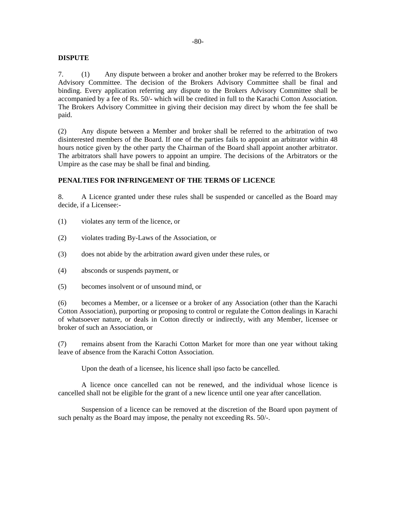### **DISPUTE**

7. (1) Any dispute between a broker and another broker may be referred to the Brokers Advisory Committee. The decision of the Brokers Advisory Committee shall be final and binding. Every application referring any dispute to the Brokers Advisory Committee shall be accompanied by a fee of Rs. 50/- which will be credited in full to the Karachi Cotton Association. The Brokers Advisory Committee in giving their decision may direct by whom the fee shall be paid.

(2) Any dispute between a Member and broker shall be referred to the arbitration of two disinterested members of the Board. If one of the parties fails to appoint an arbitrator within 48 hours notice given by the other party the Chairman of the Board shall appoint another arbitrator. The arbitrators shall have powers to appoint an umpire. The decisions of the Arbitrators or the Umpire as the case may be shall be final and binding.

### **PENALTIES FOR INFRINGEMENT OF THE TERMS OF LICENCE**

8. A Licence granted under these rules shall be suspended or cancelled as the Board may decide, if a Licensee:-

- (1) violates any term of the licence, or
- (2) violates trading By-Laws of the Association, or
- (3) does not abide by the arbitration award given under these rules, or
- (4) absconds or suspends payment, or
- (5) becomes insolvent or of unsound mind, or

(6) becomes a Member, or a licensee or a broker of any Association (other than the Karachi Cotton Association), purporting or proposing to control or regulate the Cotton dealings in Karachi of whatsoever nature, or deals in Cotton directly or indirectly, with any Member, licensee or broker of such an Association, or

(7) remains absent from the Karachi Cotton Market for more than one year without taking leave of absence from the Karachi Cotton Association.

Upon the death of a licensee, his licence shall ipso facto be cancelled.

A licence once cancelled can not be renewed, and the individual whose licence is cancelled shall not be eligible for the grant of a new licence until one year after cancellation.

Suspension of a licence can be removed at the discretion of the Board upon payment of such penalty as the Board may impose, the penalty not exceeding Rs. 50/-.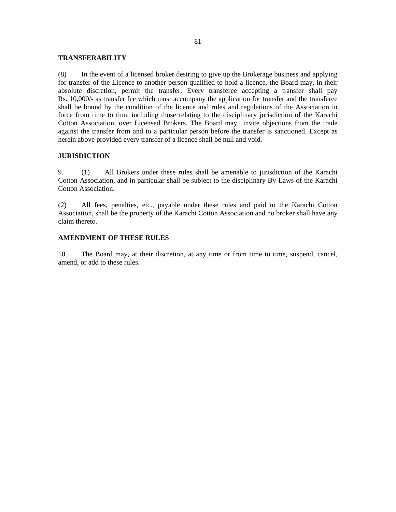#### **TRANSFERABILITY**

(8) In the event of a licensed broker desiring to give up the Brokerage business and applying for transfer of the Licence to another person qualified to hold a licence, the Board may, in their absolute discretion, permit the transfer. Every transferee accepting a transfer shall pay Rs. 10,000/- as transfer fee which must accompany the application for transfer and the transferee shall be bound by the condition of the licence and rules and regulations of the Association in force from time to time including those relating to the disciplinary jurisdiction of the Karachi Cotton Association, over Licensed Brokers. The Board may invite objections from the trade against the transfer from and to a particular person before the transfer is sanctioned. Except as herein above provided every transfer of a licence shall be null and void.

### **JURISDICTION**

9. (1) All Brokers under these rules shall be amenable to jurisdiction of the Karachi Cotton Association, and in particular shall be subject to the disciplinary By-Laws of the Karachi Cotton Association.

(2) All fees, penalties, etc., payable under these rules and paid to the Karachi Cotton Association, shall be the property of the Karachi Cotton Association and no broker shall have any claim thereto.

### **AMENDMENT OF THESE RULES**

10. The Board may, at their discretion, at any time or from time to time, suspend, cancel, amend, or add to these rules.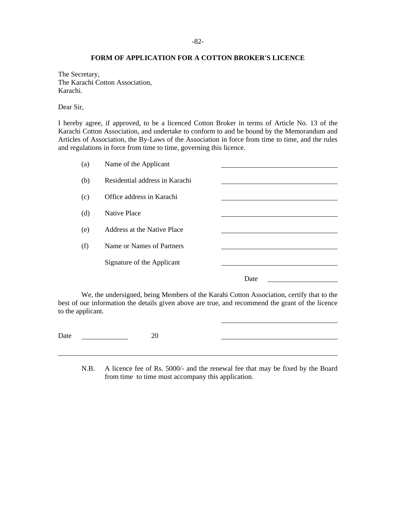### **FORM OF APPLICATION FOR A COTTON BROKER'S LICENCE**

The Secretary, The Karachi Cotton Association, Karachi.

Dear Sir,

I hereby agree, if approved, to be a licenced Cotton Broker in terms of Article No. 13 of the Karachi Cotton Association, and undertake to conform to and be bound by the Memorandum and Articles of Association, the By-Laws of the Association in force from time to time, and the rules and regulations in force from time to time, governing this licence.

| (a) | Name of the Applicant          |      |  |
|-----|--------------------------------|------|--|
| (b) | Residential address in Karachi |      |  |
| (c) | Office address in Karachi      |      |  |
| (d) | <b>Native Place</b>            |      |  |
| (e) | Address at the Native Place    |      |  |
| (f) | Name or Names of Partners      |      |  |
|     | Signature of the Applicant     |      |  |
|     |                                |      |  |
|     |                                | Date |  |

We, the undersigned, being Members of the Karahi Cotton Association, certify that to the best of our information the details given above are true, and recommend the grant of the licence to the applicant.

Date 20

 $\overline{a}$ 

N.B. A licence fee of Rs. 5000/- and the renewal fee that may be fixed by the Board from time to time must accompany this application.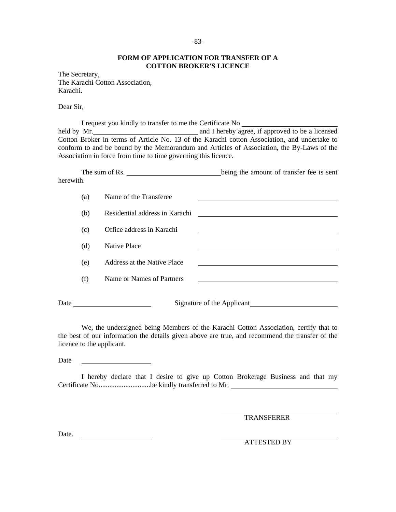### **FORM OF APPLICATION FOR TRANSFER OF A COTTON BROKER'S LICENCE**

The Secretary, The Karachi Cotton Association, Karachi.

Dear Sir,

I request you kindly to transfer to me the Certificate No held by Mr. 2008 and I hereby agree, if approved to be a licensed Cotton Broker in terms of Article No. 13 of the Karachi cotton Association, and undertake to conform to and be bound by the Memorandum and Articles of Association, the By-Laws of the Association in force from time to time governing this licence.

|           | The sum of Rs.                 | being the amount of transfer fee is sent |
|-----------|--------------------------------|------------------------------------------|
| herewith. |                                |                                          |
| (a)       | Name of the Transferee         |                                          |
| (b)       | Residential address in Karachi |                                          |
| (c)       | Office address in Karachi      |                                          |
| (d)       | <b>Native Place</b>            |                                          |
| (e)       | Address at the Native Place    |                                          |
| (f)       | Name or Names of Partners      |                                          |
| Date      |                                | Signature of the Applicant               |

We, the undersigned being Members of the Karachi Cotton Association, certify that to the best of our information the details given above are true, and recommend the transfer of the licence to the applicant.

Date

I hereby declare that I desire to give up Cotton Brokerage Business and that my Certificate No.............................be kindly transferred to Mr.

TRANSFERER

Date.

ATTESTED BY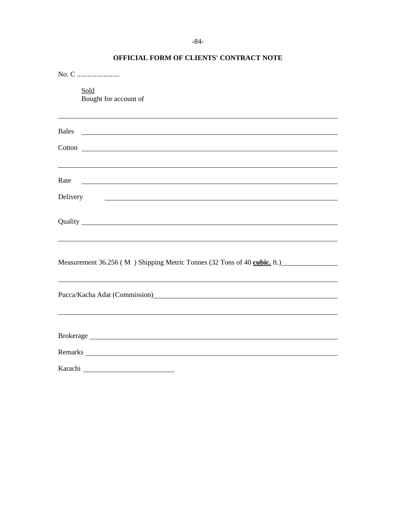| Sold<br>Bought for account of                                                                                                                                                                                                                                                                                        |
|----------------------------------------------------------------------------------------------------------------------------------------------------------------------------------------------------------------------------------------------------------------------------------------------------------------------|
| Bales<br><u> 1989 - Johann Stoff, deutscher Stoffen und der Stoffen und der Stoffen und der Stoffen und der Stoffen und der</u>                                                                                                                                                                                      |
|                                                                                                                                                                                                                                                                                                                      |
| Rate<br><u> 1989 - Johann Barn, mars ann an t-Amhainn an t-Amhainn an t-Amhainn an t-Amhainn an t-Amhainn an t-Amhainn an</u>                                                                                                                                                                                        |
| Delivery<br><u> 1980 - Jan Samuel Barbara, martin a shekara tsara tsa na shekara tsa na shekara tsa na shekara tsa na shekara</u>                                                                                                                                                                                    |
|                                                                                                                                                                                                                                                                                                                      |
| Measurement 36.256 (M) Shipping Metric Tonnes (32 Tons of 40 cubic. ft.)                                                                                                                                                                                                                                             |
| ,我们也不会有一个人的人,我们也不会有一个人的人,我们也不会有一个人的人,我们也不会有一个人的人。""我们的人,我们也不会有一个人的人,我们也不会有一个人的人,<br>Pucca/Kacha Adat (Commission)<br>La Commission and Commission and Commission and Commission and Commission and Commission and Commission and Commission and Commission and Commission and Commission and Commission and Commissi |
|                                                                                                                                                                                                                                                                                                                      |
|                                                                                                                                                                                                                                                                                                                      |
|                                                                                                                                                                                                                                                                                                                      |

# **OFFICIAL FORM OF CLIENTS' CONTRACT NOTE**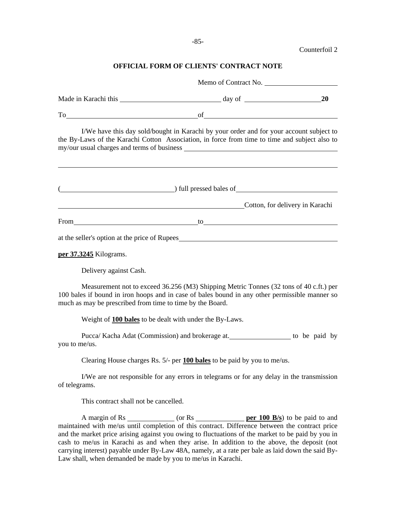Counterfoil 2

## **OFFICIAL FORM OF CLIENTS' CONTRACT NOTE**

|                                                           | Memo of Contract No.                                                                                                                                                                                                           |           |
|-----------------------------------------------------------|--------------------------------------------------------------------------------------------------------------------------------------------------------------------------------------------------------------------------------|-----------|
|                                                           |                                                                                                                                                                                                                                | <b>20</b> |
|                                                           | To of order of the contract of the contract of the contract of the contract of the contract of the contract of the contract of the contract of the contract of the contract of the contract of the contract of the contract of |           |
|                                                           | I/We have this day sold/bought in Karachi by your order and for your account subject to<br>the By-Laws of the Karachi Cotton Association, in force from time to time and subject also to                                       |           |
|                                                           | (a) full pressed bales of                                                                                                                                                                                                      |           |
|                                                           | <b>Cotton, for delivery in Karachi</b>                                                                                                                                                                                         |           |
|                                                           | From to to the contract of the contract of the contract of the contract of the contract of the contract of the contract of the contract of the contract of the contract of the contract of the contract of the contract of the |           |
|                                                           | at the seller's option at the price of Rupees                                                                                                                                                                                  |           |
| per 37.3245 Kilograms.                                    |                                                                                                                                                                                                                                |           |
| Delivery against Cash.                                    |                                                                                                                                                                                                                                |           |
| much as may be prescribed from time to time by the Board. | Measurement not to exceed 36.256 (M3) Shipping Metric Tonnes (32 tons of 40 c.ft.) per<br>100 bales if bound in iron hoops and in case of bales bound in any other permissible manner so                                       |           |
|                                                           | Weight of 100 bales to be dealt with under the By-Laws.                                                                                                                                                                        |           |
| you to me/us.                                             | Pucca/Kacha Adat (Commission) and brokerage at. ___________________ to be paid by                                                                                                                                              |           |
|                                                           | Clearing House charges Rs. 5/- per 100 bales to be paid by you to me/us.                                                                                                                                                       |           |
| of telegrams.                                             | I/We are not responsible for any errors in telegrams or for any delay in the transmission                                                                                                                                      |           |
| This contract shall not be cancelled.                     |                                                                                                                                                                                                                                |           |
|                                                           | maintained with me/us until completion of this contract. Difference between the contract price<br>and the market price arising against you owing to fluctuations of the market to be paid by you in                            |           |

cash to me/us in Karachi as and when they arise. In addition to the above, the deposit (not carrying interest) payable under By-Law 48A, namely, at a rate per bale as laid down the said By-Law shall, when demanded be made by you to me/us in Karachi.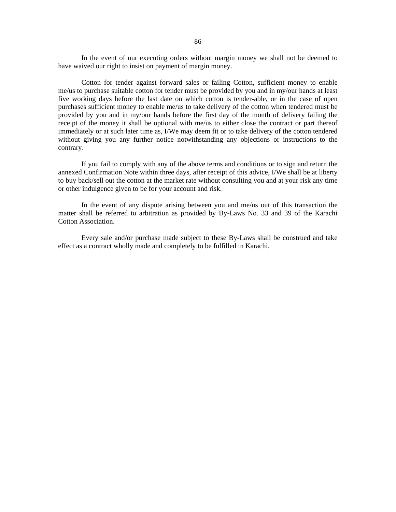In the event of our executing orders without margin money we shall not be deemed to have waived our right to insist on payment of margin money.

Cotton for tender against forward sales or failing Cotton, sufficient money to enable me/us to purchase suitable cotton for tender must be provided by you and in my/our hands at least five working days before the last date on which cotton is tender-able, or in the case of open purchases sufficient money to enable me/us to take delivery of the cotton when tendered must be provided by you and in my/our hands before the first day of the month of delivery failing the receipt of the money it shall be optional with me/us to either close the contract or part thereof immediately or at such later time as, I/We may deem fit or to take delivery of the cotton tendered without giving you any further notice notwithstanding any objections or instructions to the contrary.

If you fail to comply with any of the above terms and conditions or to sign and return the annexed Confirmation Note within three days, after receipt of this advice, I/We shall be at liberty to buy back/sell out the cotton at the market rate without consulting you and at your risk any time or other indulgence given to be for your account and risk.

In the event of any dispute arising between you and me/us out of this transaction the matter shall be referred to arbitration as provided by By-Laws No. 33 and 39 of the Karachi Cotton Association.

Every sale and/or purchase made subject to these By-Laws shall be construed and take effect as a contract wholly made and completely to be fulfilled in Karachi.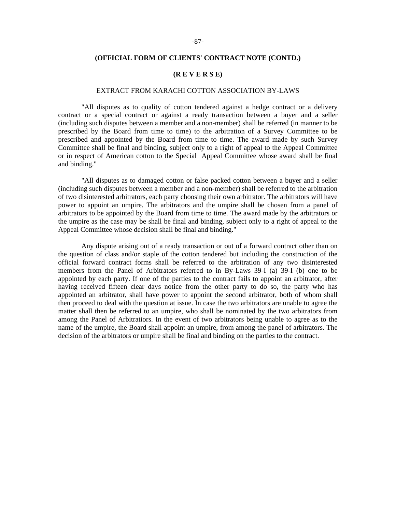#### **(OFFICIAL FORM OF CLIENTS' CONTRACT NOTE (CONTD.)**

#### **(R E V E R S E)**

#### EXTRACT FROM KARACHI COTTON ASSOCIATION BY-LAWS

"All disputes as to quality of cotton tendered against a hedge contract or a delivery contract or a special contract or against a ready transaction between a buyer and a seller (including such disputes between a member and a non-member) shall be referred (in manner to be prescribed by the Board from time to time) to the arbitration of a Survey Committee to be prescribed and appointed by the Board from time to time. The award made by such Survey Committee shall be final and binding, subject only to a right of appeal to the Appeal Committee or in respect of American cotton to the Special Appeal Committee whose award shall be final and binding."

"All disputes as to damaged cotton or false packed cotton between a buyer and a seller (including such disputes between a member and a non-member) shall be referred to the arbitration of two disinterested arbitrators, each party choosing their own arbitrator. The arbitrators will have power to appoint an umpire. The arbitrators and the umpire shall be chosen from a panel of arbitrators to be appointed by the Board from time to time. The award made by the arbitrators or the umpire as the case may be shall be final and binding, subject only to a right of appeal to the Appeal Committee whose decision shall be final and binding."

Any dispute arising out of a ready transaction or out of a forward contract other than on the question of class and/or staple of the cotton tendered but including the construction of the official forward contract forms shall be referred to the arbitration of any two disinterested members from the Panel of Arbitrators referred to in By-Laws 39-I (a) 39-I (b) one to be appointed by each party. If one of the parties to the contract fails to appoint an arbitrator, after having received fifteen clear days notice from the other party to do so, the party who has appointed an arbitrator, shall have power to appoint the second arbitrator, both of whom shall then proceed to deal with the question at issue. In case the two arbitrators are unable to agree the matter shall then be referred to an umpire, who shall be nominated by the two arbitrators from among the Panel of Arbitratiors. In the event of two arbitrators being unable to agree as to the name of the umpire, the Board shall appoint an umpire, from among the panel of arbitrators. The decision of the arbitrators or umpire shall be final and binding on the parties to the contract.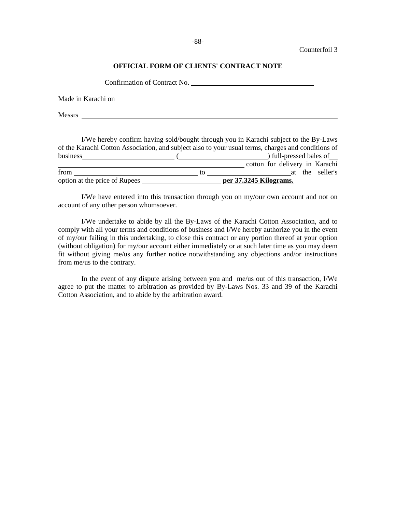### **OFFICIAL FORM OF CLIENTS' CONTRACT NOTE**

|        | Confirmation of Contract No. |  |
|--------|------------------------------|--|
|        | Made in Karachi on           |  |
| Messrs |                              |  |
|        |                              |  |

|                               |    | I/We hereby confirm having sold/bought through you in Karachi subject to the By-Laws               |
|-------------------------------|----|----------------------------------------------------------------------------------------------------|
|                               |    | of the Karachi Cotton Association, and subject also to your usual terms, charges and conditions of |
| business                      |    | ) full-pressed bales of                                                                            |
|                               |    | cotton for delivery in Karachi                                                                     |
| from                          | tΩ | at the seller's                                                                                    |
| option at the price of Rupees |    | per 37.3245 Kilograms.                                                                             |

I/We have entered into this transaction through you on my/our own account and not on account of any other person whomsoever.

I/We undertake to abide by all the By-Laws of the Karachi Cotton Association, and to comply with all your terms and conditions of business and I/We hereby authorize you in the event of my/our failing in this undertaking, to close this contract or any portion thereof at your option (without obligation) for my/our account either immediately or at such later time as you may deem fit without giving me/us any further notice notwithstanding any objections and/or instructions from me/us to the contrary.

In the event of any dispute arising between you and me/us out of this transaction, I/We agree to put the matter to arbitration as provided by By-Laws Nos. 33 and 39 of the Karachi Cotton Association, and to abide by the arbitration award.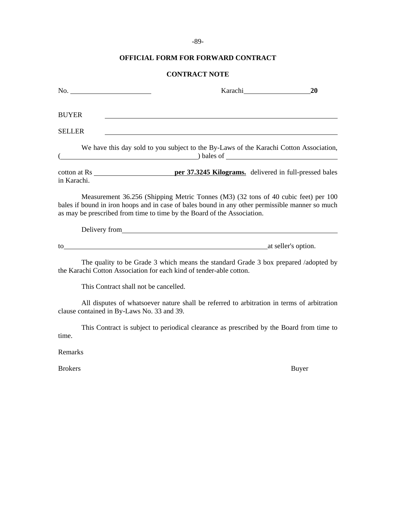# -89-

## **OFFICIAL FORM FOR FORWARD CONTRACT**

# **CONTRACT NOTE**

| No.                                        | Karachi <b>Markazi</b>                                                                                                                                                                                                                                           | 20           |
|--------------------------------------------|------------------------------------------------------------------------------------------------------------------------------------------------------------------------------------------------------------------------------------------------------------------|--------------|
| <b>BUYER</b>                               |                                                                                                                                                                                                                                                                  |              |
| <b>SELLER</b>                              |                                                                                                                                                                                                                                                                  |              |
|                                            | We have this day sold to you subject to the By-Laws of the Karachi Cotton Association,<br>$\qquad \qquad$ bales of $\qquad \qquad$                                                                                                                               |              |
| in Karachi.                                |                                                                                                                                                                                                                                                                  |              |
|                                            | Measurement 36.256 (Shipping Metric Tonnes (M3) (32 tons of 40 cubic feet) per 100<br>bales if bound in iron hoops and in case of bales bound in any other permissible manner so much<br>as may be prescribed from time to time by the Board of the Association. |              |
|                                            | Delivery from <u>example and the set of the set of the set of the set of the set of the set of the set of the set of the set of the set of the set of the set of the set of the set of the set of the set of the set of the set </u>                             |              |
|                                            | to the state of the state of the state of the state of the state of the state of the state of the state of the state of the state of the state of the state of the state of the state of the state of the state of the state o                                   |              |
|                                            | The quality to be Grade 3 which means the standard Grade 3 box prepared /adopted by<br>the Karachi Cotton Association for each kind of tender-able cotton.                                                                                                       |              |
| This Contract shall not be cancelled.      |                                                                                                                                                                                                                                                                  |              |
| clause contained in By-Laws No. 33 and 39. | All disputes of whatsoever nature shall be referred to arbitration in terms of arbitration                                                                                                                                                                       |              |
| time.                                      | This Contract is subject to periodical clearance as prescribed by the Board from time to                                                                                                                                                                         |              |
| Remarks                                    |                                                                                                                                                                                                                                                                  |              |
| <b>Brokers</b>                             |                                                                                                                                                                                                                                                                  | <b>Buyer</b> |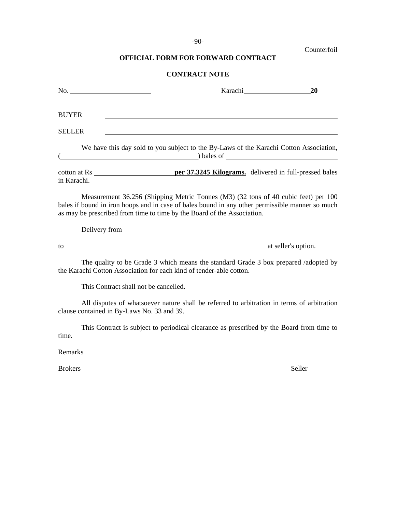# -90-

Counterfoil

# **OFFICIAL FORM FOR FORWARD CONTRACT**

# **CONTRACT NOTE**

| No.                                        | Karachi                                                                                                                                                                                                                                                          | 20     |
|--------------------------------------------|------------------------------------------------------------------------------------------------------------------------------------------------------------------------------------------------------------------------------------------------------------------|--------|
| <b>BUYER</b>                               |                                                                                                                                                                                                                                                                  |        |
| <b>SELLER</b>                              | and the control of the control of the control of the control of the control of the control of the control of the                                                                                                                                                 |        |
|                                            | We have this day sold to you subject to the By-Laws of the Karachi Cotton Association,<br>$\Box$ bales of $\Box$                                                                                                                                                 |        |
| in Karachi.                                |                                                                                                                                                                                                                                                                  |        |
|                                            | Measurement 36.256 (Shipping Metric Tonnes (M3) (32 tons of 40 cubic feet) per 100<br>bales if bound in iron hoops and in case of bales bound in any other permissible manner so much<br>as may be prescribed from time to time by the Board of the Association. |        |
|                                            |                                                                                                                                                                                                                                                                  |        |
|                                            | to at seller's option.                                                                                                                                                                                                                                           |        |
|                                            | The quality to be Grade 3 which means the standard Grade 3 box prepared /adopted by<br>the Karachi Cotton Association for each kind of tender-able cotton.                                                                                                       |        |
| This Contract shall not be cancelled.      |                                                                                                                                                                                                                                                                  |        |
| clause contained in By-Laws No. 33 and 39. | All disputes of whatsoever nature shall be referred to arbitration in terms of arbitration                                                                                                                                                                       |        |
| time.                                      | This Contract is subject to periodical clearance as prescribed by the Board from time to                                                                                                                                                                         |        |
| Remarks                                    |                                                                                                                                                                                                                                                                  |        |
| <b>Brokers</b>                             |                                                                                                                                                                                                                                                                  | Seller |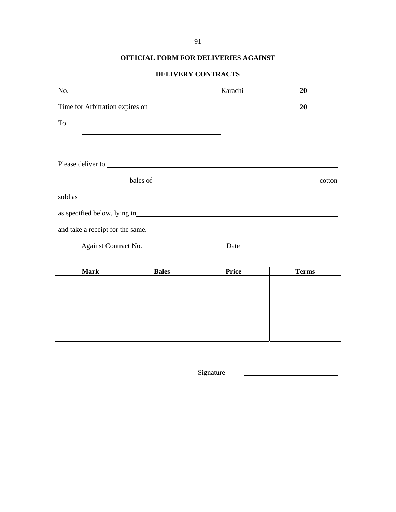-91-

# **OFFICIAL FORM FOR DELIVERIES AGAINST**

# **DELIVERY CONTRACTS**

| $\mathbb{N}$ o.                                                                                                                                                                                                                | <b>20</b> |
|--------------------------------------------------------------------------------------------------------------------------------------------------------------------------------------------------------------------------------|-----------|
|                                                                                                                                                                                                                                | <b>20</b> |
| To                                                                                                                                                                                                                             |           |
| <u> 1989 - Johann Stoff, amerikansk politiker (d. 1989)</u>                                                                                                                                                                    |           |
|                                                                                                                                                                                                                                |           |
| bales of                                                                                                                                                                                                                       | cotton    |
| sold as sold as the set of the set of the set of the set of the set of the set of the set of the set of the set of the set of the set of the set of the set of the set of the set of the set of the set of the set of the set  |           |
| as specified below, lying in University of the set of the set of the set of the set of the set of the set of the set of the set of the set of the set of the set of the set of the set of the set of the set of the set of the |           |
| and take a receipt for the same.                                                                                                                                                                                               |           |
| Against Contract No.                                                                                                                                                                                                           |           |
|                                                                                                                                                                                                                                |           |

| <b>Mark</b> | <b>Bales</b> | <b>Price</b> | <b>Terms</b> |
|-------------|--------------|--------------|--------------|
|             |              |              |              |
|             |              |              |              |
|             |              |              |              |
|             |              |              |              |
|             |              |              |              |
|             |              |              |              |
|             |              |              |              |
|             |              |              |              |

Signature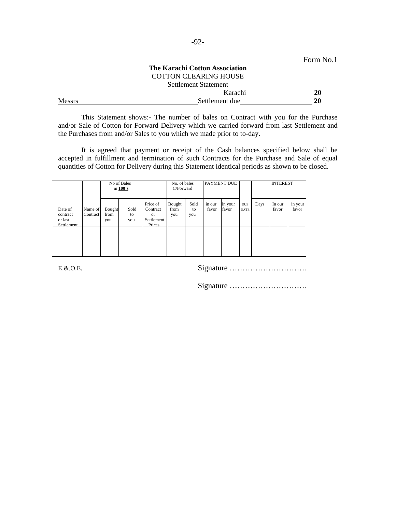|        |                                       | Form No.1 |
|--------|---------------------------------------|-----------|
|        | <b>The Karachi Cotton Association</b> |           |
|        | <b>COTTON CLEARING HOUSE</b>          |           |
|        | Settlement Statement                  |           |
|        | Karachi                               | 20        |
| Messrs | Settlement due                        | 20        |

This Statement shows:- The number of bales on Contract with you for the Purchase and/or Sale of Cotton for Forward Delivery which we carried forward from last Settlement and the Purchases from and/or Sales to you which we made prior to to-day.

It is agreed that payment or receipt of the Cash balances specified below shall be accepted in fulfillment and termination of such Contracts for the Purchase and Sale of equal quantities of Cotton for Delivery during this Statement identical periods as shown to be closed.

|                                              |                     |                       | No of Bales<br>in 100's |                                                               | No. of bales<br>C/Forward |                   | <b>PAYMENT DUE</b> |                  |                           |      | <b>INTEREST</b> |                  |
|----------------------------------------------|---------------------|-----------------------|-------------------------|---------------------------------------------------------------|---------------------------|-------------------|--------------------|------------------|---------------------------|------|-----------------|------------------|
| Date of<br>contract<br>or last<br>Settlement | Name of<br>Contract | Bought<br>from<br>you | Sold<br>to<br>you       | Price of<br>Contract<br><sub>or</sub><br>Settlement<br>Prices | Bought<br>from<br>you     | Sold<br>to<br>you | in our<br>favor    | in your<br>favor | <b>DUE</b><br><b>DATE</b> | Days | In our<br>favor | in your<br>favor |
|                                              |                     |                       |                         |                                                               |                           |                   |                    |                  |                           |      |                 |                  |

E.&.O.E. Signature …………………………

Signature …………………………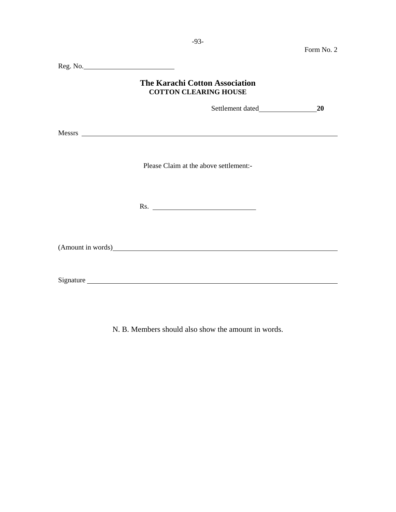|                                                                                                                                                                                                                                | Form No. 2 |
|--------------------------------------------------------------------------------------------------------------------------------------------------------------------------------------------------------------------------------|------------|
|                                                                                                                                                                                                                                |            |
| <b>The Karachi Cotton Association</b><br><b>COTTON CLEARING HOUSE</b>                                                                                                                                                          |            |
|                                                                                                                                                                                                                                | 20         |
| Messrs New York and the Marian Community of the Marian Community of the Marian Community of the Marian Community of the Marian Community of the Marian Community of the Marian Community of the Marian Community of the Marian |            |
| Please Claim at the above settlement:-                                                                                                                                                                                         |            |
|                                                                                                                                                                                                                                |            |
|                                                                                                                                                                                                                                |            |
| Signature                                                                                                                                                                                                                      |            |

N. B. Members should also show the amount in words.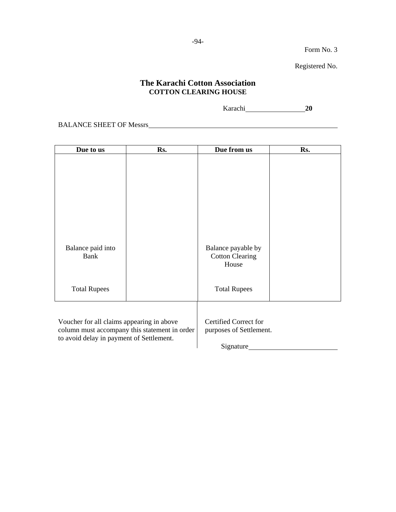$\overline{\phantom{a}}$ 

Registered No.

# **The Karachi Cotton Association COTTON CLEARING HOUSE**

Karachi **20**

BALANCE SHEET OF Messrs

| Due to us                                                                                                                              | Rs. | Due from us                                                   | Rs. |
|----------------------------------------------------------------------------------------------------------------------------------------|-----|---------------------------------------------------------------|-----|
|                                                                                                                                        |     |                                                               |     |
| Balance paid into<br>Bank                                                                                                              |     | Balance payable by<br><b>Cotton Clearing</b><br>House         |     |
| <b>Total Rupees</b>                                                                                                                    |     | <b>Total Rupees</b>                                           |     |
| Voucher for all claims appearing in above<br>column must accompany this statement in order<br>to avoid delay in payment of Settlement. |     | Certified Correct for<br>purposes of Settlement.<br>Signature |     |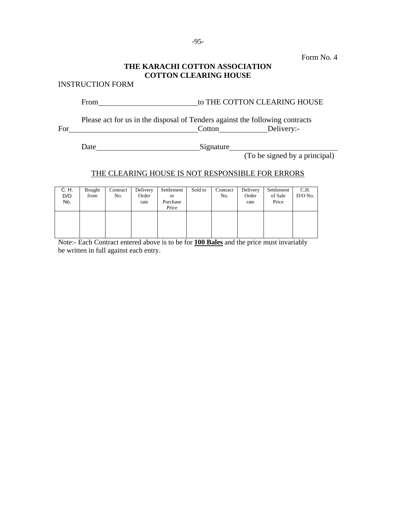# **THE KARACHI COTTON ASSOCIATION COTTON CLEARING HOUSE**

INSTRUCTION FORM

From to THE COTTON CLEARING HOUSE

Please act for us in the disposal of Tenders against the following contracts For Cotton Delivery:-

Date Signature Signature

(To be signed by a principal)

# THE CLEARING HOUSE IS NOT RESPONSIBLE FOR ERRORS

| C. H.<br>D/O<br>No. | Bought<br>from | Contract<br>No. | Delivery<br>Order<br>rate | Settlement<br><b>or</b><br>Purchase<br>Price | Sold to | Contract<br>No. | Delivery<br>Order<br>rate | Settlement<br>of Sale<br>Price | C.H.<br>$D/O$ No. |
|---------------------|----------------|-----------------|---------------------------|----------------------------------------------|---------|-----------------|---------------------------|--------------------------------|-------------------|
|                     |                |                 |                           |                                              |         |                 |                           |                                |                   |

Note:- Each Contract entered above is to be for **100 Bales** and the price must invariably be written in full against each entry.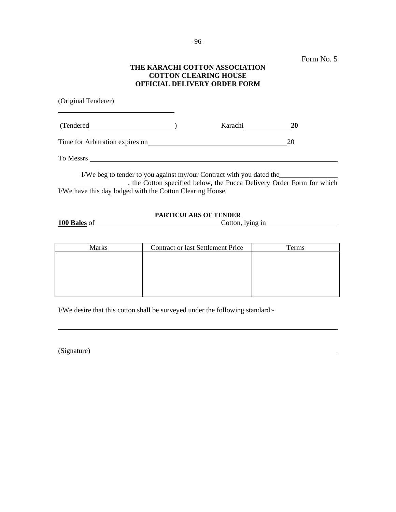### **THE KARACHI COTTON ASSOCIATION COTTON CLEARING HOUSE OFFICIAL DELIVERY ORDER FORM**

| (Original Tenderer)                                                  |         |                                                                     |
|----------------------------------------------------------------------|---------|---------------------------------------------------------------------|
| (Tendered)                                                           | Karachi | <b>20</b>                                                           |
|                                                                      |         | 20                                                                  |
| To Messrs                                                            |         |                                                                     |
| I/We beg to tender to you against my/our Contract with you dated the |         | the Cotton specified below, the Pucca Delivery Order Form for which |
| I/We have this day lodged with the Cotton Clearing House.            |         |                                                                     |

### **PARTICULARS OF TENDER**

**100 Bales** of Cotton, lying in

| <b>Marks</b> | <b>Contract or last Settlement Price</b> | Terms |
|--------------|------------------------------------------|-------|
|              |                                          |       |
|              |                                          |       |
|              |                                          |       |
|              |                                          |       |
|              |                                          |       |

I/We desire that this cotton shall be surveyed under the following standard:-

(Signature) **Example 2** and 2 and 2 and 2 and 2 and 2 and 2 and 2 and 2 and 2 and 2 and 2 and 2 and 2 and 2 and 2 and 2 and 2 and 2 and 2 and 2 and 2 and 2 and 2 and 2 and 2 and 2 and 2 and 2 and 2 and 2 and 2 and 2 and 2

l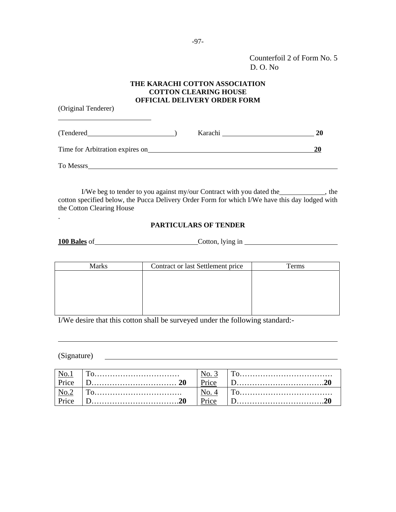Counterfoil 2 of Form No. 5 D. O. No

### **THE KARACHI COTTON ASSOCIATION COTTON CLEARING HOUSE OFFICIAL DELIVERY ORDER FORM**

(Original Tenderer)

l

.

| (Tendered)                      | Karachi | 20 |
|---------------------------------|---------|----|
| Time for Arbitration expires on |         | 20 |
| To Messrs                       |         |    |

I/We beg to tender to you against my/our Contract with you dated the \_\_\_\_\_\_\_\_\_\_\_, the cotton specified below, the Pucca Delivery Order Form for which I/We have this day lodged with the Cotton Clearing House

### **PARTICULARS OF TENDER**

**100 Bales** of Cotton, lying in

| <b>Marks</b> | Contract or last Settlement price | Terms |
|--------------|-----------------------------------|-------|
|              |                                   |       |
|              |                                   |       |
|              |                                   |       |
|              |                                   |       |
|              |                                   |       |

I/We desire that this cotton shall be surveyed under the following standard:-

(Signature)

l

|       | Price |  |
|-------|-------|--|
|       |       |  |
| Price | Price |  |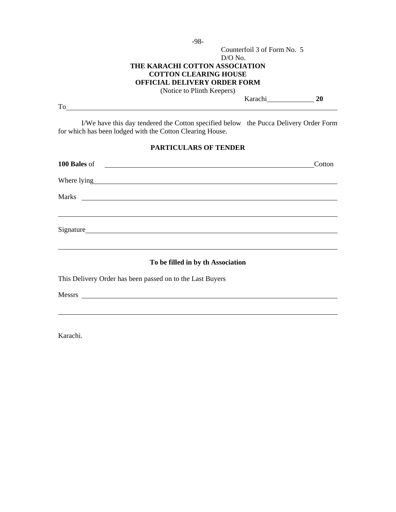-98-

## D/O No. **THE KARACHI COTTON ASSOCIATION COTTON CLEARING HOUSE OFFICIAL DELIVERY ORDER FORM**

(Notice to Plinth Keepers)

To subset of the set of the set of the set of the set of the set of the set of the set of the set of the set of the set of the set of the set of the set of the set of the set of the set of the set of the set of the set of

Karachi **20**

Counterfoil 3 of Form No. 5

I/We have this day tendered the Cotton specified below the Pucca Delivery Order Form for which has been lodged with the Cotton Clearing House.

### **PARTICULARS OF TENDER**

| 100 Bales of 200 methods and 200 methods and 200 methods and 200 methods and 200 methods are also seen as a set of $\sim$ | Cotton |
|---------------------------------------------------------------------------------------------------------------------------|--------|
|                                                                                                                           |        |
|                                                                                                                           |        |
|                                                                                                                           |        |
|                                                                                                                           |        |
| To be filled in by th Association                                                                                         |        |
| This Delivery Order has been passed on to the Last Buyers                                                                 |        |

Messrs **Messrs** 

 $\overline{a}$ 

Karachi.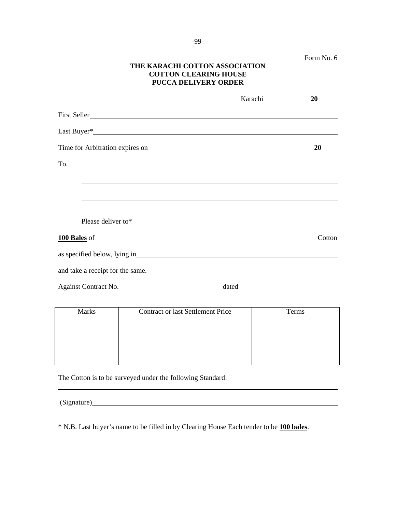|  | Form No. 6 |  |  |
|--|------------|--|--|
|--|------------|--|--|

## **THE KARACHI COTTON ASSOCIATION COTTON CLEARING HOUSE PUCCA DELIVERY ORDER**

|                                  | 20        |
|----------------------------------|-----------|
|                                  |           |
|                                  |           |
|                                  | <b>20</b> |
| To.                              |           |
|                                  |           |
|                                  |           |
|                                  |           |
| Please deliver to*               |           |
|                                  | Cotton    |
|                                  |           |
| and take a receipt for the same. |           |
| Against Contract No.             |           |

| <b>Marks</b> | <b>Contract or last Settlement Price</b> | Terms |
|--------------|------------------------------------------|-------|
|              |                                          |       |
|              |                                          |       |
|              |                                          |       |
|              |                                          |       |
|              |                                          |       |
|              |                                          |       |

The Cotton is to be surveyed under the following Standard:

| (Signature) |
|-------------|
|-------------|

\* N.B. Last buyer's name to be filled in by Clearing House Each tender to be **100 bales**.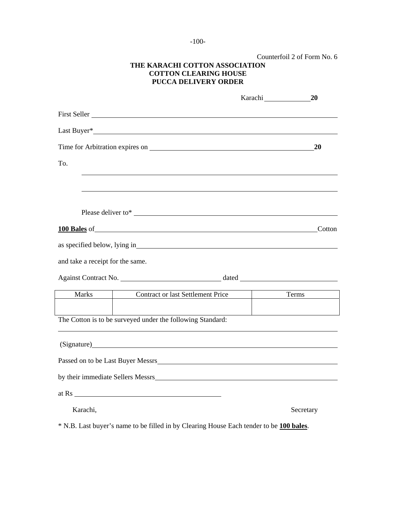-100-

|                                  | THE KARACHI COTTON ASSOCIATION<br><b>COTTON CLEARING HOUSE</b><br><b>PUCCA DELIVERY ORDER</b>                         | Counterfoil 2 of Form No. 6 |
|----------------------------------|-----------------------------------------------------------------------------------------------------------------------|-----------------------------|
|                                  |                                                                                                                       | Karachi 20                  |
|                                  |                                                                                                                       |                             |
|                                  |                                                                                                                       |                             |
|                                  |                                                                                                                       | 20                          |
| To.                              |                                                                                                                       |                             |
|                                  |                                                                                                                       |                             |
|                                  |                                                                                                                       |                             |
|                                  |                                                                                                                       |                             |
|                                  | <b>100 Bales</b> of Cotton                                                                                            |                             |
|                                  |                                                                                                                       |                             |
| and take a receipt for the same. |                                                                                                                       |                             |
|                                  |                                                                                                                       |                             |
| <b>Marks</b>                     | <b>Contract or last Settlement Price</b>                                                                              | Terms                       |
|                                  |                                                                                                                       |                             |
|                                  | The Cotton is to be surveyed under the following Standard:                                                            |                             |
|                                  |                                                                                                                       |                             |
|                                  | Passed on to be Last Buyer Messrs                                                                                     |                             |
|                                  |                                                                                                                       |                             |
|                                  | by their immediate Sellers Messrs                                                                                     |                             |
| at Rs                            | <u> 1989 - Johann Barbara, martin amerikan basal dan berasal dalam basal dalam basal dalam basal dalam basal dala</u> |                             |
| Karachi,                         |                                                                                                                       | Secretary                   |
|                                  |                                                                                                                       |                             |

\* N.B. Last buyer's name to be filled in by Clearing House Each tender to be **100 bales**.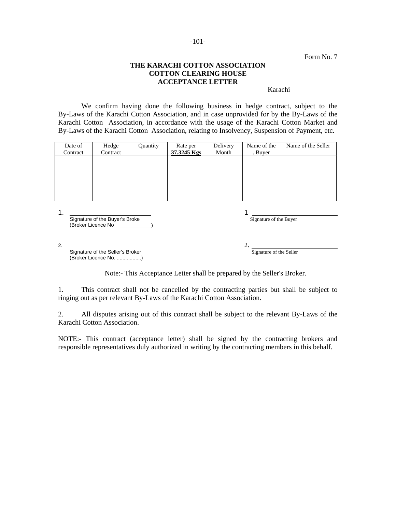### **THE KARACHI COTTON ASSOCIATION COTTON CLEARING HOUSE ACCEPTANCE LETTER**

Karachi

We confirm having done the following business in hedge contract, subject to the By-Laws of the Karachi Cotton Association, and in case unprovided for by the By-Laws of the Karachi Cotton Association, in accordance with the usage of the Karachi Cotton Market and By-Laws of the Karachi Cotton Association, relating to Insolvency, Suspension of Payment, etc.

| Date of  | Hedge    | Quantity | Rate per    | Delivery | Name of the | Name of the Seller |
|----------|----------|----------|-------------|----------|-------------|--------------------|
| Contract | Contract |          | 37.3245 Kgs | Month    | . Buyer     |                    |
|          |          |          |             |          |             |                    |
|          |          |          |             |          |             |                    |
|          |          |          |             |          |             |                    |
|          |          |          |             |          |             |                    |
|          |          |          |             |          |             |                    |
|          |          |          |             |          |             |                    |
|          |          |          |             |          |             |                    |

|    | Signature of the Buyer's Broke                            | Signature of the Buyer  |
|----|-----------------------------------------------------------|-------------------------|
|    | (Broker Licence No                                        |                         |
|    |                                                           |                         |
| 2. |                                                           |                         |
|    | Signature of the Seller's Broker<br>(Broker Licence No. ) | Signature of the Seller |

Note:- This Acceptance Letter shall be prepared by the Seller's Broker.

1. This contract shall not be cancelled by the contracting parties but shall be subject to ringing out as per relevant By-Laws of the Karachi Cotton Association.

2. All disputes arising out of this contract shall be subject to the relevant By-Laws of the Karachi Cotton Association.

NOTE:- This contract (acceptance letter) shall be signed by the contracting brokers and responsible representatives duly authorized in writing by the contracting members in this behalf.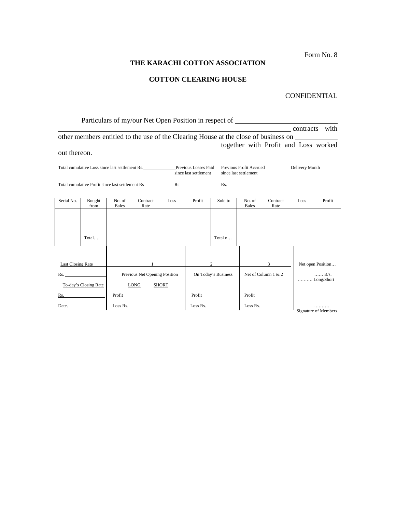# **THE KARACHI COTTON ASSOCIATION**

# **COTTON CLEARING HOUSE**

# CONFIDENTIAL

|                   |                                                                                    |                        |                               |              |                                                                                                                                                                                                                                | Particulars of my/our Net Open Position in respect of                               |                                                  |                                      |                |                             |
|-------------------|------------------------------------------------------------------------------------|------------------------|-------------------------------|--------------|--------------------------------------------------------------------------------------------------------------------------------------------------------------------------------------------------------------------------------|-------------------------------------------------------------------------------------|--------------------------------------------------|--------------------------------------|----------------|-----------------------------|
|                   |                                                                                    |                        |                               |              |                                                                                                                                                                                                                                |                                                                                     |                                                  |                                      |                | contracts with              |
|                   |                                                                                    |                        |                               |              |                                                                                                                                                                                                                                | other members entitled to the use of the Clearing House at the close of business on |                                                  |                                      |                |                             |
|                   |                                                                                    |                        |                               |              |                                                                                                                                                                                                                                |                                                                                     |                                                  | together with Profit and Loss worked |                |                             |
| out thereon.      |                                                                                    |                        |                               |              |                                                                                                                                                                                                                                |                                                                                     |                                                  |                                      |                |                             |
|                   | Total cumulative Loss since last settlement Rs. ______________Previous Losses Paid |                        |                               |              | since last settlement                                                                                                                                                                                                          |                                                                                     | Previous Profit Accrued<br>since last settlement |                                      | Delivery Month |                             |
|                   | Total cumulative Profit since last settlement Rs                                   |                        |                               |              | Rs and the set of the set of the set of the set of the set of the set of the set of the set of the set of the set of the set of the set of the set of the set of the set of the set of the set of the set of the set of the se |                                                                                     | Rs.                                              |                                      |                |                             |
|                   |                                                                                    |                        |                               |              |                                                                                                                                                                                                                                |                                                                                     |                                                  |                                      |                |                             |
| Serial No.        | Bought<br>from                                                                     | No. of<br><b>Bales</b> | Contract<br>Rate              | Loss         | Profit                                                                                                                                                                                                                         | Sold to                                                                             | No. of<br><b>Bales</b>                           | Contract<br>Rate                     | Loss           | Profit                      |
|                   |                                                                                    |                        |                               |              |                                                                                                                                                                                                                                |                                                                                     |                                                  |                                      |                |                             |
|                   |                                                                                    |                        |                               |              |                                                                                                                                                                                                                                |                                                                                     |                                                  |                                      |                |                             |
|                   |                                                                                    |                        |                               |              |                                                                                                                                                                                                                                |                                                                                     |                                                  |                                      |                |                             |
|                   | Total                                                                              |                        |                               |              |                                                                                                                                                                                                                                | Total o                                                                             |                                                  |                                      |                |                             |
|                   |                                                                                    |                        |                               |              |                                                                                                                                                                                                                                |                                                                                     |                                                  |                                      |                |                             |
|                   |                                                                                    |                        |                               |              |                                                                                                                                                                                                                                |                                                                                     |                                                  |                                      |                |                             |
| Last Closing Rate |                                                                                    |                        |                               |              |                                                                                                                                                                                                                                | $\overline{2}$                                                                      |                                                  | $3^{\circ}$                          |                | Net open Position           |
|                   | Rs.                                                                                |                        | Previous Net Opening Position |              |                                                                                                                                                                                                                                | On Today's Business                                                                 |                                                  | Net of Column 1 & 2                  |                | $\ldots$ B/s.               |
|                   | To-day's Closing Rate                                                              |                        | <b>LONG</b>                   | <b>SHORT</b> |                                                                                                                                                                                                                                |                                                                                     |                                                  |                                      |                | Long/Short                  |
|                   | Rs.                                                                                | Profit                 |                               |              | Profit                                                                                                                                                                                                                         |                                                                                     | Profit                                           |                                      |                |                             |
|                   | Date.                                                                              |                        | Loss Rs.                      |              |                                                                                                                                                                                                                                | Loss Rs.                                                                            |                                                  |                                      |                |                             |
|                   |                                                                                    |                        |                               |              |                                                                                                                                                                                                                                |                                                                                     |                                                  | Loss Rs.                             |                | <b>Signature of Members</b> |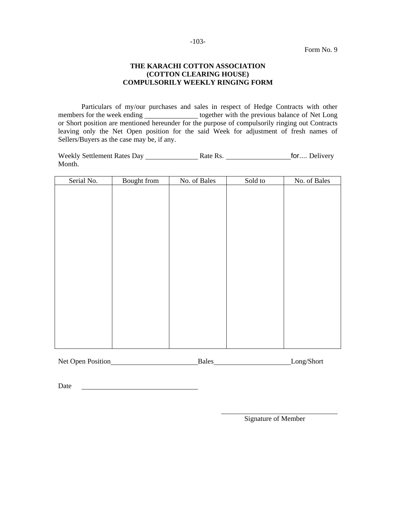### **THE KARACHI COTTON ASSOCIATION (COTTON CLEARING HOUSE) COMPULSORILY WEEKLY RINGING FORM**

Particulars of my/our purchases and sales in respect of Hedge Contracts with other members for the week ending together with the previous balance of Net Long or Short position are mentioned hereunder for the purpose of compulsorily ringing out Contracts leaving only the Net Open position for the said Week for adjustment of fresh names of Sellers/Buyers as the case may be, if any.

Weekly Settlement Rates Day Rate Rs. for.... Delivery Month.

| Serial No. | Bought from | No. of Bales | Sold to | No. of Bales |
|------------|-------------|--------------|---------|--------------|
|            |             |              |         |              |
|            |             |              |         |              |
|            |             |              |         |              |
|            |             |              |         |              |
|            |             |              |         |              |
|            |             |              |         |              |
|            |             |              |         |              |
|            |             |              |         |              |
|            |             |              |         |              |
|            |             |              |         |              |
|            |             |              |         |              |
|            |             |              |         |              |
|            |             |              |         |              |
|            |             |              |         |              |
|            |             |              |         |              |
|            |             |              |         |              |
|            |             |              |         |              |
|            |             |              |         |              |
|            |             |              |         |              |
|            |             |              |         |              |

| Net Open Position | Bales | Long/Short |
|-------------------|-------|------------|
|                   |       |            |

Date

Signature of Member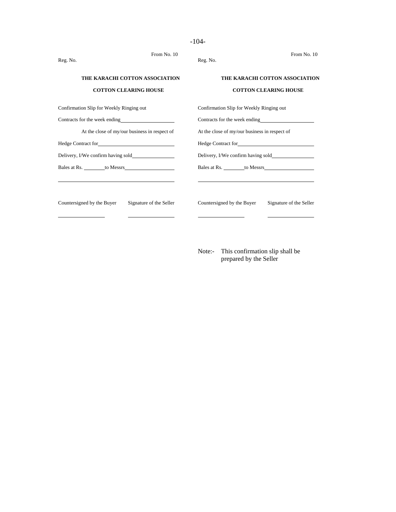| From No. 10<br>Reg. No.                                        | From No. 10<br>Reg. No.                                        |
|----------------------------------------------------------------|----------------------------------------------------------------|
| THE KARACHI COTTON ASSOCIATION<br><b>COTTON CLEARING HOUSE</b> | THE KARACHI COTTON ASSOCIATION<br><b>COTTON CLEARING HOUSE</b> |
| Confirmation Slip for Weekly Ringing out                       | Confirmation Slip for Weekly Ringing out                       |
| Contracts for the week ending                                  | Contracts for the week ending                                  |
| At the close of my/our business in respect of                  | At the close of my/our business in respect of                  |
| Hedge Contract for                                             |                                                                |
|                                                                | Delivery, I/We confirm having sold                             |
|                                                                | Bales at Rs. to Messrs                                         |

Countersigned by the Buyer Signature of the Seller Countersigned by the Buyer Signature of the Seller

 $\overline{a}$ 

 $\overline{a}$ 

Note:- This confirmation slip shall be prepared by the Seller

### -104-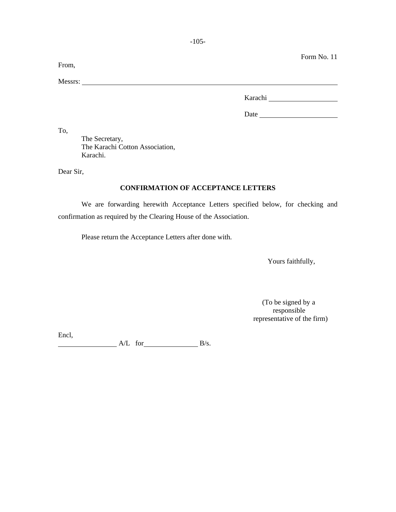| From,   |         | Form No. 11 |
|---------|---------|-------------|
| Messrs: |         |             |
|         | Karachi |             |
|         | Date    |             |

To,

 The Secretary, The Karachi Cotton Association, Karachi.

Dear Sir,

### **CONFIRMATION OF ACCEPTANCE LETTERS**

We are forwarding herewith Acceptance Letters specified below, for checking and confirmation as required by the Clearing House of the Association.

Please return the Acceptance Letters after done with.

Yours faithfully,

 (To be signed by a responsible representative of the firm)

Encl,  $A/L$  for  $B/s$ .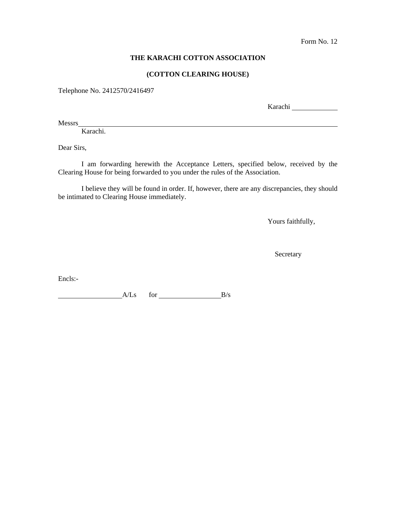## **THE KARACHI COTTON ASSOCIATION**

### **(COTTON CLEARING HOUSE)**

Telephone No. 2412570/2416497

Karachi

Messrs

Karachi.

Dear Sirs,

I am forwarding herewith the Acceptance Letters, specified below, received by the Clearing House for being forwarded to you under the rules of the Association.

I believe they will be found in order. If, however, there are any discrepancies, they should be intimated to Clearing House immediately.

Yours faithfully,

Secretary

Encls:-

 $A/Ls$  for  $B/s$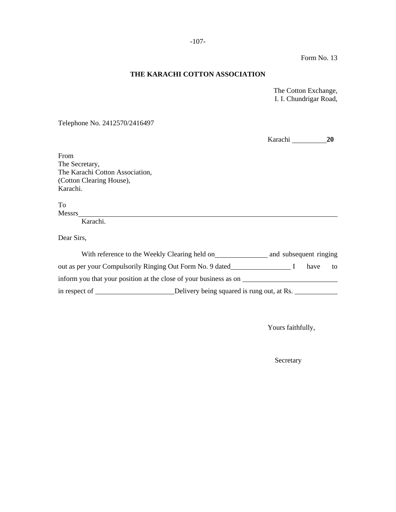### **THE KARACHI COTTON ASSOCIATION**

 The Cotton Exchange, I. I. Chundrigar Road,

Telephone No. 2412570/2416497

|                                                                      |                                            | Karachi |      | <b>20</b> |
|----------------------------------------------------------------------|--------------------------------------------|---------|------|-----------|
| From                                                                 |                                            |         |      |           |
| The Secretary,                                                       |                                            |         |      |           |
| The Karachi Cotton Association,                                      |                                            |         |      |           |
| (Cotton Clearing House),                                             |                                            |         |      |           |
| Karachi.                                                             |                                            |         |      |           |
| To                                                                   |                                            |         |      |           |
|                                                                      |                                            |         |      |           |
| Karachi.                                                             |                                            |         |      |           |
| Dear Sirs,                                                           |                                            |         |      |           |
| With reference to the Weekly Clearing held on and subsequent ringing |                                            |         |      |           |
| out as per your Compulsorily Ringing Out Form No. 9 dated            |                                            |         | have | to        |
| inform you that your position at the close of your business as on    |                                            |         |      |           |
|                                                                      | Delivery being squared is rung out, at Rs. |         |      |           |

Yours faithfully,

Secretary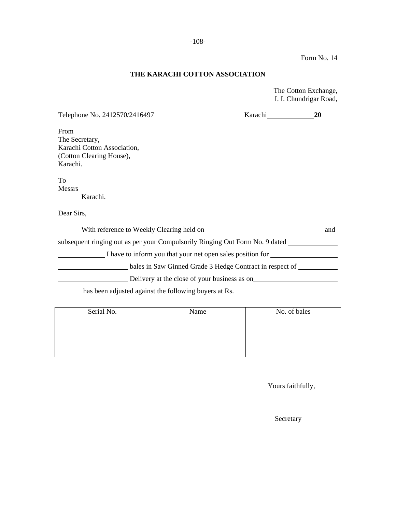# **THE KARACHI COTTON ASSOCIATION**

 The Cotton Exchange, I. I. Chundrigar Road,

| Telephone No. 2412570/2416497                                                | Karachi                                                    | <b>20</b> |
|------------------------------------------------------------------------------|------------------------------------------------------------|-----------|
| From                                                                         |                                                            |           |
| The Secretary,                                                               |                                                            |           |
| Karachi Cotton Association,                                                  |                                                            |           |
| (Cotton Clearing House),                                                     |                                                            |           |
| Karachi.                                                                     |                                                            |           |
| To                                                                           |                                                            |           |
| Messrs                                                                       |                                                            |           |
| Karachi.                                                                     |                                                            |           |
| Dear Sirs,                                                                   |                                                            |           |
| With reference to Weekly Clearing held on                                    |                                                            | and       |
| subsequent ringing out as per your Compulsorily Ringing Out Form No. 9 dated |                                                            |           |
|                                                                              | I have to inform you that your net open sales position for |           |
|                                                                              | bales in Saw Ginned Grade 3 Hedge Contract in respect of   |           |
|                                                                              | Delivery at the close of your business as on               |           |
| has been adjusted against the following buyers at Rs.                        |                                                            |           |
|                                                                              |                                                            |           |

| Serial No. | Name | No. of bales |  |
|------------|------|--------------|--|
|            |      |              |  |
|            |      |              |  |
|            |      |              |  |
|            |      |              |  |
|            |      |              |  |

Yours faithfully,

Secretary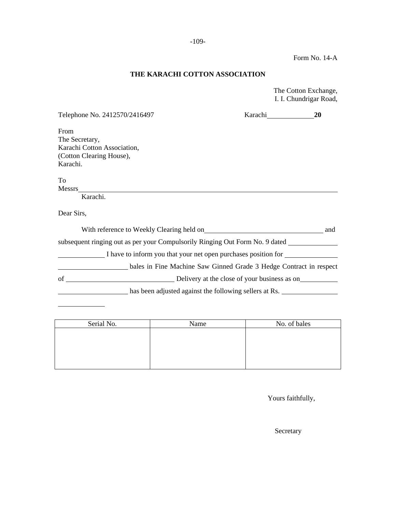Form No. 14-A

# **THE KARACHI COTTON ASSOCIATION**

 The Cotton Exchange, I. I. Chundrigar Road,

| Telephone No. 2412570/2416497                                                              | Karachi                                                            | 20  |
|--------------------------------------------------------------------------------------------|--------------------------------------------------------------------|-----|
| From                                                                                       |                                                                    |     |
| The Secretary,                                                                             |                                                                    |     |
| Karachi Cotton Association,<br>(Cotton Clearing House),                                    |                                                                    |     |
| Karachi.                                                                                   |                                                                    |     |
|                                                                                            |                                                                    |     |
| To                                                                                         |                                                                    |     |
| Messrs                                                                                     |                                                                    |     |
| Karachi.                                                                                   |                                                                    |     |
| Dear Sirs,                                                                                 |                                                                    |     |
|                                                                                            |                                                                    | and |
| subsequent ringing out as per your Compulsorily Ringing Out Form No. 9 dated _____________ |                                                                    |     |
| I have to inform you that your net open purchases position for                             |                                                                    |     |
|                                                                                            | bales in Fine Machine Saw Ginned Grade 3 Hedge Contract in respect |     |
| of<br>Delivery at the close of your business as on                                         |                                                                    |     |
|                                                                                            | has been adjusted against the following sellers at Rs.             |     |
|                                                                                            |                                                                    |     |

| Serial No. | Name | No. of bales |
|------------|------|--------------|
|            |      |              |
|            |      |              |
|            |      |              |
|            |      |              |
|            |      |              |

Yours faithfully,

Secretary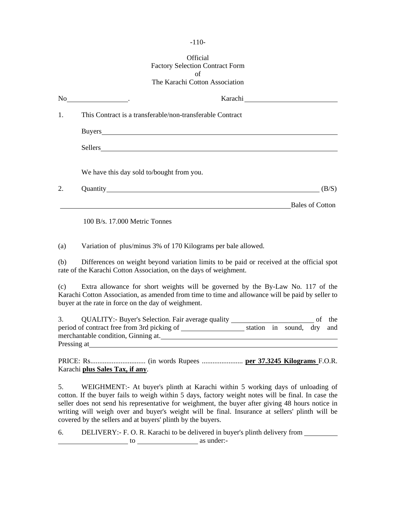#### -110-

#### Official Factory Selection Contract Form of The Karachi Cotton Association

| No. | <u> 1990 - Johann Barbara, politik eta politik eta politik eta politik eta politik eta politik eta politik eta p</u>                                                                                                           |                        |
|-----|--------------------------------------------------------------------------------------------------------------------------------------------------------------------------------------------------------------------------------|------------------------|
| 1.  | This Contract is a transferable/non-transferable Contract                                                                                                                                                                      |                        |
|     |                                                                                                                                                                                                                                |                        |
|     | Sellers and the sellers of the sellers of the sellers of the sellers of the sellers of the sellers of the sellers of the sellers of the sellers of the sellers of the seller sellers of the seller sellers of the seller selle |                        |
|     | We have this day sold to/bought from you.                                                                                                                                                                                      |                        |
| 2.  | Quantity <u>Constanting</u>                                                                                                                                                                                                    | (B/S)                  |
|     |                                                                                                                                                                                                                                | <b>Bales of Cotton</b> |
|     | $100 B/s$ , 17,000 Metric Tonnes                                                                                                                                                                                               |                        |

(a) Variation of plus/minus 3% of 170 Kilograms per bale allowed.

(b) Differences on weight beyond variation limits to be paid or received at the official spot rate of the Karachi Cotton Association, on the days of weighment.

(c) Extra allowance for short weights will be governed by the By-Law No. 117 of the Karachi Cotton Association, as amended from time to time and allowance will be paid by seller to buyer at the rate in force on the day of weighment.

| <b>QUALITY:</b> Buyer's Selection. Fair average quality |  |                           | of the |
|---------------------------------------------------------|--|---------------------------|--------|
| period of contract free from 3rd picking of             |  | station in sound, dry and |        |
| merchantable condition, Ginning at.                     |  |                           |        |
| Pressing at                                             |  |                           |        |

PRICE: Rs............................... (in words Rupees ....................... **per 37.3245 Kilograms** F.O.R. Karachi **plus Sales Tax, if any**.

5. WEIGHMENT:- At buyer's plinth at Karachi within 5 working days of unloading of cotton. If the buyer fails to weigh within 5 days, factory weight notes will be final. In case the seller does not send his representative for weighment, the buyer after giving 48 hours notice in writing will weigh over and buyer's weight will be final. Insurance at sellers' plinth will be covered by the sellers and at buyers' plinth by the buyers.

6. DELIVERY:- F. O. R. Karachi to be delivered in buyer's plinth delivery from to as under:-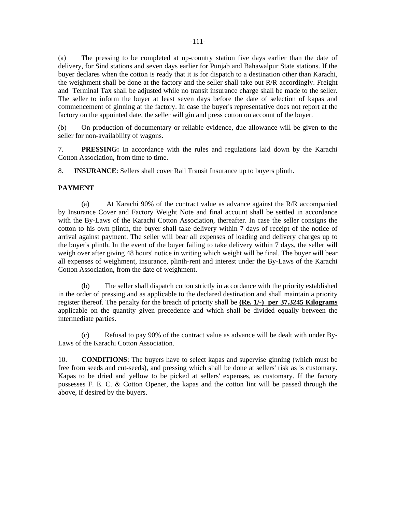(a) The pressing to be completed at up-country station five days earlier than the date of delivery, for Sind stations and seven days earlier for Punjab and Bahawalpur State stations. If the buyer declares when the cotton is ready that it is for dispatch to a destination other than Karachi, the weighment shall be done at the factory and the seller shall take out R/R accordingly. Freight and Terminal Tax shall be adjusted while no transit insurance charge shall be made to the seller. The seller to inform the buyer at least seven days before the date of selection of kapas and commencement of ginning at the factory. In case the buyer's representative does not report at the factory on the appointed date, the seller will gin and press cotton on account of the buyer.

(b) On production of documentary or reliable evidence, due allowance will be given to the seller for non-availability of wagons.

7. **PRESSING:** In accordance with the rules and regulations laid down by the Karachi Cotton Association, from time to time.

8. **INSURANCE**: Sellers shall cover Rail Transit Insurance up to buyers plinth.

#### **PAYMENT**

 (a) At Karachi 90% of the contract value as advance against the R/R accompanied by Insurance Cover and Factory Weight Note and final account shall be settled in accordance with the By-Laws of the Karachi Cotton Association, thereafter. In case the seller consigns the cotton to his own plinth, the buyer shall take delivery within 7 days of receipt of the notice of arrival against payment. The seller will bear all expenses of loading and delivery charges up to the buyer's plinth. In the event of the buyer failing to take delivery within 7 days, the seller will weigh over after giving 48 hours' notice in writing which weight will be final. The buyer will bear all expenses of weighment, insurance, plinth-rent and interest under the By-Laws of the Karachi Cotton Association, from the date of weighment.

 (b) The seller shall dispatch cotton strictly in accordance with the priority established in the order of pressing and as applicable to the declared destination and shall maintain a priority register thereof. The penalty for the breach of priority shall be **(Re. 1/-) per 37.3245 Kilograms** applicable on the quantity given precedence and which shall be divided equally between the intermediate parties.

 (c) Refusal to pay 90% of the contract value as advance will be dealt with under By-Laws of the Karachi Cotton Association.

10. **CONDITIONS**: The buyers have to select kapas and supervise ginning (which must be free from seeds and cut-seeds), and pressing which shall be done at sellers' risk as is customary. Kapas to be dried and yellow to be picked at sellers' expenses, as customary. If the factory possesses F. E. C. & Cotton Opener, the kapas and the cotton lint will be passed through the above, if desired by the buyers.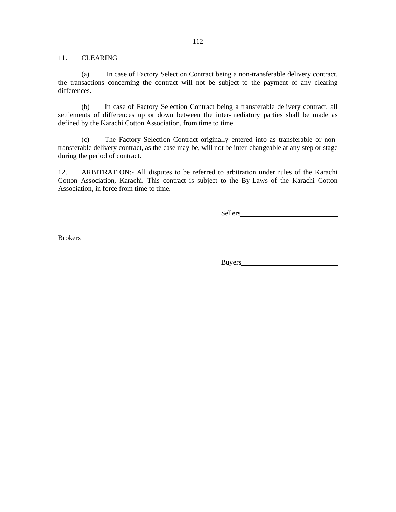#### -112-

# 11. CLEARING

 (a) In case of Factory Selection Contract being a non-transferable delivery contract, the transactions concerning the contract will not be subject to the payment of any clearing differences.

(b) In case of Factory Selection Contract being a transferable delivery contract, all settlements of differences up or down between the inter-mediatory parties shall be made as defined by the Karachi Cotton Association, from time to time.

(c) The Factory Selection Contract originally entered into as transferable or nontransferable delivery contract, as the case may be, will not be inter-changeable at any step or stage during the period of contract.

12. ARBITRATION:- All disputes to be referred to arbitration under rules of the Karachi Cotton Association, Karachi. This contract is subject to the By-Laws of the Karachi Cotton Association, in force from time to time.

Sellers

Brokers

Buyers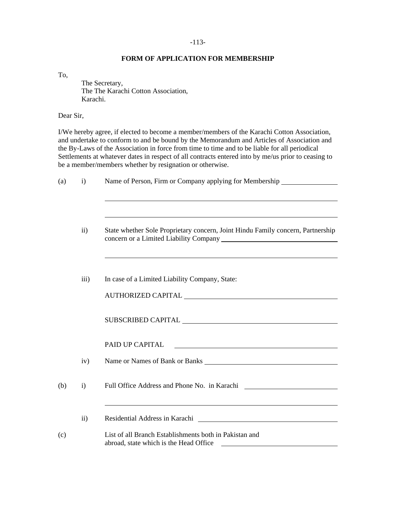#### -113-

# **FORM OF APPLICATION FOR MEMBERSHIP**

To,

 The Secretary, The The Karachi Cotton Association, Karachi.

Dear Sir,

I/We hereby agree, if elected to become a member/members of the Karachi Cotton Association, and undertake to conform to and be bound by the Memorandum and Articles of Association and the By-Laws of the Association in force from time to time and to be liable for all periodical Settlements at whatever dates in respect of all contracts entered into by me/us prior to ceasing to be a member/members whether by resignation or otherwise.

| (a) | Name of Person, Firm or Company applying for Membership ________________________<br>$\mathbf{i}$ |                                                                                                                                                                                                                                        |
|-----|--------------------------------------------------------------------------------------------------|----------------------------------------------------------------------------------------------------------------------------------------------------------------------------------------------------------------------------------------|
|     |                                                                                                  |                                                                                                                                                                                                                                        |
|     | $\mathbf{ii}$                                                                                    | State whether Sole Proprietary concern, Joint Hindu Family concern, Partnership                                                                                                                                                        |
|     | iii)                                                                                             | In case of a Limited Liability Company, State:                                                                                                                                                                                         |
|     |                                                                                                  |                                                                                                                                                                                                                                        |
|     |                                                                                                  |                                                                                                                                                                                                                                        |
|     |                                                                                                  | PAID UP CAPITAL<br><u> 1989 - Johann Harry Harry Harry Harry Harry Harry Harry Harry Harry Harry Harry Harry Harry Harry Harry Harry</u>                                                                                               |
|     | iv)                                                                                              | Name or Names of Bank or Banks                                                                                                                                                                                                         |
| (b) | $\mathbf{i}$                                                                                     | Full Office Address and Phone No. in Karachi ___________________________________                                                                                                                                                       |
|     |                                                                                                  |                                                                                                                                                                                                                                        |
|     | $\mathbf{ii}$                                                                                    | Residential Address in Karachi<br><u>Land and a contract of the set of the set of the set of the set of the set of the set of the set of the set of the set of the set of the set of the set of the set of the set of the set of t</u> |
| (c) |                                                                                                  | List of all Branch Establishments both in Pakistan and<br>abroad, state which is the Head Office<br><u> 1980 - Andrea Andrew Maria (h. 1980).</u>                                                                                      |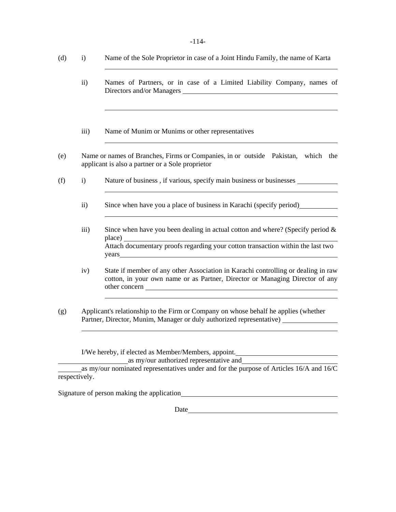| $(d)$ i) | Name of the Sole Proprietor in case of a Joint Hindu Family, the name of Karta |
|----------|--------------------------------------------------------------------------------|
|          |                                                                                |

- ii) Names of Partners, or in case of a Limited Liability Company, names of Directors and/or Managers
- iii) Name of Munim or Munims or other representatives
- (e) Name or names of Branches, Firms or Companies, in or outside Pakistan, which the applicant is also a partner or a Sole proprietor
- (f) i) Nature of business, if various, specify main business or businesses
	- ii) Since when have you a place of business in Karachi (specify period)
	- iii) Since when have you been dealing in actual cotton and where? (Specify period  $\&$ place) Attach documentary proofs regarding your cotton transaction within the last two years **example and the contract of the contract of the contract of the contract of the contract of the contract of the contract of the contract of the contract of the contract of the contract of the contract of the contrac**
	- iv) State if member of any other Association in Karachi controlling or dealing in raw cotton, in your own name or as Partner, Director or Managing Director of any other concern
- (g) Applicant's relationship to the Firm or Company on whose behalf he applies (whether Partner, Director, Munim, Manager or duly authorized representative) \_\_\_\_\_\_\_\_\_\_\_

I/We hereby, if elected as Member/Members, appoint.

as my/our authorized representative and

as my/our nominated representatives under and for the purpose of Articles 16/A and 16/C respectively.

Signature of person making the application

l

l

Date and the state of the state of the state of the state of the state of the state of the state of the state of the state of the state of the state of the state of the state of the state of the state of the state of the s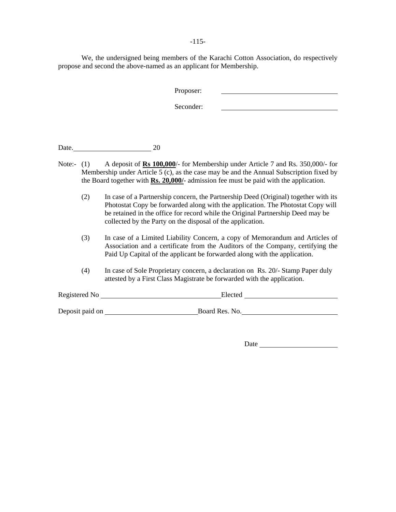-115-

We, the undersigned being members of the Karachi Cotton Association, do respectively propose and second the above-named as an applicant for Membership.

| Proposer: |  |
|-----------|--|
| Seconder: |  |

Date. 20

- Note:- (1) A deposit of **Rs 100,000**/- for Membership under Article 7 and Rs. 350,000/- for Membership under Article  $5$  (c), as the case may be and the Annual Subscription fixed by the Board together with **Rs. 20,000/**- admission fee must be paid with the application.
	- (2) In case of a Partnership concern, the Partnership Deed (Original) together with its Photostat Copy be forwarded along with the application. The Photostat Copy will be retained in the office for record while the Original Partnership Deed may be collected by the Party on the disposal of the application.
	- (3) In case of a Limited Liability Concern, a copy of Memorandum and Articles of Association and a certificate from the Auditors of the Company, certifying the Paid Up Capital of the applicant be forwarded along with the application.
	- (4) In case of Sole Proprietary concern, a declaration on Rs. 20/- Stamp Paper duly attested by a First Class Magistrate be forwarded with the application.

| Registered No   | Elected        |  |
|-----------------|----------------|--|
|                 |                |  |
| Deposit paid on | Board Res. No. |  |

Date <u>Date</u>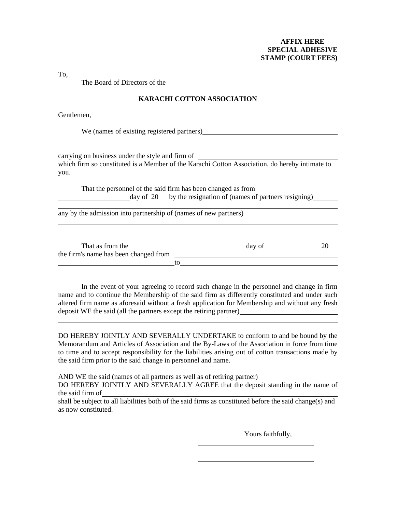# **AFFIX HERE SPECIAL ADHESIVE STAMP (COURT FEES)**

To,

l

l

 $\overline{a}$ 

l

The Board of Directors of the

# **KARACHI COTTON ASSOCIATION**

Gentlemen,

We (names of existing registered partners)

carrying on business under the style and firm of which firm so constituted is a Member of the Karachi Cotton Association, do hereby intimate to you.

That the personnel of the said firm has been changed as from day of 20 by the resignation of (names of partners resigning)

any by the admission into partnership of (names of new partners)

| That as from the                      |    | day of |  |
|---------------------------------------|----|--------|--|
| the firm's name has been changed from |    |        |  |
|                                       | tΩ |        |  |

In the event of your agreeing to record such change in the personnel and change in firm name and to continue the Membership of the said firm as differently constituted and under such altered firm name as aforesaid without a fresh application for Membership and without any fresh deposit WE the said (all the partners except the retiring partner)

DO HEREBY JOINTLY AND SEVERALLY UNDERTAKE to conform to and be bound by the Memorandum and Articles of Association and the By-Laws of the Association in force from time to time and to accept responsibility for the liabilities arising out of cotton transactions made by the said firm prior to the said change in personnel and name.

AND WE the said (names of all partners as well as of retiring partner)

DO HEREBY JOINTLY AND SEVERALLY AGREE that the deposit standing in the name of the said firm of

shall be subject to all liabilities both of the said firms as constituted before the said change(s) and as now constituted.

Yours faithfully,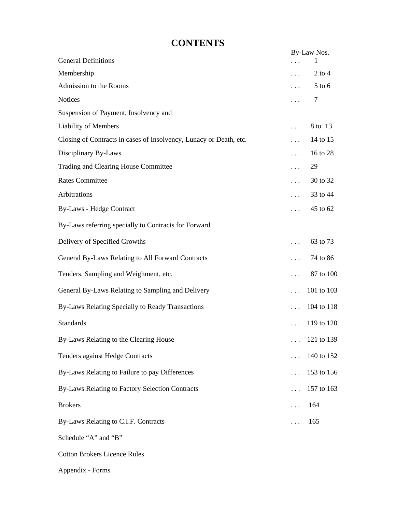# **CONTENTS**

|                                                                    | By-Law Nos. |            |  |
|--------------------------------------------------------------------|-------------|------------|--|
| <b>General Definitions</b>                                         |             | 1          |  |
| Membership                                                         | $\cdots$    | $2$ to $4$ |  |
| Admission to the Rooms                                             | $\cdots$    | $5$ to $6$ |  |
| <b>Notices</b>                                                     | $\cdots$    | 7          |  |
| Suspension of Payment, Insolvency and                              |             |            |  |
| <b>Liability of Members</b>                                        | $\cdots$    | 8 to 13    |  |
| Closing of Contracts in cases of Insolvency, Lunacy or Death, etc. | $\cdots$    | 14 to 15   |  |
| Disciplinary By-Laws                                               | $\cdots$    | 16 to 28   |  |
| Trading and Clearing House Committee                               | $\cdots$    | 29         |  |
| <b>Rates Committee</b>                                             | $\cdots$    | 30 to 32   |  |
| Arbitrations                                                       | $\cdots$    | 33 to 44   |  |
| <b>By-Laws - Hedge Contract</b>                                    | $\cdots$    | 45 to 62   |  |
| By-Laws referring specially to Contracts for Forward               |             |            |  |
| Delivery of Specified Growths                                      | $\cdots$    | 63 to 73   |  |
| General By-Laws Relating to All Forward Contracts                  | $\cdots$    | 74 to 86   |  |
| Tenders, Sampling and Weighment, etc.                              | .           | 87 to 100  |  |
| General By-Laws Relating to Sampling and Delivery                  | $\cdots$    | 101 to 103 |  |
| By-Laws Relating Specially to Ready Transactions                   | $\cdots$    | 104 to 118 |  |
| <b>Standards</b>                                                   |             | 119 to 120 |  |
| By-Laws Relating to the Clearing House                             |             | 121 to 139 |  |
| <b>Tenders against Hedge Contracts</b>                             | $\cdots$    | 140 to 152 |  |
| By-Laws Relating to Failure to pay Differences                     | $\cdots$    | 153 to 156 |  |
| By-Laws Relating to Factory Selection Contracts                    |             | 157 to 163 |  |
| <b>Brokers</b>                                                     | .           | 164        |  |
| By-Laws Relating to C.I.F. Contracts                               | .           | 165        |  |
| Schedule "A" and "B"                                               |             |            |  |
| <b>Cotton Brokers Licence Rules</b>                                |             |            |  |

Appendix - Forms